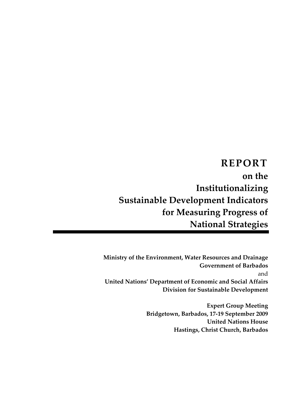**REPORT on the Institutionalizing Sustainable Development Indicators for Measuring Progress of National Strategies**

**Ministry of the Environment, Water Resources and Drainage Government of Barbados**  and **United Nations' Department of Economic and Social Affairs Division for Sustainable Development**

> **Expert Group Meeting Bridgetown, Barbados, 17‐19 September 2009 United Nations House Hastings, Christ Church, Barbados**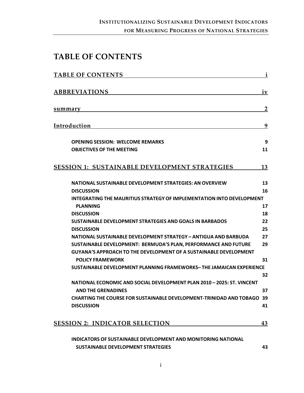# <span id="page-2-1"></span><span id="page-2-0"></span>**TABLE OF CONTENTS**

| <b>TABLE OF CONTENTS</b>                                                      | i                |
|-------------------------------------------------------------------------------|------------------|
| <b>ABBREVIATIONS</b>                                                          | $i\underline{v}$ |
| summary                                                                       | $\overline{2}$   |
| Introduction                                                                  | 9                |
| <b>OPENING SESSION: WELCOME REMARKS</b>                                       | 9                |
| <b>OBJECTIVES OF THE MEETING</b>                                              | 11               |
| <b>SESSION 1: SUSTAINABLE DEVELOPMENT STRATEGIES</b>                          | 13               |
| <b>NATIONAL SUSTAINABLE DEVELOPMENT STRATEGIES: AN OVERVIEW</b>               | 13               |
| <b>DISCUSSION</b>                                                             | 16               |
| <b>INTEGRATING THE MAURITIUS STRATEGY OF IMPLEMENTATION INTO DEVELOPMENT</b>  |                  |
| <b>PLANNING</b>                                                               | 17               |
| <b>DISCUSSION</b>                                                             | 18               |
| <b>SUSTAINABLE DEVELOPMENT STRATEGIES AND GOALS IN BARBADOS</b>               | 22               |
| <b>DISCUSSION</b>                                                             | 25               |
| NATIONAL SUSTAINABLE DEVELOPMENT STRATEGY - ANTIGUA AND BARBUDA               | 27               |
| SUSTAINABLE DEVELOPMENT: BERMUDA'S PLAN, PERFORMANCE AND FUTURE               | 29               |
| GUYANA'S APPROACH TO THE DEVELOPMENT OF A SUSTAINABLE DEVELOPMENT             |                  |
| <b>POLICY FRAMEWORK</b>                                                       | 31               |
| SUSTAINABLE DEVELOPMENT PLANNING FRAMEWORKS-THE JAMAICAN EXPERIENCE           |                  |
|                                                                               | 32               |
| NATIONAL ECONOMIC AND SOCIAL DEVELOPMENT PLAN 2010 - 2025: ST. VINCENT        |                  |
| <b>AND THE GRENADINES</b>                                                     | 37               |
| <b>CHARTING THE COURSE FOR SUSTAINABLE DEVELOPMENT-TRINIDAD AND TOBAGO 39</b> |                  |
| <b>DISCUSSION</b>                                                             | 41               |
| <b>SESSION 2: INDICATOR SELECTION</b>                                         | 43               |
| <b>INDICATORS OF SUSTAINABLE DEVELOPMENT AND MONITORING NATIONAL</b>          |                  |

**SUSTAINABLE [DEVELOPMENT](#page-49-0) STRATEGIES [43](#page-49-2)**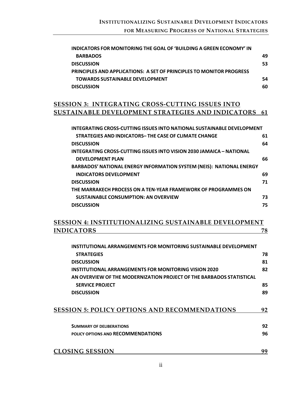| INDICATORS FOR MONITORING THE GOAL OF 'BUILDING A GREEN ECONOMY' IN         |    |
|-----------------------------------------------------------------------------|----|
| <b>BARBADOS</b>                                                             | 49 |
| <b>DISCUSSION</b>                                                           | 53 |
| <b>PRINCIPLES AND APPLICATIONS: A SET OF PRINCIPLES TO MONITOR PROGRESS</b> |    |
| <b>TOWARDS SUSTAINABLE DEVELOPMENT</b>                                      | 54 |
| <b>DISCUSSION</b>                                                           | 60 |
|                                                                             |    |

# **SESSION 3: [INTEGRATING](#page-67-0) CROSS‐CUTTING ISSUES INTO SUSTAINABLE [DEVELOPMENT](#page-67-0) STRATEGIES AND INDICATORS [61](#page-67-1)**

| INTEGRATING CROSS-CUTTING ISSUES INTO NATIONAL SUSTAINABLE DEVELOPMENT      |    |
|-----------------------------------------------------------------------------|----|
| STRATEGIES AND INDICATORS-THE CASE OF CLIMATE CHANGE                        | 61 |
| <b>DISCUSSION</b>                                                           | 64 |
| INTEGRATING CROSS-CUTTING ISSUES INTO VISION 2030 JAMAICA – NATIONAL        |    |
| <b>DEVELOPMENT PLAN</b>                                                     | 66 |
| <b>BARBADOS' NATIONAL ENERGY INFORMATION SYSTEM (NEIS): NATIONAL ENERGY</b> |    |
| <b>INDICATORS DEVELOPMENT</b>                                               | 69 |
| <b>DISCUSSION</b>                                                           | 71 |
| THE MARRAKECH PROCESS ON A TEN-YEAR FRAMEWORK OF PROGRAMMES ON              |    |
| <b>SUSTAINABLE CONSUMPTION: AN OVERVIEW</b>                                 | 73 |
| <b>DISCUSSION</b>                                                           | 75 |

# **SESSION 4: [INSTITUTIONALIZING](#page-84-0) SUSTAINABLE DEVELOPMENT [INDICATORS](#page-84-0) [78](#page-84-1)**

| INSTITUTIONAL ARRANGEMENTS FOR MONITORING SUSTAINABLE DEVELOPMENT    |    |
|----------------------------------------------------------------------|----|
| <b>STRATEGIES</b>                                                    | 78 |
| <b>DISCUSSION</b>                                                    | 81 |
| INSTITUTIONAL ARRANGEMENTS FOR MONITORING VISION 2020                | 82 |
| AN OVERVIEW OF THE MODERNIZATION PROJECT OF THE BARBADOS STATISTICAL |    |
| <b>SERVICE PROJECT</b>                                               | 85 |
| <b>DISCUSSION</b>                                                    | 89 |
|                                                                      |    |
| <b>SESSION 5: POLICY OPTIONS AND RECOMMENDATIONS</b>                 | 92 |
| <b>SUMMARY OF DELIBERATIONS</b>                                      | 92 |
| POLICY OPTIONS AND RECOMMENDATIONS                                   | 96 |
| <b>CLOSING SESSION</b>                                               | 99 |
|                                                                      |    |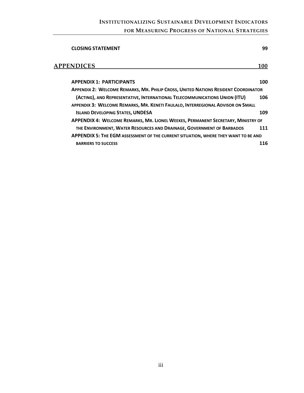# **INSTITUTIONALIZING SUSTAINABLE DEVELOPMENT INDICATORS FOR MEASURING PROGRESS OF NATIONAL STRATEGIES**

| 99                                                                                        |
|-------------------------------------------------------------------------------------------|
| 100                                                                                       |
| 100                                                                                       |
| <b>APPENDIX 2: WELCOME REMARKS, MR. PHILIP CROSS, UNITED NATIONS RESIDENT COORDINATOR</b> |
| 106                                                                                       |
|                                                                                           |
| 109                                                                                       |
| APPENDIX 4: WELCOME REMARKS, MR. LIONEL WEEKES, PERMANENT SECRETARY, MINISTRY OF          |
| 111                                                                                       |
| APPENDIX 5: THE EGM ASSESSMENT OF THE CURRENT SITUATION, WHERE THEY WANT TO BE AND        |
| 116                                                                                       |
|                                                                                           |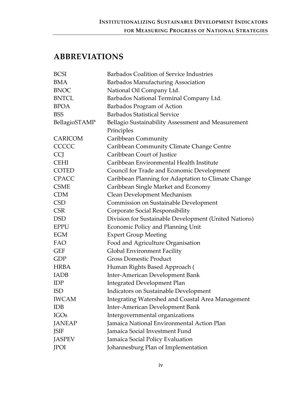# <span id="page-5-1"></span><span id="page-5-0"></span>**ABBREVIATIONS**

| <b>BCSI</b>    | Barbados Coalition of Service Industries              |
|----------------|-------------------------------------------------------|
| BMA            | Barbados Manufacturing Association                    |
| <b>BNOC</b>    | National Oil Company Ltd.                             |
| <b>BNTCL</b>   | Barbados National Terminal Company Ltd.               |
| <b>BPOA</b>    | Barbados Program of Action                            |
| <b>BSS</b>     | <b>Barbados Statistical Service</b>                   |
| BellagioSTAMP  | Bellagio Sustainability Assessment and Measurement    |
|                | Principles                                            |
| <b>CARICOM</b> | Caribbean Community                                   |
| CCCCC          | Caribbean Community Climate Change Centre             |
| <b>CCJ</b>     | Caribbean Court of Justice                            |
| <b>CEHI</b>    | Caribbean Environmental Health Institute              |
| <b>COTED</b>   | Council for Trade and Economic Development            |
| <b>CPACC</b>   | Caribbean Planning for Adaptation to Climate Change   |
| <b>CSME</b>    | Caribbean Single Market and Economy                   |
| <b>CDM</b>     | Clean Development Mechanism                           |
| <b>CSD</b>     | Commission on Sustainable Development                 |
| <b>CSR</b>     | Corporate Social Responsibility                       |
| <b>DSD</b>     | Division for Sustainable Development (United Nations) |
| <b>EPPU</b>    | Economic Policy and Planning Unit                     |
| EGM            | <b>Expert Group Meeting</b>                           |
| FAO            | Food and Agriculture Organisation                     |
| <b>GEF</b>     | Global Environment Facility                           |
| GDP            | <b>Gross Domestic Product</b>                         |
| <b>HRBA</b>    | Human Rights Based Approach (                         |
| <b>IADB</b>    | Inter-American Development Bank                       |
| <b>IDP</b>     | <b>Integrated Development Plan</b>                    |
| <b>ISD</b>     | Indicators on Sustainable Development                 |
| <b>IWCAM</b>   | Integrating Watershed and Coastal Area Management     |
| <b>IDB</b>     | Inter-American Development Bank                       |
| <b>IGOs</b>    | Intergovernmental organizations                       |
| <b>JANEAP</b>  | Jamaica National Environmental Action Plan            |
| JSIF           | Jamaica Social Investment Fund                        |
| <b>JASPEV</b>  | Jamaica Social Policy Evaluation                      |
| <b>JPOI</b>    | Johannesburg Plan of Implementation                   |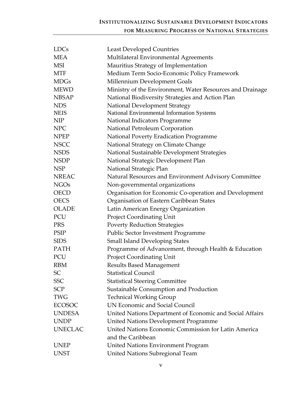# **INSTITUTIONALIZING SUSTAINABLE DEVELOPMENT INDICATORS FOR MEASURING PROGRESS OF NATIONAL STRATEGIES**

| <b>LDCs</b>    | <b>Least Developed Countries</b>                          |
|----------------|-----------------------------------------------------------|
| <b>MEA</b>     | Multilateral Environmental Agreements                     |
| <b>MSI</b>     | Mauritius Strategy of Implementation                      |
| <b>MTF</b>     | Medium Term Socio-Economic Policy Framework               |
| <b>MDGs</b>    | Millennium Development Goals                              |
| <b>MEWD</b>    | Ministry of the Environment, Water Resources and Drainage |
| <b>NBSAP</b>   | National Biodiversity Strategies and Action Plan          |
| <b>NDS</b>     | <b>National Development Strategy</b>                      |
| <b>NEIS</b>    | National Environmental Information Systems                |
| <b>NIP</b>     | National Indicators Programme                             |
| <b>NPC</b>     | National Petroleum Corporation                            |
| <b>NPEP</b>    | National Poverty Eradication Programme                    |
| <b>NSCC</b>    | National Strategy on Climate Change                       |
| <b>NSDS</b>    | National Sustainable Development Strategies               |
| <b>NSDP</b>    | National Strategic Development Plan                       |
| <b>NSP</b>     | National Strategic Plan                                   |
| <b>NREAC</b>   | Natural Resources and Environment Advisory Committee      |
| <b>NGOs</b>    | Non-governmental organizations                            |
| <b>OECD</b>    | Organisation for Economic Co-operation and Development    |
| <b>OECS</b>    | Organisation of Eastern Caribbean States                  |
| <b>OLADE</b>   | Latin American Energy Organization                        |
| PCU            | <b>Project Coordinating Unit</b>                          |
| <b>PRS</b>     | <b>Poverty Reduction Strategies</b>                       |
| <b>PSIP</b>    | <b>Public Sector Investment Programme</b>                 |
| <b>SIDS</b>    | <b>Small Island Developing States</b>                     |
| <b>PATH</b>    | Programme of Advancement, through Health & Education      |
| PCU            | <b>Project Coordinating Unit</b>                          |
| <b>RBM</b>     | Results Based Management                                  |
| <b>SC</b>      | <b>Statistical Council</b>                                |
| <b>SSC</b>     | <b>Statistical Steering Committee</b>                     |
| <b>SCP</b>     | Sustainable Consumption and Production                    |
| <b>TWG</b>     | <b>Technical Working Group</b>                            |
| <b>ECOSOC</b>  | UN Economic and Social Council                            |
| <b>UNDESA</b>  | United Nations Department of Economic and Social Affairs  |
| <b>UNDP</b>    | <b>United Nations Development Programme</b>               |
| <b>UNECLAC</b> | United Nations Economic Commission for Latin America      |
|                | and the Caribbean                                         |
| <b>UNEP</b>    | <b>United Nations Environment Program</b>                 |
| <b>UNST</b>    | United Nations Subregional Team                           |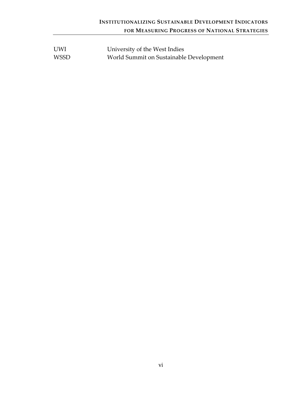| <b>UWI</b>  | University of the West Indies           |
|-------------|-----------------------------------------|
| <b>WSSD</b> | World Summit on Sustainable Development |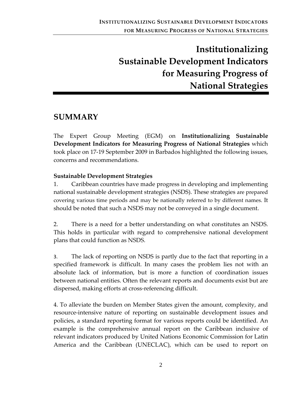# **Institutionalizing Sustainable Development Indicators for Measuring Progress of National Strategies**

# <span id="page-8-1"></span><span id="page-8-0"></span>**SUMMARY**

The Expert Group Meeting (EGM) on **Institutionalizing Sustainable Development Indicators for Measuring Progress of National Strategies** which took place on 17‐19 September 2009 in Barbados highlighted the following issues, concerns and recommendations.

#### **Sustainable Development Strategies**

1. Caribbean countries have made progress in developing and implementing national sustainable development strategies (NSDS). These strategies are prepared covering various time periods and may be nationally referred to by different names. It should be noted that such a NSDS may not be conveyed in a single document.

2. There is a need for a better understanding on what constitutes an NSDS. This holds in particular with regard to comprehensive national development plans that could function as NSDS.

3. The lack of reporting on NSDS is partly due to the fact that reporting in a specified framework is difficult. In many cases the problem lies not with an absolute lack of information, but is more a function of coordination issues between national entities. Often the relevant reports and documents exist but are dispersed, making efforts at cross‐referencing difficult.

4. To alleviate the burden on Member States given the amount, complexity, and resource‐intensive nature of reporting on sustainable development issues and policies, a standard reporting format for various reports could be identified. An example is the comprehensive annual report on the Caribbean inclusive of relevant indicators produced by United Nations Economic Commission for Latin America and the Caribbean (UNECLAC), which can be used to report on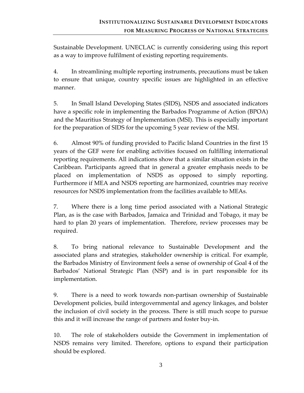Sustainable Development. UNECLAC is currently considering using this report as a way to improve fulfilment of existing reporting requirements.

4. In streamlining multiple reporting instruments, precautions must be taken to ensure that unique, country specific issues are highlighted in an effective manner.

5. In Small Island Developing States (SIDS), NSDS and associated indicators have a specific role in implementing the Barbados Programme of Action (BPOA) and the Mauritius Strategy of Implementation (MSI). This is especially important for the preparation of SIDS for the upcoming 5 year review of the MSI.

6. Almost 90% of funding provided to Pacific Island Countries in the first 15 years of the GEF were for enabling activities focused on fulfilling international reporting requirements. All indications show that a similar situation exists in the Caribbean. Participants agreed that in general a greater emphasis needs to be placed on implementation of NSDS as opposed to simply reporting. Furthermore if MEA and NSDS reporting are harmonized, countries may receive resources for NSDS implementation from the facilities available to MEAs.

7. Where there is a long time period associated with a National Strategic Plan, as is the case with Barbados, Jamaica and Trinidad and Tobago, it may be hard to plan 20 years of implementation. Therefore, review processes may be required.

8. To bring national relevance to Sustainable Development and the associated plans and strategies, stakeholder ownership is critical. For example, the Barbados Ministry of Environment feels a sense of ownership of Goal 4 of the Barbados' National Strategic Plan (NSP) and is in part responsible for its implementation.

9. There is a need to work towards non‐partisan ownership of Sustainable Development policies, build intergovernmental and agency linkages, and bolster the inclusion of civil society in the process. There is still much scope to pursue this and it will increase the range of partners and foster buy‐in.

10. The role of stakeholders outside the Government in implementation of NSDS remains very limited. Therefore, options to expand their participation should be explored.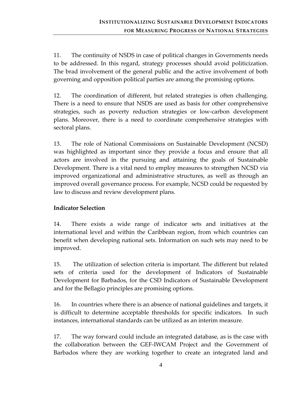11. The continuity of NSDS in case of political changes in Governments needs to be addressed. In this regard, strategy processes should avoid politicization. The brad involvement of the general public and the active involvement of both governing and opposition political parties are among the promising options.

12. The coordination of different, but related strategies is often challenging. There is a need to ensure that NSDS are used as basis for other comprehensive strategies, such as poverty reduction strategies or low‐carbon development plans. Moreover, there is a need to coordinate comprehensive strategies with sectoral plans.

13. The role of National Commissions on Sustainable Development (NCSD) was highlighted as important since they provide a focus and ensure that all actors are involved in the pursuing and attaining the goals of Sustainable Development. There is a vital need to employ measures to strengthen NCSD via improved organizational and administrative structures, as well as through an improved overall governance process. For example, NCSD could be requested by law to discuss and review development plans.

### **Indicator Selection**

14. There exists a wide range of indicator sets and initiatives at the international level and within the Caribbean region, from which countries can benefit when developing national sets. Information on such sets may need to be improved.

15. The utilization of selection criteria is important. The different but related sets of criteria used for the development of Indicators of Sustainable Development for Barbados, for the CSD Indicators of Sustainable Development and for the Bellagio principles are promising options.

16. In countries where there is an absence of national guidelines and targets, it is difficult to determine acceptable thresholds for specific indicators. In such instances, international standards can be utilized as an interim measure.

17. The way forward could include an integrated database, as is the case with the collaboration between the GEF‐IWCAM Project and the Government of Barbados where they are working together to create an integrated land and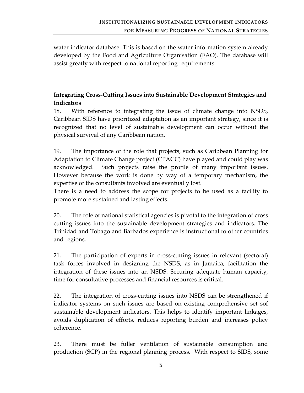water indicator database. This is based on the water information system already developed by the Food and Agriculture Organisation (FAO). The database will assist greatly with respect to national reporting requirements.

# **Integrating Cross‐Cutting Issues into Sustainable Development Strategies and Indicators**

18. With reference to integrating the issue of climate change into NSDS, Caribbean SIDS have prioritized adaptation as an important strategy, since it is recognized that no level of sustainable development can occur without the physical survival of any Caribbean nation.

19. The importance of the role that projects, such as Caribbean Planning for Adaptation to Climate Change project (CPACC) have played and could play was acknowledged. Such projects raise the profile of many important issues. However because the work is done by way of a temporary mechanism, the expertise of the consultants involved are eventually lost.

There is a need to address the scope for projects to be used as a facility to promote more sustained and lasting effects.

20. The role of national statistical agencies is pivotal to the integration of cross cutting issues into the sustainable development strategies and indicators. The Trinidad and Tobago and Barbados experience is instructional to other countries and regions.

21. The participation of experts in cross‐cutting issues in relevant (sectoral) task forces involved in designing the NSDS, as in Jamaica, facilitation the integration of these issues into an NSDS. Securing adequate human capacity, time for consultative processes and financial resources is critical.

22. The integration of cross-cutting issues into NSDS can be strengthened if indicator systems on such issues are based on existing comprehensive set sof sustainable development indicators. This helps to identify important linkages, avoids duplication of efforts, reduces reporting burden and increases policy coherence.

23. There must be fuller ventilation of sustainable consumption and production (SCP) in the regional planning process. With respect to SIDS, some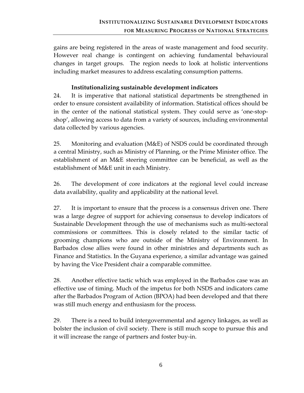gains are being registered in the areas of waste management and food security. However real change is contingent on achieving fundamental behavioural changes in target groups. The region needs to look at holistic interventions including market measures to address escalating consumption patterns.

#### **Institutionalizing sustainable development indicators**

24. It is imperative that national statistical departments be strengthened in order to ensure consistent availability of information. Statistical offices should be in the center of the national statistical system. They could serve as 'one‐stop‐ shop', allowing access to data from a variety of sources, including environmental data collected by various agencies.

25. Monitoring and evaluation (M&E) of NSDS could be coordinated through a central Ministry, such as Ministry of Planning, or the Prime Minister office. The establishment of an M&E steering committee can be beneficial, as well as the establishment of M&E unit in each Ministry.

26. The development of core indicators at the regional level could increase data availability, quality and applicability at the national level.

27. It is important to ensure that the process is a consensus driven one. There was a large degree of support for achieving consensus to develop indicators of Sustainable Development through the use of mechanisms such as multi‐sectoral commissions or committees. This is closely related to the similar tactic of grooming champions who are outside of the Ministry of Environment. In Barbados close allies were found in other ministries and departments such as Finance and Statistics. In the Guyana experience, a similar advantage was gained by having the Vice President chair a comparable committee.

28. Another effective tactic which was employed in the Barbados case was an effective use of timing. Much of the impetus for both NSDS and indicators came after the Barbados Program of Action (BPOA) had been developed and that there was still much energy and enthusiasm for the process.

29. There is a need to build intergovernmental and agency linkages, as well as bolster the inclusion of civil society. There is still much scope to pursue this and it will increase the range of partners and foster buy‐in.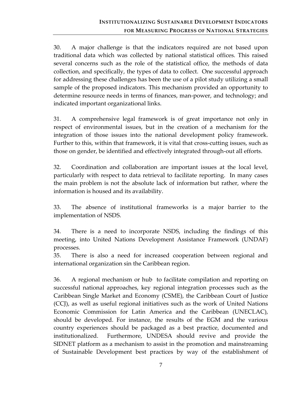30. A major challenge is that the indicators required are not based upon traditional data which was collected by national statistical offices. This raised several concerns such as the role of the statistical office, the methods of data collection, and specifically, the types of data to collect. One successful approach for addressing these challenges has been the use of a pilot study utilizing a small sample of the proposed indicators. This mechanism provided an opportunity to determine resource needs in terms of finances, man‐power, and technology; and indicated important organizational links.

31. A comprehensive legal framework is of great importance not only in respect of environmental issues, but in the creation of a mechanism for the integration of those issues into the national development policy framework. Further to this, within that framework, it is vital that cross-cutting issues, such as those on gender, be identified and effectively integrated through‐out all efforts.

32. Coordination and collaboration are important issues at the local level, particularly with respect to data retrieval to facilitate reporting. In many cases the main problem is not the absolute lack of information but rather, where the information is housed and its availability.

33. The absence of institutional frameworks is a major barrier to the implementation of NSDS.

34. There is a need to incorporate NSDS, including the findings of this meeting, into United Nations Development Assistance Framework (UNDAF) processes.

35. There is also a need for increased cooperation between regional and international organization sin the Caribbean region.

36. A regional mechanism or hub to facilitate compilation and reporting on successful national approaches, key regional integration processes such as the Caribbean Single Market and Economy (CSME), the Caribbean Court of Justice (CCJ), as well as useful regional initiatives such as the work of United Nations Economic Commission for Latin America and the Caribbean (UNECLAC), should be developed. For instance, the results of the EGM and the various country experiences should be packaged as a best practice, documented and institutionalized. Furthermore, UNDESA should revive and provide the SIDNET platform as a mechanism to assist in the promotion and mainstreaming of Sustainable Development best practices by way of the establishment of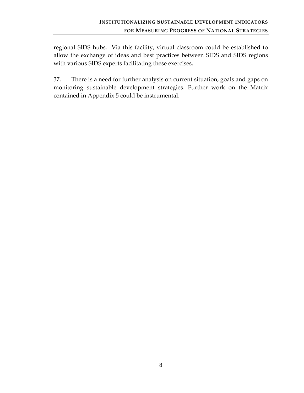regional SIDS hubs. Via this facility, virtual classroom could be established to allow the exchange of ideas and best practices between SIDS and SIDS regions with various SIDS experts facilitating these exercises.

37. There is a need for further analysis on current situation, goals and gaps on monitoring sustainable development strategies. Further work on the Matrix contained in Appendix 5 could be instrumental.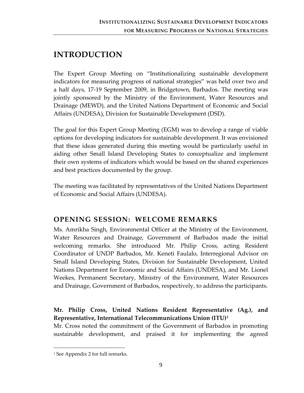# <span id="page-15-1"></span><span id="page-15-0"></span>**INTRODUCTION**

The Expert Group Meeting on "Institutionalizing sustainable development indicators for measuring progress of national strategies" was held over two and a half days, 17‐19 September 2009, in Bridgetown, Barbados. The meeting was jointly sponsored by the Ministry of the Environment, Water Resources and Drainage (MEWD), and the United Nations Department of Economic and Social Affairs (UNDESA), Division for Sustainable Development (DSD).

The goal for this Expert Group Meeting (EGM) was to develop a range of viable options for developing indicators for sustainable development. It was envisioned that these ideas generated during this meeting would be particularly useful in aiding other Small Island Developing States to conceptualize and implement their own systems of indicators which would be based on the shared experiences and best practices documented by the group.

The meeting was facilitated by representatives of the United Nations Department of Economic and Social Affairs (UNDESA).

# <span id="page-15-2"></span>**OPENING SESSION: WELCOME REMARKS**

Ms. Amrikha Singh, Environmental Officer at the Ministry of the Environment, Water Resources and Drainage, Government of Barbados made the initial welcoming remarks. She introduced Mr. Philip Cross, acting Resident Coordinator of UNDP Barbados, Mr. Keneti Faulalo, Interregional Advisor on Small Island Developing States, Division for Sustainable Development, United Nations Department for Economic and Social Affairs (UNDESA), and Mr. Lionel Weekes, Permanent Secretary, Ministry of the Environment, Water Resources and Drainage, Government of Barbados, respectively, to address the participants.

# **Mr. Philip Cross, United Nations Resident Representative (Ag.), and Representative, International Telecommunications Union (ITU)[1](#page-15-3)**

Mr. Cross noted the commitment of the Government of Barbados in promoting sustainable development, and praised it for implementing the agreed

<span id="page-15-3"></span><sup>&</sup>lt;sup>1</sup> See Appendix 2 for full remarks.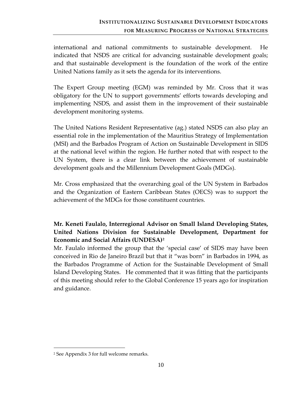international and national commitments to sustainable development. He indicated that NSDS are critical for advancing sustainable development goals; and that sustainable development is the foundation of the work of the entire United Nations family as it sets the agenda for its interventions.

The Expert Group meeting (EGM) was reminded by Mr. Cross that it was obligatory for the UN to support governments' efforts towards developing and implementing NSDS, and assist them in the improvement of their sustainable development monitoring systems.

The United Nations Resident Representative (ag.) stated NSDS can also play an essential role in the implementation of the Mauritius Strategy of Implementation (MSI) and the Barbados Program of Action on Sustainable Development in SIDS at the national level within the region. He further noted that with respect to the UN System, there is a clear link between the achievement of sustainable development goals and the Millennium Development Goals (MDGs).

Mr. Cross emphasized that the overarching goal of the UN System in Barbados and the Organization of Eastern Caribbean States (OECS) was to support the achievement of the MDGs for those constituent countries.

# **Mr. Keneti Faulalo, Interregional Advisor on Small Island Developing States, United Nations Division for Sustainable Development, Department for Economic and Social Affairs (UNDESA)[2](#page-16-0)**

Mr. Faulalo informed the group that the 'special case' of SIDS may have been conceived in Rio de Janeiro Brazil but that it "was born" in Barbados in 1994, as the Barbados Programme of Action for the Sustainable Development of Small Island Developing States. He commented that it was fitting that the participants of this meeting should refer to the Global Conference 15 years ago for inspiration and guidance.

<span id="page-16-0"></span><sup>2</sup> See Appendix 3 for full welcome remarks.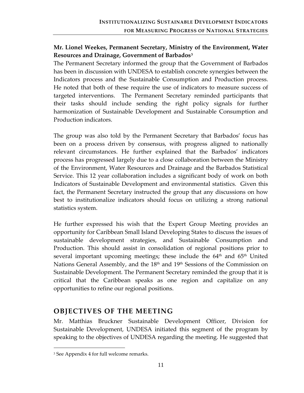### <span id="page-17-0"></span>**Mr. Lionel Weekes, Permanent Secretary, Ministry of the Environment, Water Resources and Drainage, Government of Barbados[3](#page-17-2)**

The Permanent Secretary informed the group that the Government of Barbados has been in discussion with UNDESA to establish concrete synergies between the Indicators process and the Sustainable Consumption and Production process. He noted that both of these require the use of indicators to measure success of targeted interventions. The Permanent Secretary reminded participants that their tasks should include sending the right policy signals for further harmonization of Sustainable Development and Sustainable Consumption and Production indicators.

The group was also told by the Permanent Secretary that Barbados' focus has been on a process driven by consensus, with progress aligned to nationally relevant circumstances. He further explained that the Barbados' indicators process has progressed largely due to a close collaboration between the Ministry of the Environment, Water Resources and Drainage and the Barbados Statistical Service. This 12 year collaboration includes a significant body of work on both Indicators of Sustainable Development and environmental statistics. Given this fact, the Permanent Secretary instructed the group that any discussions on how best to institutionalize indicators should focus on utilizing a strong national statistics system.

He further expressed his wish that the Expert Group Meeting provides an opportunity for Caribbean Small Island Developing States to discuss the issues of sustainable development strategies, and Sustainable Consumption and Production. This should assist in consolidation of regional positions prior to several important upcoming meetings; these include the  $64<sup>th</sup>$  and  $65<sup>th</sup>$  United Nations General Assembly, and the  $18<sup>th</sup>$  and  $19<sup>th</sup>$  Sessions of the Commission on Sustainable Development. The Permanent Secretary reminded the group that it is critical that the Caribbean speaks as one region and capitalize on any opportunities to refine our regional positions.

### <span id="page-17-1"></span>**OBJECTIVES OF THE MEETING**

Mr. Matthias Bruckner Sustainable Development Officer, Division for Sustainable Development, UNDESA initiated this segment of the program by speaking to the objectives of UNDESA regarding the meeting. He suggested that

<span id="page-17-2"></span><sup>3</sup> See Appendix 4 for full welcome remarks.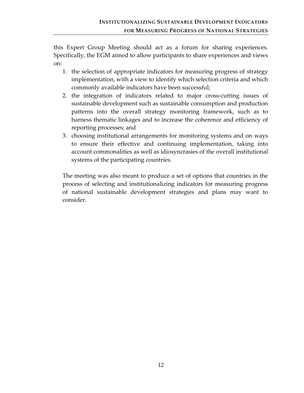this Expert Group Meeting should act as a forum for sharing experiences. Specifically, the EGM aimed to allow participants to share experiences and views on:

- 1. the selection of appropriate indicators for measuring progress of strategy implementation, with a view to identify which selection criteria and which commonly available indicators have been successful;
- 2. the integration of indicators related to major cross‐cutting issues of sustainable development such as sustainable consumption and production patterns into the overall strategy monitoring framework, such as to harness thematic linkages and to increase the coherence and efficiency of reporting processes; and
- 3. choosing institutional arrangements for monitoring systems and on ways to ensure their effective and continuing implementation, taking into account commonalities as well as idiosyncrasies of the overall institutional systems of the participating countries.

The meeting was also meant to produce a set of options that countries in the process of selecting and institutionalizing indicators for measuring progress of national sustainable development strategies and plans may want to consider.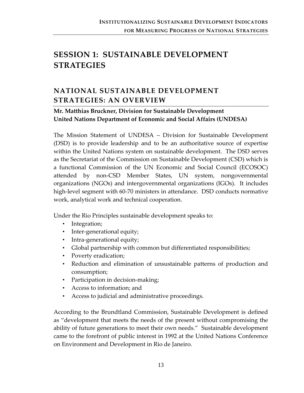# <span id="page-19-1"></span><span id="page-19-0"></span>**SESSION 1: SUSTAINABLE DEVELOPMENT STRATEGIES**

# <span id="page-19-2"></span>**NATIONAL SUSTAINABLE DEVELOPMENT STRATEGIES: AN OVERVIEW**

### **Mr. Matthias Bruckner, Division for Sustainable Development United Nations Department of Economic and Social Affairs (UNDESA)**

The Mission Statement of UNDESA – Division for Sustainable Development (DSD) is to provide leadership and to be an authoritative source of expertise within the United Nations system on sustainable development. The DSD serves as the Secretariat of the Commission on Sustainable Development (CSD) which is a functional Commission of the UN Economic and Social Council (ECOSOC) attended by non‐CSD Member States, UN system, nongovernmental organizations (NGOs) and intergovernmental organizations (IGOs). It includes high-level segment with 60-70 ministers in attendance. DSD conducts normative work, analytical work and technical cooperation.

Under the Rio Principles sustainable development speaks to:

- Integration;
- Inter-generational equity;
- Intra-generational equity;
- Global partnership with common but differentiated responsibilities;
- Poverty eradication;
- Reduction and elimination of unsustainable patterns of production and consumption;
- Participation in decision-making;
- Access to information; and
- Access to judicial and administrative proceedings.

According to the Brundtland Commission, Sustainable Development is defined as "development that meets the needs of the present without compromising the ability of future generations to meet their own needs." Sustainable development came to the forefront of public interest in 1992 at the United Nations Conference on Environment and Development in Rio de Janeiro.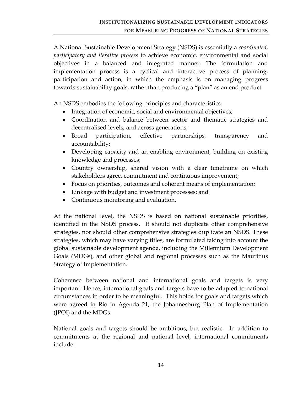A National Sustainable Development Strategy (NSDS) is essentially a *coordinated, participatory and iterative process* to achieve economic, environmental and social objectives in a balanced and integrated manner. The formulation and implementation process is a cyclical and interactive process of planning, participation and action, in which the emphasis is on managing progress towards sustainability goals, rather than producing a "plan" as an end product.

An NSDS embodies the following principles and characteristics:

- Integration of economic, social and environmental objectives;
- Coordination and balance between sector and thematic strategies and decentralised levels, and across generations;
- Broad participation, effective partnerships, transparency and accountability;
- Developing capacity and an enabling environment, building on existing knowledge and processes;
- Country ownership, shared vision with a clear timeframe on which stakeholders agree, commitment and continuous improvement;
- Focus on priorities, outcomes and coherent means of implementation;
- Linkage with budget and investment processes; and
- Continuous monitoring and evaluation.

At the national level, the NSDS is based on national sustainable priorities, identified in the NSDS process. It should not duplicate other comprehensive strategies, nor should other comprehensive strategies duplicate an NSDS. These strategies, which may have varying titles, are formulated taking into account the global sustainable development agenda, including the Millennium Development Goals (MDGs), and other global and regional processes such as the Mauritius Strategy of Implementation.

Coherence between national and international goals and targets is very important. Hence, international goals and targets have to be adapted to national circumstances in order to be meaningful. This holds for goals and targets which were agreed in Rio in Agenda 21, the Johannesburg Plan of Implementation (JPOI) and the MDGs.

National goals and targets should be ambitious, but realistic. In addition to commitments at the regional and national level, international commitments include: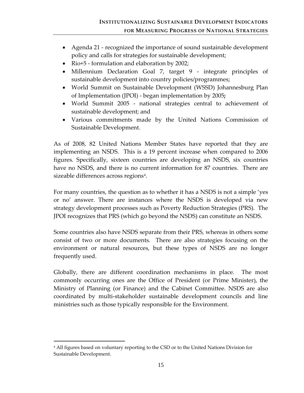- Agenda 21 recognized the importance of sound sustainable development policy and calls for strategies for sustainable development;
- Rio+5 formulation and elaboration by 2002;
- Millennium Declaration Goal 7, target 9 integrate principles of sustainable development into country policies/programmes;
- World Summit on Sustainable Development (WSSD) Johannesburg Plan of Implementation (JPOI) ‐ began implementation by 2005**;**
- World Summit 2005 national strategies central to achievement of sustainable development; and
- Various commitments made by the United Nations Commission of Sustainable Development.

As of 2008, 82 United Nations Member States have reported that they are implementing an NSDS. This is a 19 percent increase when compared to 2006 figures. Specifically, sixteen countries are developing an NSDS, six countries have no NSDS, and there is no current information for 87 countries. There are sizeable differences across regions<sup>[4](#page-21-0)</sup>.

For many countries, the question as to whether it has a NSDS is not a simple 'yes or no' answer. There are instances where the NSDS is developed via new strategy development processes such as Poverty Reduction Strategies (PRS). The JPOI recognizes that PRS (which go beyond the NSDS) can constitute an NSDS.

Some countries also have NSDS separate from their PRS, whereas in others some consist of two or more documents. There are also strategies focusing on the environment or natural resources, but these types of NSDS are no longer frequently used.

Globally, there are different coordination mechanisms in place. The most commonly occurring ones are the Office of President (or Prime Minister), the Ministry of Planning (or Finance) and the Cabinet Committee. NSDS are also coordinated by multi‐stakeholder sustainable development councils and line ministries such as those typically responsible for the Environment.

<span id="page-21-0"></span><sup>4</sup> All figures based on voluntary reporting to the CSD or to the United Nations Division for Sustainable Development.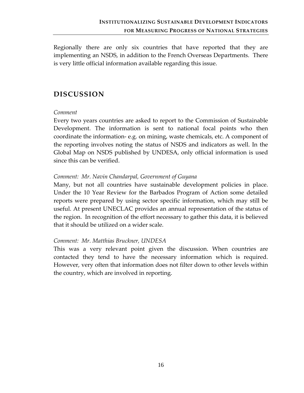<span id="page-22-0"></span>Regionally there are only six countries that have reported that they are implementing an NSDS, in addition to the French Overseas Departments. There is very little official information available regarding this issue.

# <span id="page-22-1"></span>**DISCUSSION**

#### *Comment*

Every two years countries are asked to report to the Commission of Sustainable Development. The information is sent to national focal points who then coordinate the information‐ e.g. on mining, waste chemicals, etc. A component of the reporting involves noting the status of NSDS and indicators as well. In the Global Map on NSDS published by UNDESA, only official information is used since this can be verified.

#### *Comment: Mr. Navin Chandarpal, Government of Guyana*

Many, but not all countries have sustainable development policies in place. Under the 10 Year Review for the Barbados Program of Action some detailed reports were prepared by using sector specific information, which may still be useful. At present UNECLAC provides an annual representation of the status of the region. In recognition of the effort necessary to gather this data, it is believed that it should be utilized on a wider scale.

#### *Comment: Mr. Matthias Bruckner, UNDESA*

This was a very relevant point given the discussion. When countries are contacted they tend to have the necessary information which is required. However, very often that information does not filter down to other levels within the country, which are involved in reporting.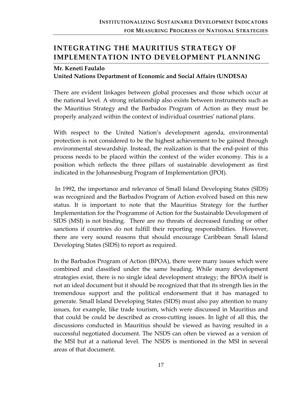# <span id="page-23-1"></span><span id="page-23-0"></span>**INTEGRATING THE MAURITIUS STRATEGY OF IMPLEMENTATION INTO DEVELOPMENT PLANNING**

#### **Mr. Keneti Faulalo United Nations Department of Economic and Social Affairs (UNDESA)**

There are evident linkages between global processes and those which occur at the national level. A strong relationship also exists between instruments such as the Mauritius Strategy and the Barbados Program of Action as they must be properly analyzed within the context of individual countries' national plans.

With respect to the United Nation's development agenda, environmental protection is not considered to be the highest achievement to be gained through environmental stewardship. Instead, the realization is that the end‐point of this process needs to be placed within the context of the wider economy. This is a position which reflects the three pillars of sustainable development as first indicated in the Johannesburg Program of Implementation (JPOI).

In 1992, the importance and relevance of Small Island Developing States (SIDS) was recognized and the Barbados Program of Action evolved based on this new status. It is important to note that the Mauritius Strategy for the further Implementation for the Programme of Action for the Sustainable Development of SIDS (MSI) is not binding. There are no threats of decreased funding or other sanctions if countries do not fulfill their reporting responsibilities. However, there are very sound reasons that should encourage Caribbean Small Island Developing States (SIDS) to report as required.

In the Barbados Program of Action (BPOA), there were many issues which were combined and classified under the same heading. While many development strategies exist, there is no single ideal development strategy; the BPOA itself is not an ideal document but it should be recognized that that its strength lies in the tremendous support and the political endorsement that it has managed to generate. Small Island Developing States (SIDS) must also pay attention to many issues, for example, like trade tourism, which were discussed in Mauritius and that could be could be described as cross‐cutting issues. In light of all this, the discussions conducted in Mauritius should be viewed as having resulted in a successful negotiated document. The NSDS can often be viewed as a version of the MSI but at a national level. The NSDS is mentioned in the MSI in several areas of that document.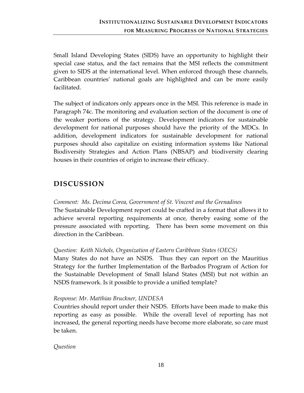<span id="page-24-0"></span>Small Island Developing States (SIDS) have an opportunity to highlight their special case status, and the fact remains that the MSI reflects the commitment given to SIDS at the international level. When enforced through these channels, Caribbean countries' national goals are highlighted and can be more easily facilitated.

The subject of indicators only appears once in the MSI. This reference is made in Paragraph 74c. The monitoring and evaluation section of the document is one of the weaker portions of the strategy. Development indicators for sustainable development for national purposes should have the priority of the MDCs. In addition, development indicators for sustainable development for national purposes should also capitalize on existing information systems like National Biodiversity Strategies and Action Plans (NBSAP) and biodiversity clearing houses in their countries of origin to increase their efficacy.

# <span id="page-24-1"></span>**DISCUSSION**

#### *Comment: Ms. Decima Corea, Government of St. Vincent and the Grenadines*

The Sustainable Development report could be crafted in a format that allows it to achieve several reporting requirements at once, thereby easing some of the pressure associated with reporting. There has been some movement on this direction in the Caribbean.

#### *Question: Keith Nichols, Organization of Eastern Caribbean States (OECS)*

Many States do not have an NSDS. Thus they can report on the Mauritius Strategy for the further Implementation of the Barbados Program of Action for the Sustainable Development of Small Island States (MSI) but not within an NSDS framework. Is it possible to provide a unified template?

#### *Response: Mr. Matthias Bruckner, UNDESA*

Countries should report under their NSDS. Efforts have been made to make this reporting as easy as possible. While the overall level of reporting has not increased, the general reporting needs have become more elaborate, so care must be taken.

*Question*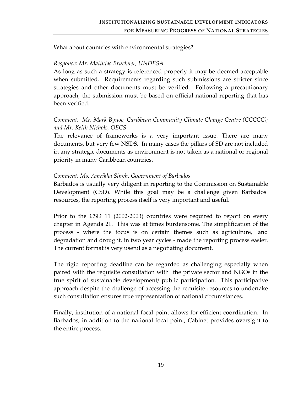What about countries with environmental strategies?

#### *Response: Mr. Matthias Bruckner, UNDESA*

As long as such a strategy is referenced properly it may be deemed acceptable when submitted. Requirements regarding such submissions are stricter since strategies and other documents must be verified. Following a precautionary approach, the submission must be based on official national reporting that has been verified.

#### *Comment: Mr. Mark Bynoe, Caribbean Community Climate Change Centre (CCCCC); and Mr. Keith Nichols, OECS*

The relevance of frameworks is a very important issue. There are many documents, but very few NSDS. In many cases the pillars of SD are not included in any strategic documents as environment is not taken as a national or regional priority in many Caribbean countries.

#### *Comment: Ms. Amrikha Singh, Government of Barbados*

Barbados is usually very diligent in reporting to the Commission on Sustainable Development (CSD). While this goal may be a challenge given Barbados' resources, the reporting process itself is very important and useful.

Prior to the CSD 11 (2002‐2003) countries were required to report on every chapter in Agenda 21. This was at times burdensome. The simplification of the process ‐ where the focus is on certain themes such as agriculture, land degradation and drought, in two year cycles ‐ made the reporting process easier. The current format is very useful as a negotiating document.

The rigid reporting deadline can be regarded as challenging especially when paired with the requisite consultation with the private sector and NGOs in the true spirit of sustainable development/ public participation. This participative approach despite the challenge of accessing the requisite resources to undertake such consultation ensures true representation of national circumstances.

Finally, institution of a national focal point allows for efficient coordination. In Barbados, in addition to the national focal point, Cabinet provides oversight to the entire process.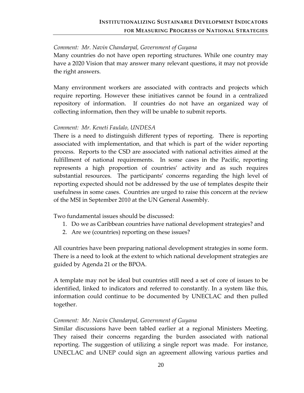#### *Comment: Mr. Navin Chandarpal, Government of Guyana*

Many countries do not have open reporting structures. While one country may have a 2020 Vision that may answer many relevant questions, it may not provide the right answers.

Many environment workers are associated with contracts and projects which require reporting. However these initiatives cannot be found in a centralized repository of information. If countries do not have an organized way of collecting information, then they will be unable to submit reports.

#### *Comment: Mr. Keneti Faulalo, UNDESA*

There is a need to distinguish different types of reporting. There is reporting associated with implementation, and that which is part of the wider reporting process. Reports to the CSD are associated with national activities aimed at the fulfillment of national requirements. In some cases in the Pacific, reporting represents a high proportion of countries' activity and as such requires substantial resources. The participants' concerns regarding the high level of reporting expected should not be addressed by the use of templates despite their usefulness in some cases. Countries are urged to raise this concern at the review of the MSI in September 2010 at the UN General Assembly.

Two fundamental issues should be discussed:

- 1. Do we as Caribbean countries have national development strategies? and
- 2. Are we (countries) reporting on these issues?

All countries have been preparing national development strategies in some form. There is a need to look at the extent to which national development strategies are guided by Agenda 21 or the BPOA.

A template may not be ideal but countries still need a set of core of issues to be identified, linked to indicators and referred to constantly. In a system like this, information could continue to be documented by UNECLAC and then pulled together.

#### *Comment: Mr. Navin Chandarpal, Government of Guyana*

Similar discussions have been tabled earlier at a regional Ministers Meeting. They raised their concerns regarding the burden associated with national reporting. The suggestion of utilizing a single report was made. For instance, UNECLAC and UNEP could sign an agreement allowing various parties and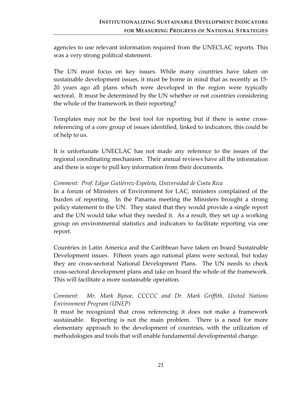agencies to use relevant information required from the UNECLAC reports. This was a very strong political statement.

The UN must focus on key issues. While many countries have taken on sustainable development issues, it must be borne in mind that as recently as 15‐ 20 years ago all plans which were developed in the region were typically sectoral. It must be determined by the UN whether or not countries considering the whole of the framework in their reporting?

Templates may not be the best tool for reporting but if there is some cross‐ referencing of a core group of issues identified, linked to indicators, this could be of help to us.

It is unfortunate UNECLAC has not made any reference to the issues of the regional coordinating mechanism. Their annual reviews have all the information and there is scope to pull key information from their documents.

#### *Comment: Prof. Edgar Gutiérrez‐Espeleta, Universidad de Costa Rica*

In a forum of Ministers of Environment for LAC, ministers complained of the burden of reporting. In the Panama meeting the Ministers brought a strong policy statement to the UN. They stated that they would provide a single report and the UN would take what they needed it. As a result, they set up a working group on environmental statistics and indicators to facilitate reporting via one report.

Countries in Latin America and the Caribbean have taken on board Sustainable Development issues. Fifteen years ago national plans were sectoral, but today they are cross‐sectoral National Development Plans. The UN needs to check cross‐sectoral development plans and take on board the whole of the framework. This will facilitate a more sustainable operation.

### *Comment: Mr. Mark Bynoe, CCCCC and Dr. Mark Griffith, United Nations Environment Program (UNEP)*

It must be recognized that cross referencing it does not make a framework sustainable. Reporting is not the main problem. There is a need for more elementary approach to the development of countries, with the utilization of methodologies and tools that will enable fundamental developmental change.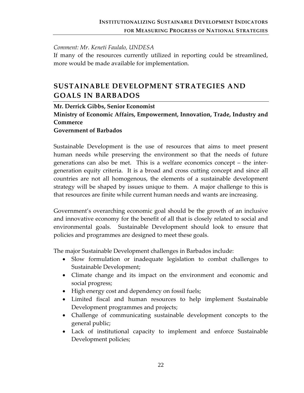#### <span id="page-28-0"></span>*Comment: Mr. Keneti Faulalo, UNDESA*

If many of the resources currently utilized in reporting could be streamlined, more would be made available for implementation.

# <span id="page-28-1"></span>**SUSTAINABLE DEVELOPMENT STRATEGIES AND GOALS IN BARBADOS**

#### **Mr. Derrick Gibbs, Senior Economist**

**Ministry of Economic Affairs, Empowerment, Innovation, Trade, Industry and Commerce**

#### **Government of Barbados**

Sustainable Development is the use of resources that aims to meet present human needs while preserving the environment so that the needs of future generations can also be met. This is a welfare economics concept – the inter‐ generation equity criteria. It is a broad and cross cutting concept and since all countries are not all homogenous, the elements of a sustainable development strategy will be shaped by issues unique to them. A major challenge to this is that resources are finite while current human needs and wants are increasing.

Government's overarching economic goal should be the growth of an inclusive and innovative economy for the benefit of all that is closely related to social and environmental goals. Sustainable Development should look to ensure that policies and programmes are designed to meet these goals.

The major Sustainable Development challenges in Barbados include:

- Slow formulation or inadequate legislation to combat challenges to Sustainable Development;
- Climate change and its impact on the environment and economic and social progress;
- High energy cost and dependency on fossil fuels;
- Limited fiscal and human resources to help implement Sustainable Development programmes and projects;
- Challenge of communicating sustainable development concepts to the general public;
- Lack of institutional capacity to implement and enforce Sustainable Development policies;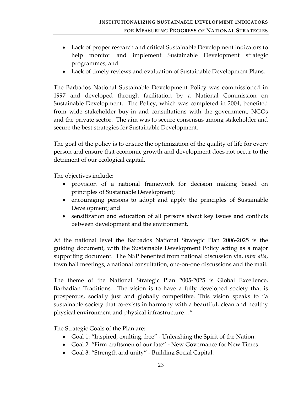- Lack of proper research and critical Sustainable Development indicators to help monitor and implement Sustainable Development strategic programmes; and
- Lack of timely reviews and evaluation of Sustainable Development Plans.

The Barbados National Sustainable Development Policy was commissioned in 1997 and developed through facilitation by a National Commission on Sustainable Development. The Policy, which was completed in 2004, benefited from wide stakeholder buy‐in and consultations with the government, NGOs and the private sector. The aim was to secure consensus among stakeholder and secure the best strategies for Sustainable Development.

The goal of the policy is to ensure the optimization of the quality of life for every person and ensure that economic growth and development does not occur to the detriment of our ecological capital.

The objectives include:

- provision of a national framework for decision making based on principles of Sustainable Development;
- encouraging persons to adopt and apply the principles of Sustainable Development; and
- sensitization and education of all persons about key issues and conflicts between development and the environment.

At the national level the Barbados National Strategic Plan 2006‐2025 is the guiding document, with the Sustainable Development Policy acting as a major supporting document. The NSP benefited from national discussion via, *inter alia*, town hall meetings, a national consultation, one‐on‐one discussions and the mail.

The theme of the National Strategic Plan 2005‐2025 is Global Excellence, Barbadian Traditions. The vision is to have a fully developed society that is prosperous, socially just and globally competitive. This vision speaks to "a sustainable society that co-exists in harmony with a beautiful, clean and healthy physical environment and physical infrastructure…"

The Strategic Goals of the Plan are:

- Goal 1: "Inspired, exulting, free" Unleashing the Spirit of the Nation.
- Goal 2: "Firm craftsmen of our fate" New Governance for New Times.
- Goal 3: "Strength and unity" Building Social Capital.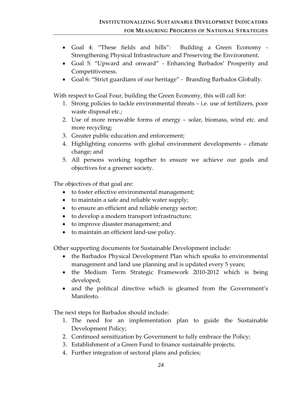- Goal 4: "These fields and hills": Building a Green Economy -Strengthening Physical Infrastructure and Preserving the Environment.
- Goal 5: "Upward and onward" Enhancing Barbados' Prosperity and Competitiveness.
- Goal 6: "Strict guardians of our heritage" Branding Barbados Globally.

With respect to Goal Four, building the Green Economy, this will call for:

- 1. Strong policies to tackle environmental threats i.e. use of fertilizers, poor waste disposal etc.;
- 2. Use of more renewable forms of energy solar, biomass, wind etc. and more recycling;
- 3. Greater public education and enforcement;
- 4. Highlighting concerns with global environment developments climate change; and
- 5. All persons working together to ensure we achieve our goals and objectives for a greener society.

The objectives of that goal are:

- to foster effective environmental management;
- to maintain a safe and reliable water supply;
- to ensure an efficient and reliable energy sector;
- to develop a modern transport infrastructure;
- to improve disaster management; and
- to maintain an efficient land‐use policy.

Other supporting documents for Sustainable Development include:

- the Barbados Physical Development Plan which speaks to environmental management and land use planning and is updated every 5 years;
- the Medium Term Strategic Framework 2010-2012 which is being developed;
- and the political directive which is gleamed from the Government's Manifesto.

The next steps for Barbados should include:

- 1. The need for an implementation plan to guide the Sustainable Development Policy;
- 2. Continued sensitization by Government to fully embrace the Policy;
- 3. Establishment of a Green Fund to finance sustainable projects;
- 4. Further integration of sectoral plans and policies;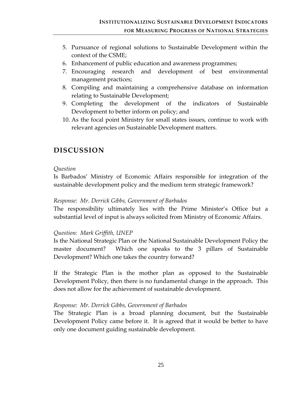- <span id="page-31-0"></span>5. Pursuance of regional solutions to Sustainable Development within the context of the CSME;
- 6. Enhancement of public education and awareness programmes;
- 7. Encouraging research and development of best environmental management practices;
- 8. Compiling and maintaining a comprehensive database on information relating to Sustainable Development;
- 9. Completing the development of the indicators of Sustainable Development to better inform on policy; and
- 10. As the focal point Ministry for small states issues, continue to work with relevant agencies on Sustainable Development matters.

# <span id="page-31-1"></span>**DISCUSSION**

#### *Question*

Is Barbados' Ministry of Economic Affairs responsible for integration of the sustainable development policy and the medium term strategic framework?

#### *Response: Mr. Derrick Gibbs, Government of Barbados*

The responsibility ultimately lies with the Prime Minister's Office but a substantial level of input is always solicited from Ministry of Economic Affairs.

#### *Question: Mark Griffith, UNEP*

Is the National Strategic Plan or the National Sustainable Development Policy the master document? Which one speaks to the 3 pillars of Sustainable Development? Which one takes the country forward?

If the Strategic Plan is the mother plan as opposed to the Sustainable Development Policy, then there is no fundamental change in the approach. This does not allow for the achievement of sustainable development.

#### *Response: Mr. Derrick Gibbs, Government of Barbados*

The Strategic Plan is a broad planning document, but the Sustainable Development Policy came before it. It is agreed that it would be better to have only one document guiding sustainable development.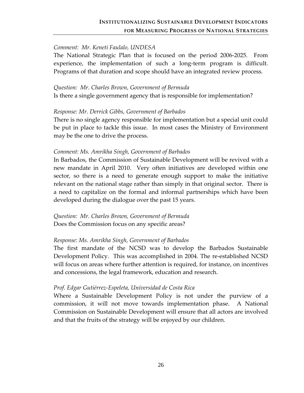#### *Comment: Mr. Keneti Faulalo, UNDESA*

The National Strategic Plan that is focused on the period 2006‐2025. From experience, the implementation of such a long-term program is difficult. Programs of that duration and scope should have an integrated review process.

#### *Question: Mr. Charles Brown, Government of Bermuda*

Is there a single government agency that is responsible for implementation?

#### *Response: Mr. Derrick Gibbs, Government of Barbados*

There is no single agency responsible for implementation but a special unit could be put in place to tackle this issue. In most cases the Ministry of Environment may be the one to drive the process.

#### *Comment: Ms. Amrikha Singh, Government of Barbados*

In Barbados, the Commission of Sustainable Development will be revived with a new mandate in April 2010. Very often initiatives are developed within one sector, so there is a need to generate enough support to make the initiative relevant on the national stage rather than simply in that original sector. There is a need to capitalize on the formal and informal partnerships which have been developed during the dialogue over the past 15 years.

*Question: Mr. Charles Brown, Government of Bermuda* Does the Commission focus on any specific areas?

#### *Response: Ms. Amrikha Singh, Government of Barbados*

The first mandate of the NCSD was to develop the Barbados Sustainable Development Policy. This was accomplished in 2004. The re-established NCSD will focus on areas where further attention is required, for instance, on incentives and concessions, the legal framework, education and research.

#### *Prof. Edgar Gutiérrez‐Espeleta, Universidad de Costa Rica*

Where a Sustainable Development Policy is not under the purview of a commission, it will not move towards implementation phase. A National Commission on Sustainable Development will ensure that all actors are involved and that the fruits of the strategy will be enjoyed by our children.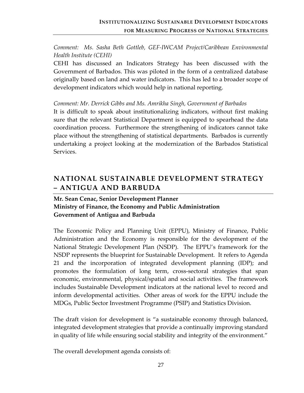### <span id="page-33-0"></span>*Comment: Ms. Sasha Beth Gottleb, GEF‐IWCAM Project/Caribbean Environmental Health Institute (CEHI)*

CEHI has discussed an Indicators Strategy has been discussed with the Government of Barbados. This was piloted in the form of a centralized database originally based on land and water indicators. This has led to a broader scope of development indicators which would help in national reporting.

#### *Comment: Mr. Derrick Gibbs and Ms. Amrikha Singh, Government of Barbados*

It is difficult to speak about institutionalizing indicators, without first making sure that the relevant Statistical Department is equipped to spearhead the data coordination process. Furthermore the strengthening of indicators cannot take place without the strengthening of statistical departments. Barbados is currently undertaking a project looking at the modernization of the Barbados Statistical Services.

# <span id="page-33-1"></span>**NATIONAL SUSTAINABLE DEVELOPMENT STRATEGY – ANTIGUA AND BARBUDA**

### **Mr. Sean Cenac, Senior Development Planner Ministry of Finance, the Economy and Public Administration Government of Antigua and Barbuda**

The Economic Policy and Planning Unit (EPPU), Ministry of Finance, Public Administration and the Economy is responsible for the development of the National Strategic Development Plan (NSDP). The EPPU's framework for the NSDP represents the blueprint for Sustainable Development. It refers to Agenda 21 and the incorporation of integrated development planning (IDP); and promotes the formulation of long term, cross‐sectoral strategies that span economic, environmental, physical/spatial and social activities. The framework includes Sustainable Development indicators at the national level to record and inform developmental activities. Other areas of work for the EPPU include the MDGs, Public Sector Investment Programme (PSIP) and Statistics Division.

The draft vision for development is "a sustainable economy through balanced, integrated development strategies that provide a continually improving standard in quality of life while ensuring social stability and integrity of the environment."

The overall development agenda consists of: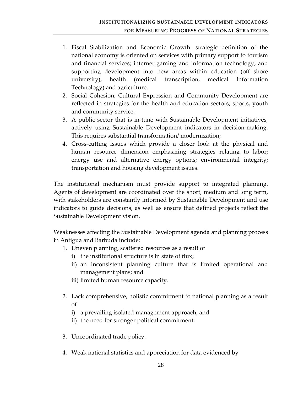- 1. Fiscal Stabilization and Economic Growth: strategic definition of the national economy is oriented on services with primary support to tourism and financial services; internet gaming and information technology; and supporting development into new areas within education (off shore university), health (medical transcription, medical Information Technology) and agriculture.
- 2. Social Cohesion, Cultural Expression and Community Development are reflected in strategies for the health and education sectors; sports, youth and community service.
- 3. A public sector that is in‐tune with Sustainable Development initiatives, actively using Sustainable Development indicators in decision‐making. This requires substantial transformation/ modernization;
- 4. Cross‐cutting issues which provide a closer look at the physical and human resource dimension emphasizing strategies relating to labor; energy use and alternative energy options; environmental integrity; transportation and housing development issues.

The institutional mechanism must provide support to integrated planning. Agents of development are coordinated over the short, medium and long term, with stakeholders are constantly informed by Sustainable Development and use indicators to guide decisions, as well as ensure that defined projects reflect the Sustainable Development vision.

Weaknesses affecting the Sustainable Development agenda and planning process in Antigua and Barbuda include:

- 1. Uneven planning, scattered resources as a result of
	- i) the institutional structure is in state of flux;
	- ii) an inconsistent planning culture that is limited operational and management plans; and
	- iii) limited human resource capacity.
- 2. Lack comprehensive, holistic commitment to national planning as a result of
	- i) a prevailing isolated management approach; and
	- ii) the need for stronger political commitment.
- 3. Uncoordinated trade policy.
- 4. Weak national statistics and appreciation for data evidenced by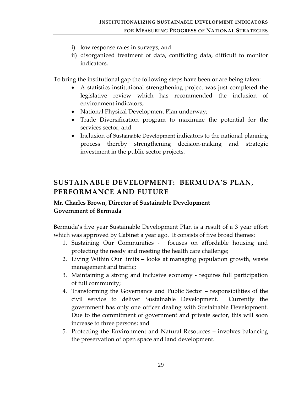- <span id="page-35-0"></span>i) low response rates in surveys; and
- ii) disorganized treatment of data, conflicting data, difficult to monitor indicators.

To bring the institutional gap the following steps have been or are being taken:

- A statistics institutional strengthening project was just completed the legislative review which has recommended the inclusion of environment indicators;
- National Physical Development Plan underway;
- Trade Diversification program to maximize the potential for the services sector; and
- Inclusion of Sustainable Development indicators to the national planning process thereby strengthening decision‐making and strategic investment in the public sector projects.

# <span id="page-35-1"></span>**SUSTAINABLE DEVELOPMENT: BERMUDA'S PLAN, PERFORMANCE AND FUTURE**

### **Mr. Charles Brown, Director of Sustainable Development Government of Bermuda**

Bermuda's five year Sustainable Development Plan is a result of a 3 year effort which was approved by Cabinet a year ago. It consists of five broad themes:

- 1. Sustaining Our Communities focuses on affordable housing and protecting the needy and meeting the health care challenge;
- 2. Living Within Our limits looks at managing population growth, waste management and traffic;
- 3. Maintaining a strong and inclusive economy ‐ requires full participation of full community;
- 4. Transforming the Governance and Public Sector responsibilities of the civil service to deliver Sustainable Development. Currently the government has only one officer dealing with Sustainable Development. Due to the commitment of government and private sector, this will soon increase to three persons; and
- 5. Protecting the Environment and Natural Resources involves balancing the preservation of open space and land development.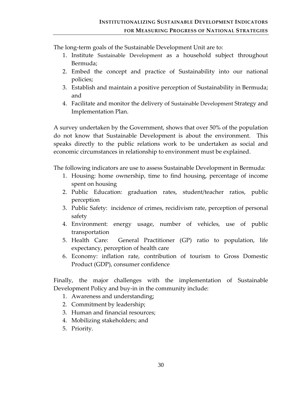The long‐term goals of the Sustainable Development Unit are to:

- 1. Institute Sustainable Development as a household subject throughout Bermuda;
- 2. Embed the concept and practice of Sustainability into our national policies;
- 3. Establish and maintain a positive perception of Sustainability in Bermuda; and
- 4. Facilitate and monitor the delivery of Sustainable Development Strategy and Implementation Plan.

A survey undertaken by the Government, shows that over 50% of the population do not know that Sustainable Development is about the environment. This speaks directly to the public relations work to be undertaken as social and economic circumstances in relationship to environment must be explained.

The following indicators are use to assess Sustainable Development in Bermuda:

- 1. Housing: home ownership, time to find housing, percentage of income spent on housing
- 2. Public Education: graduation rates, student/teacher ratios, public perception
- 3. Public Safety: incidence of crimes, recidivism rate, perception of personal safety
- 4. Environment: energy usage, number of vehicles, use of public transportation
- 5. Health Care: General Practitioner (GP) ratio to population, life expectancy, perception of health care
- 6. Economy: inflation rate, contribution of tourism to Gross Domestic Product (GDP), consumer confidence

Finally, the major challenges with the implementation of Sustainable Development Policy and buy‐in in the community include:

- 1. Awareness and understanding;
- 2. Commitment by leadership;
- 3. Human and financial resources;
- 4. Mobilizing stakeholders; and
- 5. Priority.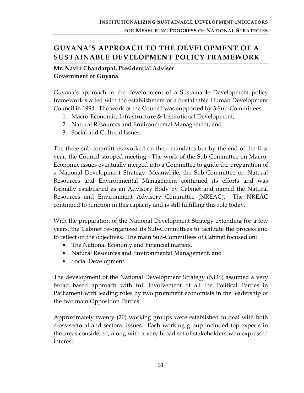# **GUYANA'S APPROACH TO THE DEVELOPMENT OF A SUSTAINABLE DEVELOPMENT POLICY FRAMEWORK**

### **Mr. Navin Chandarpal, Presidential Adviser Government of Guyana**

Guyana's approach to the development of a Sustainable Development policy framework started with the establishment of a Sustainable Human Development Council in 1994. The work of the Council was supported by 3 Sub‐Committees:

- 1. Macro‐Economic, Infrastructure & Institutional Development,
- 2. Natural Resources and Environmental Management, and
- 3. Social and Cultural Issues.

The three sub‐committees worked on their mandates but by the end of the first year, the Council stopped meeting. The work of the Sub‐Committee on Macro‐ Economic issues eventually merged into a Committee to guide the preparation of a National Development Strategy. Meanwhile, the Sub‐Committee on Natural Resources and Environmental Management continued its efforts and was formally established as an Advisory Body by Cabinet and named the Natural Resources and Environment Advisory Committee (NREAC). The NREAC continued to function in this capacity and is still fulfilling this role today.

With the preparation of the National Development Strategy extending for a few years, the Cabinet re‐organized its Sub‐Committees to facilitate the process and to reflect on the objectives. The main Sub‐Committees of Cabinet focused on:

- The National Economy and Financial matters,
- Natural Resources and Environmental Management, and
- Social Development.

The development of the National Development Strategy (NDS) assumed a very broad based approach with full involvement of all the Political Parties in Parliament with leading roles by two prominent economists in the leadership of the two main Opposition Parties.

Approximately twenty (20) working groups were established to deal with both cross‐sectoral and sectoral issues. Each working group included top experts in the areas considered, along with a very broad set of stakeholders who expressed interest.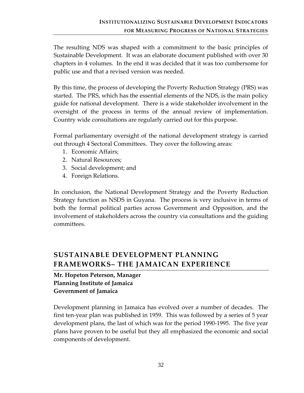The resulting NDS was shaped with a commitment to the basic principles of Sustainable Development. It was an elaborate document published with over 30 chapters in 4 volumes. In the end it was decided that it was too cumbersome for public use and that a revised version was needed.

By this time, the process of developing the Poverty Reduction Strategy (PRS) was started. The PRS, which has the essential elements of the NDS, is the main policy guide for national development. There is a wide stakeholder involvement in the oversight of the process in terms of the annual review of implementation. Country wide consultations are regularly carried out for this purpose.

Formal parliamentary oversight of the national development strategy is carried out through 4 Sectoral Committees. They cover the following areas:

- 1. Economic Affairs;
- 2. Natural Resources;
- 3. Social development; and
- 4. Foreign Relations.

In conclusion, the National Development Strategy and the Poverty Reduction Strategy function as NSDS in Guyana. The process is very inclusive in terms of both the formal political parties across Government and Opposition, and the involvement of stakeholders across the country via consultations and the guiding committees.

# **SUSTAINABLE DEVELOPMENT PLANNING FRAMEWORKS– THE JAMAICAN EXPERIENCE**

# **Mr. Hopeton Peterson, Manager Planning Institute of Jamaica Government of Jamaica**

Development planning in Jamaica has evolved over a number of decades. The first ten‐year plan was published in 1959. This was followed by a series of 5 year development plans, the last of which was for the period 1990‐1995. The five year plans have proven to be useful but they all emphasized the economic and social components of development.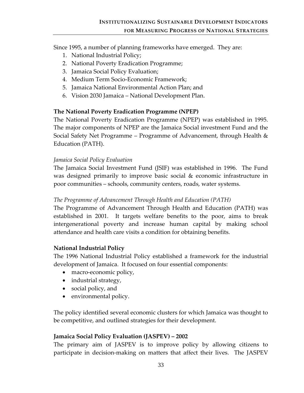Since 1995, a number of planning frameworks have emerged. They are:

- 1. National Industrial Policy;
- 2. National Poverty Eradication Programme;
- 3. Jamaica Social Policy Evaluation;
- 4. Medium Term Socio‐Economic Framework;
- 5. Jamaica National Environmental Action Plan; and
- 6. Vision 2030 Jamaica National Development Plan.

## **The National Poverty Eradication Programme (NPEP)**

The National Poverty Eradication Programme (NPEP) was established in 1995. The major components of NPEP are the Jamaica Social investment Fund and the Social Safety Net Programme – Programme of Advancement, through Health & Education (PATH).

### *Jamaica Social Policy Evaluation*

The Jamaica Social Investment Fund (JSIF) was established in 1996. The Fund was designed primarily to improve basic social & economic infrastructure in poor communities – schools, community centers, roads, water systems.

#### *The Programme of Advancement Through Health and Education (PATH)*

The Programme of Advancement Through Health and Education (PATH) was established in 2001. It targets welfare benefits to the poor, aims to break intergenerational poverty and increase human capital by making school attendance and health care visits a condition for obtaining benefits.

### **National Industrial Policy**

The 1996 National Industrial Policy established a framework for the industrial development of Jamaica. It focused on four essential components:

- macro-economic policy,
- industrial strategy,
- social policy, and
- environmental policy.

The policy identified several economic clusters for which Jamaica was thought to be competitive, and outlined strategies for their development.

### **Jamaica Social Policy Evaluation (JASPEV) – 2002**

The primary aim of JASPEV is to improve policy by allowing citizens to participate in decision‐making on matters that affect their lives. The JASPEV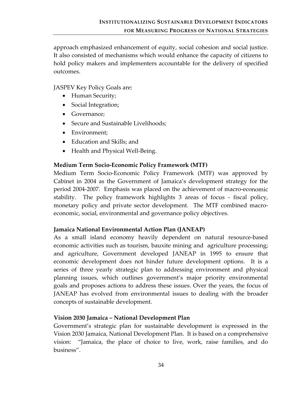approach emphasized enhancement of equity, social cohesion and social justice. It also consisted of mechanisms which would enhance the capacity of citizens to hold policy makers and implementers accountable for the delivery of specified outcomes.

#### JASPEV Key Policy Goals are:

- Human Security;
- Social Integration;
- Governance;
- Secure and Sustainable Livelihoods;
- Environment;
- Education and Skills; and
- Health and Physical Well-Being.

#### **Medium Term Socio‐Economic Policy Framework (MTF)**

Medium Term Socio‐Economic Policy Framework (MTF) was approved by Cabinet in 2004 as the Government of Jamaica's development strategy for the period 2004‐2007. Emphasis was placed on the achievement of macro‐economic stability. The policy framework highlights 3 areas of focus - fiscal policy, monetary policy and private sector development. The MTF combined macroeconomic, social, environmental and governance policy objectives.

#### **Jamaica National Environmental Action Plan (JANEAP)**

As a small island economy heavily dependent on natural resource-based economic activities such as tourism, bauxite mining and agriculture processing; and agriculture, Government developed JANEAP in 1995 to ensure that economic development does not hinder future development options. It is a series of three yearly strategic plan to addressing environment and physical planning issues, which outlines government's major priority environmental goals and proposes actions to address these issues. Over the years, the focus of JANEAP has evolved from environmental issues to dealing with the broader concepts of sustainable development.

#### **Vision 2030 Jamaica – National Development Plan**

Government's strategic plan for sustainable development is expressed in the Vision 2030 Jamaica, National Development Plan. It is based on a comprehensive vision: "Jamaica, the place of choice to live, work, raise families, and do business".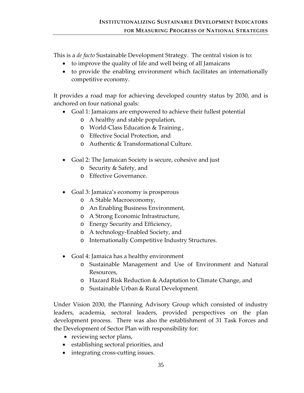This is a *de facto* Sustainable Development Strategy. The central vision is to:

- to improve the quality of life and well being of all Jamaicans
- to provide the enabling environment which facilitates an internationally competitive economy.

It provides a road map for achieving developed country status by 2030, and is anchored on four national goals:

- Goal 1: Jamaicans are empowered to achieve their fullest potential
	- o A healthy and stable population,
	- o World‐Class Education & Training ,
	- o Effective Social Protection, and
	- o Authentic & Transformational Culture.
- Goal 2: The Jamaican Society is secure, cohesive and just
	- o Security & Safety, and
	- o Effective Governance.
- Goal 3: Jamaica's economy is prosperous
	- o A Stable Macroeconomy,
	- o An Enabling Business Environment,
	- o A Strong Economic Infrastructure,
	- o Energy Security and Efficiency,
	- o A technology‐Enabled Society, and
	- o Internationally Competitive Industry Structures.
- Goal 4: Jamaica has a healthy environment
	- o Sustainable Management and Use of Environment and Natural Resources,
	- o Hazard Risk Reduction & Adaptation to Climate Change, and
	- o Sustainable Urban & Rural Development.

Under Vision 2030, the Planning Advisory Group which consisted of industry leaders, academia, sectoral leaders, provided perspectives on the plan development process. There was also the establishment of 31 Task Forces and the Development of Sector Plan with responsibility for:

- reviewing sector plans,
- establishing sectoral priorities, and
- integrating cross-cutting issues.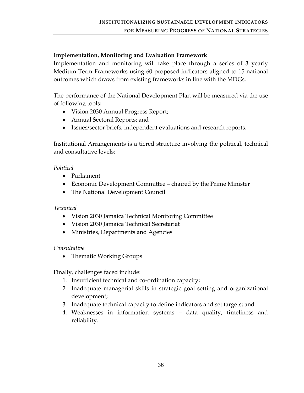## **Implementation, Monitoring and Evaluation Framework**

Implementation and monitoring will take place through a series of 3 yearly Medium Term Frameworks using 60 proposed indicators aligned to 15 national outcomes which draws from existing frameworks in line with the MDGs.

The performance of the National Development Plan will be measured via the use of following tools:

- Vision 2030 Annual Progress Report;
- Annual Sectoral Reports; and
- Issues/sector briefs, independent evaluations and research reports.

Institutional Arrangements is a tiered structure involving the political, technical and consultative levels:

#### *Political*

- Parliament
- Economic Development Committee chaired by the Prime Minister
- The National Development Council

#### *Technical*

- Vision 2030 Jamaica Technical Monitoring Committee
- Vision 2030 Jamaica Technical Secretariat
- Ministries, Departments and Agencies

### *Consultative*

• Thematic Working Groups

Finally, challenges faced include:

- 1. Insufficient technical and co‐ordination capacity;
- 2. Inadequate managerial skills in strategic goal setting and organizational development;
- 3. Inadequate technical capacity to define indicators and set targets; and
- 4. Weaknesses in information systems data quality, timeliness and reliability.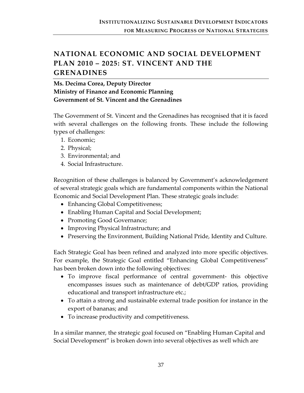# **NATIONAL ECONOMIC AND SOCIAL DEVELOPMENT PLAN 2010 – 2025: ST. VINCENT AND THE GRENADINES**

**Ms. Decima Corea, Deputy Director Ministry of Finance and Economic Planning Government of St. Vincent and the Grenadines**

The Government of St. Vincent and the Grenadines has recognised that it is faced with several challenges on the following fronts. These include the following types of challenges:

- 1. Economic;
- 2. Physical;
- 3. Environmental; and
- 4. Social Infrastructure.

Recognition of these challenges is balanced by Government's acknowledgement of several strategic goals which are fundamental components within the National Economic and Social Development Plan. These strategic goals include:

- Enhancing Global Competitiveness;
- Enabling Human Capital and Social Development;
- Promoting Good Governance;
- Improving Physical Infrastructure; and
- Preserving the Environment, Building National Pride, Identity and Culture.

Each Strategic Goal has been refined and analyzed into more specific objectives. For example, the Strategic Goal entitled "Enhancing Global Competitiveness" has been broken down into the following objectives:

- To improve fiscal performance of central government- this objective encompasses issues such as maintenance of debt/GDP ratios, providing educational and transport infrastructure etc.;
- To attain a strong and sustainable external trade position for instance in the export of bananas; and
- To increase productivity and competitiveness.

In a similar manner, the strategic goal focused on "Enabling Human Capital and Social Development" is broken down into several objectives as well which are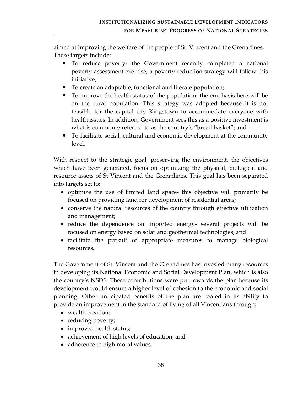aimed at improving the welfare of the people of St. Vincent and the Grenadines. These targets include:

- To reduce poverty- the Government recently completed a national poverty assessment exercise, a poverty reduction strategy will follow this initiative;
- To create an adaptable, functional and literate population;
- To improve the health status of the population- the emphasis here will be on the rural population. This strategy was adopted because it is not feasible for the capital city Kingstown to accommodate everyone with health issues. In addition, Government sees this as a positive investment is what is commonly referred to as the country's "bread basket"; and
- To facilitate social, cultural and economic development at the community level.

With respect to the strategic goal, preserving the environment, the objectives which have been generated, focus on optimizing the physical, biological and resource assets of St Vincent and the Grenadines. This goal has been separated into targets set to:

- optimize the use of limited land space this objective will primarily be focused on providing land for development of residential areas;
- conserve the natural resources of the country through effective utilization and management;
- reduce the dependence on imported energy- several projects will be focused on energy based on solar and geothermal technologies; and
- facilitate the pursuit of appropriate measures to manage biological resources.

The Government of St. Vincent and the Grenadines has invested many resources in developing its National Economic and Social Development Plan, which is also the country's NSDS. These contributions were put towards the plan because its development would ensure a higher level of cohesion to the economic and social planning. Other anticipated benefits of the plan are rooted in its ability to provide an improvement in the standard of living of all Vincentians through:

- wealth creation;
- reducing poverty;
- improved health status;
- achievement of high levels of education; and
- adherence to high moral values.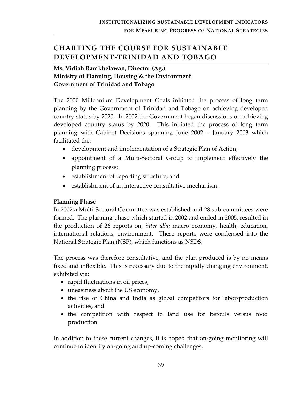# **CHARTING THE COURSE FOR SUSTAINABLE DEVELOPMENT‐TRINIDAD AND TOBAGO**

# **Ms. Vidiah Ramkhelawan, Director (Ag.) Ministry of Planning, Housing & the Environment Government of Trinidad and Tobago**

The 2000 Millennium Development Goals initiated the process of long term planning by the Government of Trinidad and Tobago on achieving developed country status by 2020. In 2002 the Government began discussions on achieving developed country status by 2020. This initiated the process of long term planning with Cabinet Decisions spanning June 2002 – January 2003 which facilitated the:

- development and implementation of a Strategic Plan of Action;
- appointment of a Multi-Sectoral Group to implement effectively the planning process;
- establishment of reporting structure; and
- establishment of an interactive consultative mechanism.

### **Planning Phase**

In 2002 a Multi‐Sectoral Committee was established and 28 sub‐committees were formed. The planning phase which started in 2002 and ended in 2005, resulted in the production of 26 reports on, *inter alia*; macro economy, health, education, international relations, environment. These reports were condensed into the National Strategic Plan (NSP), which functions as NSDS.

The process was therefore consultative, and the plan produced is by no means fixed and inflexible. This is necessary due to the rapidly changing environment, exhibited via;

- rapid fluctuations in oil prices,
- uneasiness about the US economy,
- the rise of China and India as global competitors for labor/production activities, and
- the competition with respect to land use for befouls versus food production.

In addition to these current changes, it is hoped that on‐going monitoring will continue to identify on‐going and up‐coming challenges.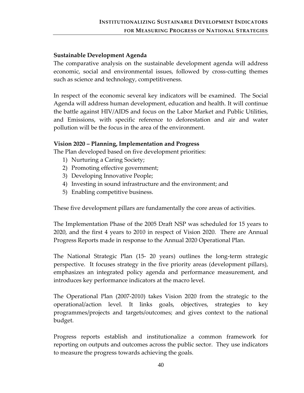#### **Sustainable Development Agenda**

The comparative analysis on the sustainable development agenda will address economic, social and environmental issues, followed by cross-cutting themes such as science and technology, competitiveness.

In respect of the economic several key indicators will be examined. The Social Agenda will address human development, education and health. It will continue the battle against HIV/AIDS and focus on the Labor Market and Public Utilities, and Emissions, with specific reference to deforestation and air and water pollution will be the focus in the area of the environment.

#### **Vision 2020 – Planning, Implementation and Progress**

The Plan developed based on five development priorities:

- 1) Nurturing a Caring Society;
- 2) Promoting effective government;
- 3) Developing Innovative People;
- 4) Investing in sound infrastructure and the environment; and
- 5) Enabling competitive business.

These five development pillars are fundamentally the core areas of activities.

The Implementation Phase of the 2005 Draft NSP was scheduled for 15 years to 2020, and the first 4 years to 2010 in respect of Vision 2020. There are Annual Progress Reports made in response to the Annual 2020 Operational Plan.

The National Strategic Plan (15‐ 20 years) outlines the long‐term strategic perspective. It focuses strategy in the five priority areas (development pillars), emphasizes an integrated policy agenda and performance measurement, and introduces key performance indicators at the macro level.

The Operational Plan (2007‐2010) takes Vision 2020 from the strategic to the operational/action level. It links goals, objectives, strategies to key programmes/projects and targets/outcomes; and gives context to the national budget.

Progress reports establish and institutionalize a common framework for reporting on outputs and outcomes across the public sector. They use indicators to measure the progress towards achieving the goals.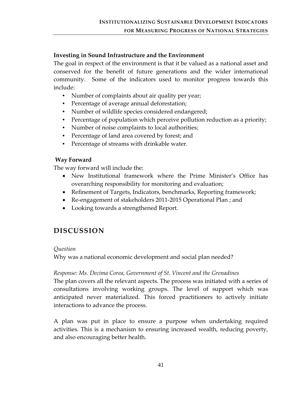## **Investing in Sound Infrastructure and the Environment**

The goal in respect of the environment is that it be valued as a national asset and conserved for the benefit of future generations and the wider international community. Some of the indicators used to monitor progress towards this include:

- Number of complaints about air quality per year;
- Percentage of average annual deforestation;
- Number of wildlife species considered endangered;
- Percentage of population which perceive pollution reduction as a priority;
- Number of noise complaints to local authorities;
- Percentage of land area covered by forest; and
- Percentage of streams with drinkable water.

### **Way Forward**

The way forward will include the:

- New Institutional framework where the Prime Minister's Office has overarching responsibility for monitoring and evaluation;
- Refinement of Targets, Indicators, benchmarks, Reporting framework;
- Re-engagement of stakeholders 2011-2015 Operational Plan ; and
- Looking towards a strengthened Report.

# **DISCUSSION**

#### *Question*

Why was a national economic development and social plan needed?

### *Response: Ms. Decima Corea, Government of St. Vincent and the Grenadines*

The plan covers all the relevant aspects. The process was initiated with a series of consultations involving working groups. The level of support which was anticipated never materialized. This forced practitioners to actively initiate interactions to advance the process.

A plan was put in place to ensure a purpose when undertaking required activities. This is a mechanism to ensuring increased wealth, reducing poverty, and also encouraging better health.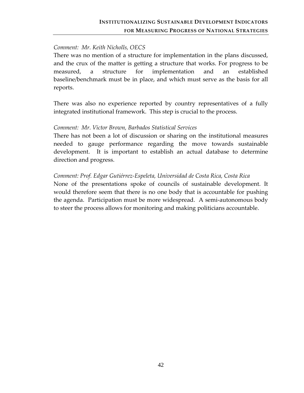#### *Comment: Mr. Keith Nicholls, OECS*

There was no mention of a structure for implementation in the plans discussed, and the crux of the matter is getting a structure that works. For progress to be measured, a structure for implementation and an established baseline/benchmark must be in place, and which must serve as the basis for all reports.

There was also no experience reported by country representatives of a fully integrated institutional framework. This step is crucial to the process.

#### *Comment: Mr. Victor Brown, Barbados Statistical Services*

There has not been a lot of discussion or sharing on the institutional measures needed to gauge performance regarding the move towards sustainable development. It is important to establish an actual database to determine direction and progress.

#### *Comment: Prof. Edgar Gutiérrez‐Espeleta, Universidad de Costa Rica, Costa Rica*

None of the presentations spoke of councils of sustainable development. It would therefore seem that there is no one body that is accountable for pushing the agenda. Participation must be more widespread. A semi-autonomous body to steer the process allows for monitoring and making politicians accountable.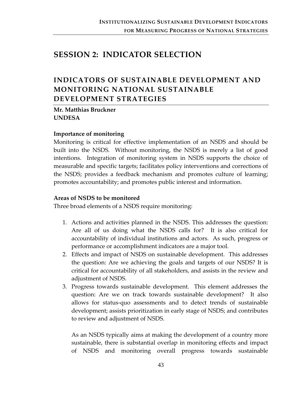# **SESSION 2: INDICATOR SELECTION**

# **INDICATORS OF SUSTAINABLE DEVELOPMENT AND MONITORING NATIONAL SUSTAINABLE DEVELOPMENT STRATEGIES**

**Mr. Matthias Bruckner UNDESA**

#### **Importance of monitoring**

Monitoring is critical for effective implementation of an NSDS and should be built into the NSDS. Without monitoring, the NSDS is merely a list of good intentions. Integration of monitoring system in NSDS supports the choice of measurable and specific targets; facilitates policy interventions and corrections of the NSDS; provides a feedback mechanism and promotes culture of learning; promotes accountability; and promotes public interest and information.

#### **Areas of NSDS to be monitored**

Three broad elements of a NSDS require monitoring:

- 1. Actions and activities planned in the NSDS. This addresses the question: Are all of us doing what the NSDS calls for? It is also critical for accountability of individual institutions and actors. As such, progress or performance or accomplishment indicators are a major tool.
- 2. Effects and impact of NSDS on sustainable development. This addresses the question: Are we achieving the goals and targets of our NSDS? It is critical for accountability of all stakeholders, and assists in the review and adjustment of NSDS.
- 3. Progress towards sustainable development. This element addresses the question: Are we on track towards sustainable development? It also allows for status‐quo assessments and to detect trends of sustainable development; assists prioritization in early stage of NSDS; and contributes to review and adjustment of NSDS.

As an NSDS typically aims at making the development of a country more sustainable, there is substantial overlap in monitoring effects and impact of NSDS and monitoring overall progress towards sustainable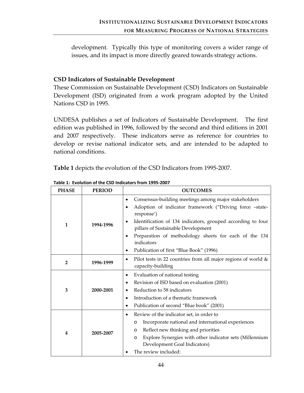development. Typically this type of monitoring covers a wider range of issues, and its impact is more directly geared towards strategy actions.

## **CSD Indicators of Sustainable Development**

These Commission on Sustainable Development (CSD) Indicators on Sustainable Development (ISD) originated from a work program adopted by the United Nations CSD in 1995.

UNDESA publishes a set of Indicators of Sustainable Development. The first edition was published in 1996, followed by the second and third editions in 2001 and 2007 respectively. These indicators serve as reference for countries to develop or revise national indicator sets, and are intended to be adapted to national conditions.

**Table 1** depicts the evolution of the CSD Indicators from 1995‐2007.

| <b>PHASE</b>   | <b>PERIOD</b> | <b>OUTCOMES</b>                                                                                                                                                                                                                                                                                                                                                        |  |  |
|----------------|---------------|------------------------------------------------------------------------------------------------------------------------------------------------------------------------------------------------------------------------------------------------------------------------------------------------------------------------------------------------------------------------|--|--|
| 1              | 1994-1996     | Consensus-building meetings among major stakeholders<br>Adoption of indicator framework ("Driving force -state-<br>response')<br>Identification of 134 indicators, grouped according to four<br>pillars of Sustainable Development<br>Preparation of methodology sheets for each of the 134<br>٠<br>indicators<br>Publication of first "Blue Book" (1996)<br>$\bullet$ |  |  |
| $\overline{2}$ | 1996-1999     | Pilot tests in 22 countries from all major regions of world $\&$<br>$\bullet$<br>capacity-building                                                                                                                                                                                                                                                                     |  |  |
| 3              | 2000-2001     | Evaluation of national testing<br>٠<br>Revision of ISD based on evaluation (2001)<br>٠<br>Reduction to 58 indicators<br>Introduction of a thematic framework<br>$\bullet$<br>Publication of second "Blue book" (2001)<br>٠                                                                                                                                             |  |  |
| 4              | 2005-2007     | Review of the indicator set, in order to<br>$\bullet$<br>Incorporate national and international experiences<br>$\circ$<br>Reflect new thinking and priorities<br>$\circ$<br>Explore Synergies with other indicator sets (Millennium<br>$\circ$<br>Development Goal Indicators)<br>The review included:                                                                 |  |  |

**Table 1: Evolution of the CSD Indicators from 1995‐2007**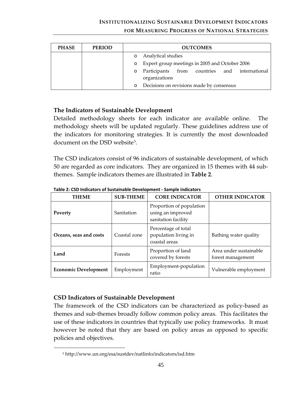#### **INSTITUTIONALIZING SUSTAINABLE DEVELOPMENT INDICATORS**

#### **FOR MEASURING PROGRESS OF NATIONAL STRATEGIES**

| <b>PHASE</b> | <b>PERIOD</b> | <b>OUTCOMES</b>                                                |  |  |  |
|--------------|---------------|----------------------------------------------------------------|--|--|--|
|              |               | Analytical studies                                             |  |  |  |
|              |               | Expert group meetings in 2005 and October 2006<br>$\circ$      |  |  |  |
|              |               | Participants from countries and international<br>organizations |  |  |  |
|              |               | Decisions on revisions made by consensus                       |  |  |  |

#### **The Indicators of Sustainable Development**

Detailed methodology sheets for each indicator are available online. The methodology sheets will be updated regularly. These guidelines address use of the indicators for monitoring strategies. It is currently the most downloaded document on the DSD website<sup>[5](#page-51-0)</sup>.

The CSD indicators consist of 96 indicators of sustainable development, of which 50 are regarded as core indicators. They are organized in 15 themes with 44 sub‐ themes. Sample indicators themes are illustrated in **Table 2**.

| <b>THEME</b>                | <b>SUB-THEME</b> | <b>CORE INDICATOR</b>                                                | <b>OTHER INDICATOR</b>                      |
|-----------------------------|------------------|----------------------------------------------------------------------|---------------------------------------------|
| Poverty                     | Sanitation       | Proportion of population<br>using an improved<br>sanitation facility |                                             |
| Oceans, seas and costs      | Coastal zone     | Percentage of total<br>population living in<br>coastal areas         | Bathing water quality                       |
| Land                        | <b>Forests</b>   | Proportion of land<br>covered by forests                             | Area under sustainable<br>forest management |
| <b>Economic Development</b> | Employment       | Employment-population<br>ratio                                       | Vulnerable employment                       |

**Table 2: CSD Indicators of Sustainable Development ‐ Sample indicators** 

#### **CSD Indicators of Sustainable Development**

<span id="page-51-0"></span> $\overline{a}$ 

The framework of the CSD indicators can be characterized as policy‐based as themes and sub‐themes broadly follow common policy areas. This facilitates the use of these indicators in countries that typically use policy frameworks. It must however be noted that they are based on policy areas as opposed to specific policies and objectives.

<sup>5</sup> http://www.un.org/esa/sustdev/natlinfo/indicators/isd.htm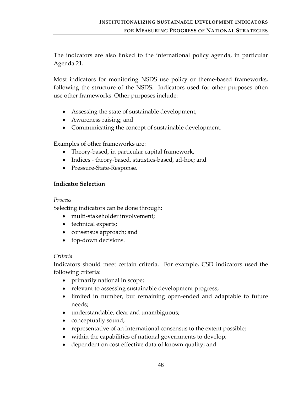The indicators are also linked to the international policy agenda, in particular Agenda 21.

Most indicators for monitoring NSDS use policy or theme‐based frameworks, following the structure of the NSDS. Indicators used for other purposes often use other frameworks. Other purposes include:

- Assessing the state of sustainable development;
- Awareness raising; and
- Communicating the concept of sustainable development.

Examples of other frameworks are:

- Theory-based, in particular capital framework,
- Indices theory-based, statistics-based, ad-hoc; and
- Pressure-State-Response.

### **Indicator Selection**

#### *Process*

Selecting indicators can be done through:

- multi-stakeholder involvement;
- technical experts;
- consensus approach; and
- top-down decisions.

#### *Criteria*

Indicators should meet certain criteria. For example, CSD indicators used the following criteria:

- primarily national in scope;
- relevant to assessing sustainable development progress;
- limited in number, but remaining open-ended and adaptable to future needs;
- understandable, clear and unambiguous;
- conceptually sound;
- representative of an international consensus to the extent possible;
- within the capabilities of national governments to develop;
- dependent on cost effective data of known quality; and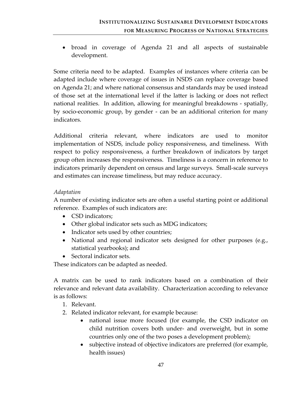• broad in coverage of Agenda 21 and all aspects of sustainable development.

Some criteria need to be adapted. Examples of instances where criteria can be adapted include where coverage of issues in NSDS can replace coverage based on Agenda 21; and where national consensus and standards may be used instead of those set at the international level if the latter is lacking or does not reflect national realities. In addition, allowing for meaningful breakdowns - spatially, by socio‐economic group, by gender ‐ can be an additional criterion for many indicators.

Additional criteria relevant, where indicators are used to monitor implementation of NSDS, include policy responsiveness, and timeliness. With respect to policy responsiveness, a further breakdown of indicators by target group often increases the responsiveness. Timeliness is a concern in reference to indicators primarily dependent on census and large surveys. Small‐scale surveys and estimates can increase timeliness, but may reduce accuracy.

### *Adaptation*

A number of existing indicator sets are often a useful starting point or additional reference. Examples of such indicators are:

- CSD indicators:
- Other global indicator sets such as MDG indicators;
- Indicator sets used by other countries;
- National and regional indicator sets designed for other purposes (e.g., statistical yearbooks); and
- Sectoral indicator sets.

These indicators can be adapted as needed.

A matrix can be used to rank indicators based on a combination of their relevance and relevant data availability. Characterization according to relevance is as follows:

- 1. Relevant.
- 2. Related indicator relevant, for example because:
	- national issue more focused (for example, the CSD indicator on child nutrition covers both under‐ and overweight, but in some countries only one of the two poses a development problem);
	- subjective instead of objective indicators are preferred (for example, health issues)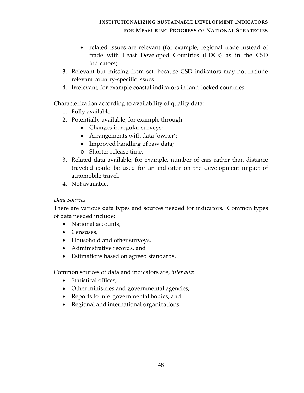- related issues are relevant (for example, regional trade instead of trade with Least Developed Countries (LDCs) as in the CSD indicators)
- 3. Relevant but missing from set, because CSD indicators may not include relevant country‐specific issues
- 4. Irrelevant, for example coastal indicators in land‐locked countries.

Characterization according to availability of quality data:

- 1. Fully available.
- 2. Potentially available, for example through
	- Changes in regular surveys;
	- Arrangements with data 'owner';
	- Improved handling of raw data;
	- o Shorter release time.
- 3. Related data available, for example, number of cars rather than distance traveled could be used for an indicator on the development impact of automobile travel.
- 4. Not available.

### *Data Sources*

There are various data types and sources needed for indicators. Common types of data needed include:

- National accounts,
- Censuses,
- Household and other surveys,
- Administrative records, and
- Estimations based on agreed standards,

Common sources of data and indicators are, *inter alia*:

- Statistical offices,
- Other ministries and governmental agencies,
- Reports to intergovernmental bodies, and
- Regional and international organizations.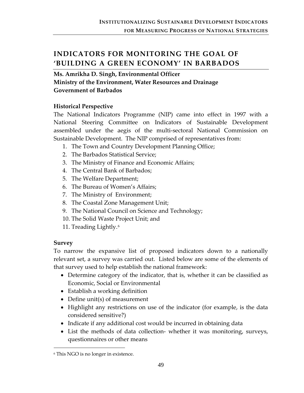# **INDICATORS FOR MONITORING THE GOAL OF 'BUILDING A GREEN ECONOMY' IN BARBADOS**

**Ms. Amrikha D. Singh, Environmental Officer Ministry of the Environment, Water Resources and Drainage Government of Barbados** 

### **Historical Perspective**

The National Indicators Programme (NIP) came into effect in 1997 with a National Steering Committee on Indicators of Sustainable Development assembled under the aegis of the multi‐sectoral National Commission on Sustainable Development. The NIP comprised of representatives from:

- 1. The Town and Country Development Planning Office;
- 2. The Barbados Statistical Service;
- 3. The Ministry of Finance and Economic Affairs;
- 4. The Central Bank of Barbados;
- 5. The Welfare Department;
- 6. The Bureau of Women's Affairs;
- 7. The Ministry of Environment;
- 8. The Coastal Zone Management Unit;
- 9. The National Council on Science and Technology;
- 10. The Solid Waste Project Unit; and
- 11. Treading Lightly.[6](#page-55-0)

#### **Survey**

 $\overline{a}$ 

To narrow the expansive list of proposed indicators down to a nationally relevant set, a survey was carried out. Listed below are some of the elements of that survey used to help establish the national framework:

- Determine category of the indicator, that is, whether it can be classified as Economic, Social or Environmental
- Establish a working definition
- Define unit(s) of measurement
- Highlight any restrictions on use of the indicator (for example, is the data considered sensitive?)
- Indicate if any additional cost would be incurred in obtaining data
- List the methods of data collection- whether it was monitoring, surveys, questionnaires or other means

<span id="page-55-0"></span><sup>6</sup> This NGO is no longer in existence.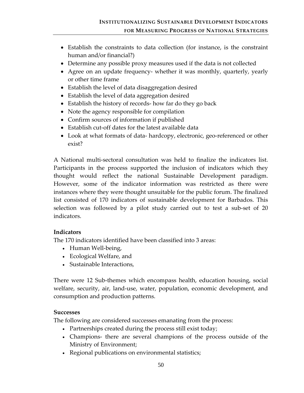- Establish the constraints to data collection (for instance, is the constraint human and/or financial?)
- Determine any possible proxy measures used if the data is not collected
- Agree on an update frequency- whether it was monthly, quarterly, yearly or other time frame
- Establish the level of data disaggregation desired
- Establish the level of data aggregation desired
- Establish the history of records-how far do they go back
- Note the agency responsible for compilation
- Confirm sources of information if published
- Establish cut-off dates for the latest available data
- Look at what formats of data- hardcopy, electronic, geo-referenced or other exist?

A National multi‐sectoral consultation was held to finalize the indicators list. Participants in the process supported the inclusion of indicators which they thought would reflect the national Sustainable Development paradigm. However, some of the indicator information was restricted as there were instances where they were thought unsuitable for the public forum. The finalized list consisted of 170 indicators of sustainable development for Barbados. This selection was followed by a pilot study carried out to test a sub-set of 20 indicators.

### **Indicators**

The 170 indicators identified have been classified into 3 areas:

- Human Well-being,
- Ecological Welfare, and
- Sustainable Interactions,

There were 12 Sub‐themes which encompass health, education housing, social welfare, security, air, land‐use, water, population, economic development, and consumption and production patterns.

### **Successes**

The following are considered successes emanating from the process:

- Partnerships created during the process still exist today;
- Champions‐ there are several champions of the process outside of the Ministry of Environment;
- Regional publications on environmental statistics;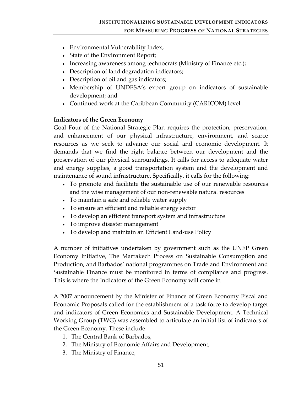- Environmental Vulnerability Index;
- State of the Environment Report;
- Increasing awareness among technocrats (Ministry of Finance etc.);
- Description of land degradation indicators;
- Description of oil and gas indicators;
- Membership of UNDESA's expert group on indicators of sustainable development; and
- Continued work at the Caribbean Community (CARICOM) level.

### **Indicators of the Green Economy**

Goal Four of the National Strategic Plan requires the protection, preservation, and enhancement of our physical infrastructure, environment, and scarce resources as we seek to advance our social and economic development. It demands that we find the right balance between our development and the preservation of our physical surroundings. It calls for access to adequate water and energy supplies, a good transportation system and the development and maintenance of sound infrastructure. Specifically, it calls for the following:

- To promote and facilitate the sustainable use of our renewable resources and the wise management of our non‐renewable natural resources
- To maintain a safe and reliable water supply
- To ensure an efficient and reliable energy sector
- To develop an efficient transport system and infrastructure
- To improve disaster management
- To develop and maintain an Efficient Land-use Policy

A number of initiatives undertaken by government such as the UNEP Green Economy Initiative, The Marrakech Process on Sustainable Consumption and Production, and Barbados' national programmes on Trade and Environment and Sustainable Finance must be monitored in terms of compliance and progress. This is where the Indicators of the Green Economy will come in

A 2007 announcement by the Minister of Finance of Green Economy Fiscal and Economic Proposals called for the establishment of a task force to develop target and indicators of Green Economics and Sustainable Development. A Technical Working Group (TWG) was assembled to articulate an initial list of indicators of the Green Economy. These include:

- 1. The Central Bank of Barbados,
- 2. The Ministry of Economic Affairs and Development,
- 3. The Ministry of Finance,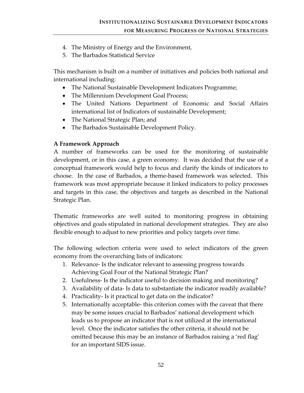- 4. The Ministry of Energy and the Environment,
- 5. The Barbados Statistical Service

This mechanism is built on a number of initiatives and policies both national and international including:

- The National Sustainable Development Indicators Programme;
- The Millennium Development Goal Process;
- The United Nations Department of Economic and Social Affairs international list of Indicators of sustainable Development;
- The National Strategic Plan; and
- The Barbados Sustainable Development Policy.

### **A Framework Approach**

A number of frameworks can be used for the monitoring of sustainable development, or in this case, a green economy. It was decided that the use of a conceptual framework would help to focus and clarify the kinds of indicators to choose. In the case of Barbados, a theme‐based framework was selected. This framework was most appropriate because it linked indicators to policy processes and targets in this case, the objectives and targets as described in the National Strategic Plan.

Thematic frameworks are well suited to monitoring progress in obtaining objectives and goals stipulated in national development strategies. They are also flexible enough to adjust to new priorities and policy targets over time.

The following selection criteria were used to select indicators of the green economy from the overarching lists of indicators:

- 1. Relevance‐ Is the indicator relevant to assessing progress towards Achieving Goal Four of the National Strategic Plan?
- 2. Usefulness‐ Is the indicator useful to decision making and monitoring?
- 3. Availability of data‐ Is data to substantiate the indicator readily available?
- 4. Practicality‐ Is it practical to get data on the indicator?
- 5. Internationally acceptable‐ this criterion comes with the caveat that there may be some issues crucial to Barbados' national development which leads us to propose an indicator that is not utilized at the international level. Once the indicator satisfies the other criteria, it should not be omitted because this may be an instance of Barbados raising a 'red flag' for an important SIDS issue.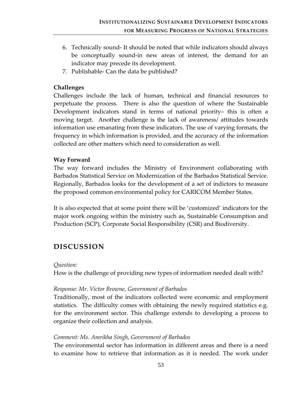- 6. Technically sound‐ It should be noted that while indicators should always be conceptually sound‐in new areas of interest, the demand for an indicator may precede its development.
- 7. Publishable‐ Can the data be published?

### **Challenges**

Challenges include the lack of human, technical and financial resources to perpetuate the process. There is also the question of where the Sustainable Development indicators stand in terms of national priority– this is often a moving target. Another challenge is the lack of awareness/ attitudes towards information use emanating from these indicators. The use of varying formats, the frequency in which information is provided, and the accuracy of the information collected are other matters which need to consideration as well.

#### **Way Forward**

The way forward includes the Ministry of Environment collaborating with Barbados Statistical Service on Modernization of the Barbados Statistical Service. Regionally, Barbados looks for the development of a set of indictors to measure the proposed common environmental policy for CARICOM Member States.

It is also expected that at some point there will be 'customized' indicators for the major work ongoing within the ministry such as, Sustainable Consumption and Production (SCP), Corporate Social Responsibility (CSR) and Biodiversity.

# **DISCUSSION**

#### *Question:*

How is the challenge of providing new types of information needed dealt with?

#### *Response: Mr. Victor Browne, Government of Barbados*

Traditionally, most of the indicators collected were economic and employment statistics. The difficulty comes with obtaining the newly required statistics e.g. for the environment sector. This challenge extends to developing a process to organize their collection and analysis.

### *Comment: Ms. Amrikha Singh, Government of Barbados*

The environmental sector has information in different areas and there is a need to examine how to retrieve that information as it is needed. The work under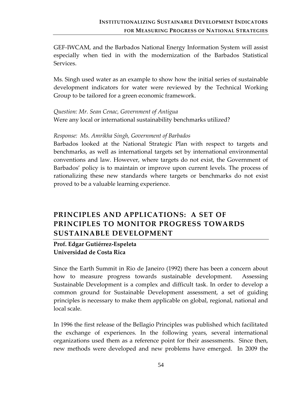GEF‐IWCAM, and the Barbados National Energy Information System will assist especially when tied in with the modernization of the Barbados Statistical Services.

Ms. Singh used water as an example to show how the initial series of sustainable development indicators for water were reviewed by the Technical Working Group to be tailored for a green economic framework.

*Question: Mr. Sean Cenac, Government of Antigua* Were any local or international sustainability benchmarks utilized?

#### *Response: Ms. Amrikha Singh, Government of Barbados*

Barbados looked at the National Strategic Plan with respect to targets and benchmarks, as well as international targets set by international environmental conventions and law. However, where targets do not exist, the Government of Barbados' policy is to maintain or improve upon current levels. The process of rationalizing these new standards where targets or benchmarks do not exist proved to be a valuable learning experience.

# **PRINCIPLES AND APPLICATIONS: A SET OF PRINCIPLES TO MONITOR PROGRESS TOWARDS SUSTAINABLE DEVELOPMENT**

### **Prof. Edgar Gutiérrez‐Espeleta Universidad de Costa Rica**

Since the Earth Summit in Rio de Janeiro (1992) there has been a concern about how to measure progress towards sustainable development. Assessing Sustainable Development is a complex and difficult task. In order to develop a common ground for Sustainable Development assessment, a set of guiding principles is necessary to make them applicable on global, regional, national and local scale.

In 1996 the first release of the Bellagio Principles was published which facilitated the exchange of experiences. In the following years, several international organizations used them as a reference point for their assessments. Since then, new methods were developed and new problems have emerged. In 2009 the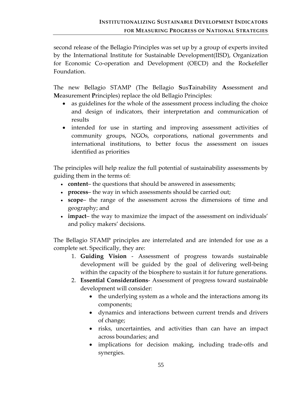second release of the Bellagio Principles was set up by a group of experts invited by the International Institute for Sustainable Development(IISD), Organization for Economic Co-operation and Development (OECD) and the Rockefeller Foundation.

The new Bellagio STAMP (The Bellagio **S**us**T**ainability **A**ssessment and **M**easurement **P**rinciples) replace the old Bellagio Principles:

- as guidelines for the whole of the assessment process including the choice and design of indicators, their interpretation and communication of results
- intended for use in starting and improving assessment activities of community groups, NGOs, corporations, national governments and international institutions, to better focus the assessment on issues identified as priorities

The principles will help realize the full potential of sustainability assessments by guiding them in the terms of:

- **content** the questions that should be answered in assessments;
- **process** the way in which assessments should be carried out;
- **scope** the range of the assessment across the dimensions of time and geography; and
- **impact** the way to maximize the impact of the assessment on individuals' and policy makers' decisions.

The Bellagio STAMP principles are interrelated and are intended for use as a complete set. Specifically, they are:

- 1. **Guiding Vision** ‐ Assessment of progress towards sustainable development will be guided by the goal of delivering well‐being within the capacity of the biosphere to sustain it for future generations.
- 2. **Essential Considerations**‐ Assessment of progress toward sustainable development will consider:
	- the underlying system as a whole and the interactions among its components;
	- dynamics and interactions between current trends and drivers of change;
	- risks, uncertainties, and activities than can have an impact across boundaries; and
	- implications for decision making, including trade-offs and synergies.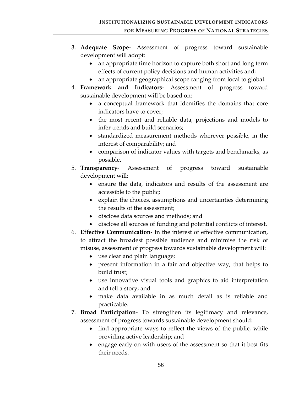- 3. **Adequate Scope**‐ Assessment of progress toward sustainable development will adopt:
	- an appropriate time horizon to capture both short and long term effects of current policy decisions and human activities and;
	- an appropriate geographical scope ranging from local to global.
- 4. **Framework and Indicators**‐ Assessment of progress toward sustainable development will be based on:
	- a conceptual framework that identifies the domains that core indicators have to cover;
	- the most recent and reliable data, projections and models to infer trends and build scenarios;
	- standardized measurement methods wherever possible, in the interest of comparability; and
	- comparison of indicator values with targets and benchmarks, as possible.
- 5. **Transparency**‐ Assessment of progress toward sustainable development will:
	- ensure the data, indicators and results of the assessment are accessible to the public;
	- explain the choices, assumptions and uncertainties determining the results of the assessment;
	- disclose data sources and methods; and
	- disclose all sources of funding and potential conflicts of interest.
- 6. **Effective Communication**‐ In the interest of effective communication, to attract the broadest possible audience and minimise the risk of misuse, assessment of progress towards sustainable development will:
	- use clear and plain language;
	- present information in a fair and objective way, that helps to build trust;
	- use innovative visual tools and graphics to aid interpretation and tell a story; and
	- make data available in as much detail as is reliable and practicable.
- 7. **Broad Participation**‐ To strengthen its legitimacy and relevance, assessment of progress towards sustainable development should:
	- find appropriate ways to reflect the views of the public, while providing active leadership; and
	- engage early on with users of the assessment so that it best fits their needs.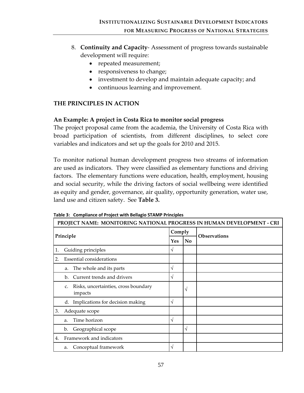- 8. **Continuity and Capacity**‐ Assessment of progress towards sustainable development will require:
	- repeated measurement;
	- responsiveness to change;
	- investment to develop and maintain adequate capacity; and
	- continuous learning and improvement.

### **THE PRINCIPLES IN ACTION**

#### **An Example: A project in Costa Rica to monitor social progress**

The project proposal came from the academia, the University of Costa Rica with broad participation of scientists, from different disciplines, to select core variables and indicators and set up the goals for 2010 and 2015.

To monitor national human development progress two streams of information are used as indicators. They were classified as elementary functions and driving factors. The elementary functions were education, health, employment, housing and social security, while the driving factors of social wellbeing were identified as equity and gender, governance, air quality, opportunity generation, water use, land use and citizen safety. See **Table 3.**

| PROJECT NAME: MONITORING NATIONAL PROGRESS IN HUMAN DEVELOPMENT - CRI |                                                       |        |     |                     |
|-----------------------------------------------------------------------|-------------------------------------------------------|--------|-----|---------------------|
| Principle                                                             |                                                       | Comply |     | <b>Observations</b> |
|                                                                       |                                                       |        | No. |                     |
| 1.                                                                    | Guiding principles                                    | V      |     |                     |
| 2.                                                                    | <b>Essential considerations</b>                       |        |     |                     |
|                                                                       | The whole and its parts<br>a.                         | V      |     |                     |
|                                                                       | Current trends and drivers<br>b.                      | V      |     |                     |
|                                                                       | Risks, uncertainties, cross boundary<br>C.<br>impacts |        | V   |                     |
|                                                                       | Implications for decision making<br>d.                | V      |     |                     |
| 3.                                                                    | Adequate scope                                        |        |     |                     |
|                                                                       | Time horizon<br>a.                                    | V      |     |                     |
|                                                                       | Geographical scope<br>b.                              |        | V   |                     |
| 4.                                                                    | Framework and indicators                              |        |     |                     |
|                                                                       | Conceptual framework<br>a.                            | V      |     |                     |

**Table 3: Compliance of Project with Bellagio STAMP Principles**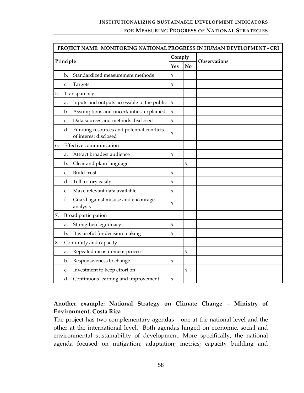# **INSTITUTIONALIZING SUSTAINABLE DEVELOPMENT INDICATORS FOR MEASURING PROGRESS OF NATIONAL STRATEGIES**

| PROJECT NAME: MONITORING NATIONAL PROGRESS IN HUMAN DEVELOPMENT - CRI |           |                                                                    |            |                        |              |
|-----------------------------------------------------------------------|-----------|--------------------------------------------------------------------|------------|------------------------|--------------|
|                                                                       |           | Comply                                                             |            |                        |              |
|                                                                       | Principle |                                                                    | Yes        | $\mathbf{N}\mathbf{o}$ | Observations |
|                                                                       | b.        | Standardized measurement methods                                   | $\sqrt{}$  |                        |              |
|                                                                       | C.        | Targets                                                            | $\sqrt{}$  |                        |              |
| 5.                                                                    |           | Transparency                                                       |            |                        |              |
|                                                                       | a.        | Inputs and outputs accessible to the public                        | $\sqrt{ }$ |                        |              |
|                                                                       | b.        | Assumptions and uncertainties explained                            | $\sqrt{}$  |                        |              |
|                                                                       | C.        | Data sources and methods disclosed                                 | $\sqrt{2}$ |                        |              |
|                                                                       | d.        | Funding resources and potential conflicts<br>of interest disclosed | $\sqrt{}$  |                        |              |
| 6.                                                                    |           | Effective communication                                            |            |                        |              |
|                                                                       | a.        | Attract broadest audience                                          | $\sqrt{}$  |                        |              |
|                                                                       | b.        | Clear and plain language                                           |            | $\sqrt{2}$             |              |
|                                                                       | C.        | <b>Build</b> trust                                                 | √          |                        |              |
|                                                                       | d.        | Tell a story easily                                                | $\sqrt{}$  |                        |              |
|                                                                       | e.        | Make relevant data available                                       | $\sqrt{}$  |                        |              |
|                                                                       | f.        | Guard against misuse and encourage<br>analysis                     | $\sqrt{}$  |                        |              |
| 7.                                                                    |           | Broad participation                                                |            |                        |              |
|                                                                       | a.        | Strengthen legitimacy                                              | $\sqrt{}$  |                        |              |
|                                                                       | b.        | It is useful for decision making                                   | $\sqrt{}$  |                        |              |
| 8.                                                                    |           | Continuity and capacity                                            |            |                        |              |
|                                                                       | a.        | Repeated measurement process                                       |            | $\sqrt{2}$             |              |
|                                                                       | b.        | Responsiveness to change                                           | $\sqrt{}$  |                        |              |
|                                                                       | C.        | Investment to keep effort on                                       |            | $\sqrt{2}$             |              |
|                                                                       |           | d. Continuous learning and improvement                             | $\sqrt{}$  |                        |              |

## **Another example: National Strategy on Climate Change – Ministry of Environment, Costa Rica**

The project has two complementary agendas – one at the national level and the other at the international level. Both agendas hinged on economic, social and environmental sustainability of development. More specifically, the national agenda focused on mitigation; adaptation; metrics; capacity building and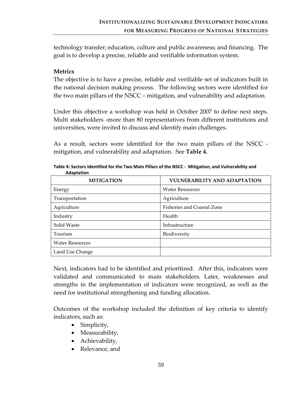technology transfer; education, culture and public awareness; and financing. The goal is to develop a precise, reliable and verifiable information system.

#### **Metrics**

The objective is to have a precise, reliable and verifiable set of indicators built in the national decision making process. The following sectors were identified for the two main pillars of the NSCC – mitigation, and vulnerability and adaptation.

Under this objective a workshop was held in October 2007 to define next steps. Multi stakeholders ‐more than 80 representatives from different institutions and universities, were invited to discuss and identify main challenges.

As a result, sectors were identified for the two main pillars of the NSCC ‐ mitigation, and vulnerability and adaptation. See **Table 4.**

| <b>MITIGATION</b>      | <b>VULNERABILITY AND ADAPTATION</b> |  |  |
|------------------------|-------------------------------------|--|--|
| Energy                 | <b>Water Resources</b>              |  |  |
| Transportation         | Agriculture                         |  |  |
| Agriculture            | Fisheries and Coastal Zone          |  |  |
| Industry               | Health                              |  |  |
| Solid Waste            | Infrastructure                      |  |  |
| Tourism                | Biodiversity                        |  |  |
| <b>Water Resources</b> |                                     |  |  |
| Land Use Change        |                                     |  |  |

**Table 4: Sectors Identified for the Two Main Pillars of the NSCC ‐ Mitigation, and Vulnerability and Adaptation** 

Next, indicators had to be identified and prioritized. After this, indicators were validated and communicated to main stakeholders. Later, weaknesses and strengths in the implementation of indicators were recognized, as well as the need for institutional strengthening and funding allocation.

Outcomes of the workshop included the definition of key criteria to identify indicators, such as:

- Simplicity,
- Measurability,
- Achievability,
- Relevance, and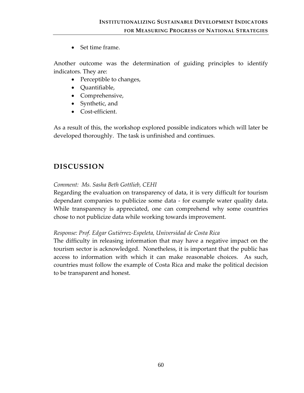• Set time frame.

Another outcome was the determination of guiding principles to identify indicators. They are:

- Perceptible to changes,
- Quantifiable,
- Comprehensive,
- Synthetic, and
- Cost-efficient.

As a result of this, the workshop explored possible indicators which will later be developed thoroughly. The task is unfinished and continues.

# **DISCUSSION**

### *Comment: Ms. Sasha Beth Gottlieb, CEHI*

Regarding the evaluation on transparency of data, it is very difficult for tourism dependant companies to publicize some data ‐ for example water quality data. While transparency is appreciated, one can comprehend why some countries chose to not publicize data while working towards improvement.

### *Response: Prof. Edgar Gutiérrez‐Espeleta, Universidad de Costa Rica*

The difficulty in releasing information that may have a negative impact on the tourism sector is acknowledged. Nonetheless, it is important that the public has access to information with which it can make reasonable choices. As such, countries must follow the example of Costa Rica and make the political decision to be transparent and honest.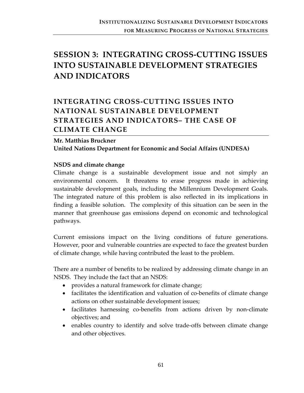# **SESSION 3: INTEGRATING CROSS‐CUTTING ISSUES INTO SUSTAINABLE DEVELOPMENT STRATEGIES AND INDICATORS**

# **INTEGRATING CROSS‐CUTTING ISSUES INTO NATIONAL SUSTAINABLE DEVELOPMENT STRATEGIES AND INDICATORS– THE CASE OF CLIMATE CHANGE**

# **Mr. Matthias Bruckner United Nations Department for Economic and Social Affairs (UNDESA)**

#### **NSDS and climate change**

Climate change is a sustainable development issue and not simply an environmental concern. It threatens to erase progress made in achieving sustainable development goals, including the Millennium Development Goals. The integrated nature of this problem is also reflected in its implications in finding a feasible solution. The complexity of this situation can be seen in the manner that greenhouse gas emissions depend on economic and technological pathways.

Current emissions impact on the living conditions of future generations. However, poor and vulnerable countries are expected to face the greatest burden of climate change, while having contributed the least to the problem.

There are a number of benefits to be realized by addressing climate change in an NSDS. They include the fact that an NSDS:

- provides a natural framework for climate change;
- facilitates the identification and valuation of co-benefits of climate change actions on other sustainable development issues;
- facilitates harnessing co-benefits from actions driven by non-climate objectives; and
- enables country to identify and solve trade‐offs between climate change and other objectives.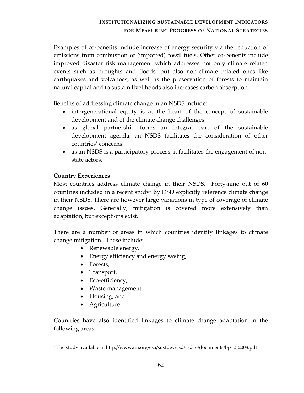Examples of co-benefits include increase of energy security via the reduction of emissions from combustion of (imported) fossil fuels. Other co-benefits include improved disaster risk management which addresses not only climate related events such as droughts and floods, but also non‐climate related ones like earthquakes and volcanoes; as well as the preservation of forests to maintain natural capital and to sustain livelihoods also increases carbon absorption.

Benefits of addressing climate change in an NSDS include:

- intergenerational equity is at the heart of the concept of sustainable development and of the climate change challenges;
- as global partnership forms an integral part of the sustainable development agenda, an NSDS facilitates the consideration of other countries' concerns;
- as an NSDS is a participatory process, it facilitates the engagement of nonstate actors.

### **Country Experiences**

Most countries address climate change in their NSDS. Forty‐nine out of 60 countries included in a recent study[7](#page-68-0) by DSD explicitly reference climate change in their NSDS. There are however large variations in type of coverage of climate change issues. Generally, mitigation is covered more extensively than adaptation, but exceptions exist.

There are a number of areas in which countries identify linkages to climate change mitigation. These include:

- Renewable energy,
- Energy efficiency and energy saving,
- Forests,
- Transport,
- Eco-efficiency,
- Waste management,
- Housing, and
- Agriculture.

1

Countries have also identified linkages to climate change adaptation in the following areas:

<span id="page-68-0"></span><sup>7</sup> The study available at http://www.un.org/esa/sustdev/csd/csd16/documents/bp12\_2008.pdf .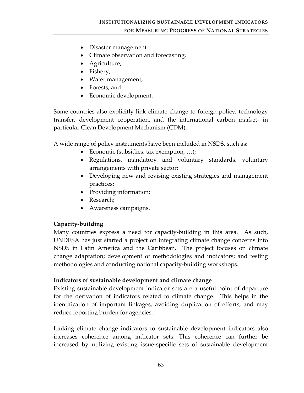- Disaster management
- Climate observation and forecasting,
- Agriculture,
- Fishery,
- Water management,
- Forests, and
- Economic development.

Some countries also explicitly link climate change to foreign policy, technology transfer, development cooperation, and the international carbon market‐ in particular Clean Development Mechanism (CDM).

A wide range of policy instruments have been included in NSDS, such as:

- Economic (subsidies, tax exemption, ...);
- Regulations, mandatory and voluntary standards, voluntary arrangements with private sector;
- Developing new and revising existing strategies and management practices;
- Providing information;
- Research;
- Awareness campaigns.

# **Capacity‐building**

Many countries express a need for capacity-building in this area. As such, UNDESA has just started a project on integrating climate change concerns into NSDS in Latin America and the Caribbean. The project focuses on climate change adaptation; development of methodologies and indicators; and testing methodologies and conducting national capacity‐building workshops.

### **Indicators of sustainable development and climate change**

Existing sustainable development indicator sets are a useful point of departure for the derivation of indicators related to climate change. This helps in the identification of important linkages, avoiding duplication of efforts, and may reduce reporting burden for agencies.

Linking climate change indicators to sustainable development indicators also increases coherence among indicator sets. This coherence can further be increased by utilizing existing issue‐specific sets of sustainable development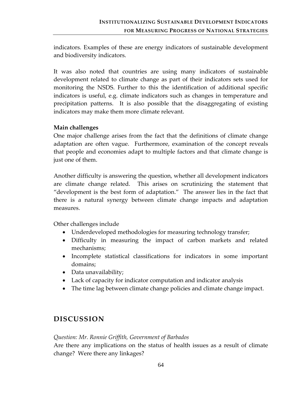indicators. Examples of these are energy indicators of sustainable development and biodiversity indicators.

It was also noted that countries are using many indicators of sustainable development related to climate change as part of their indicators sets used for monitoring the NSDS. Further to this the identification of additional specific indicators is useful, e.g. climate indicators such as changes in temperature and precipitation patterns. It is also possible that the disaggregating of existing indicators may make them more climate relevant.

#### **Main challenges**

One major challenge arises from the fact that the definitions of climate change adaptation are often vague. Furthermore, examination of the concept reveals that people and economies adapt to multiple factors and that climate change is just one of them.

Another difficulty is answering the question, whether all development indicators are climate change related. This arises on scrutinizing the statement that "development is the best form of adaptation." The answer lies in the fact that there is a natural synergy between climate change impacts and adaptation measures.

Other challenges include

- Underdeveloped methodologies for measuring technology transfer;
- Difficulty in measuring the impact of carbon markets and related mechanisms;
- Incomplete statistical classifications for indicators in some important domains;
- Data unavailability;
- Lack of capacity for indicator computation and indicator analysis
- The time lag between climate change policies and climate change impact.

# **DISCUSSION**

### *Question: Mr. Ronnie Griffith, Government of Barbados*

Are there any implications on the status of health issues as a result of climate change? Were there any linkages?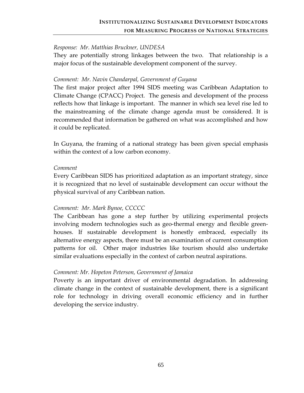#### *Response: Mr. Matthias Bruckner, UNDESA*

They are potentially strong linkages between the two. That relationship is a major focus of the sustainable development component of the survey.

#### *Comment: Mr. Navin Chandarpal, Government of Guyana*

The first major project after 1994 SIDS meeting was Caribbean Adaptation to Climate Change (CPACC) Project. The genesis and development of the process reflects how that linkage is important. The manner in which sea level rise led to the mainstreaming of the climate change agenda must be considered. It is recommended that information be gathered on what was accomplished and how it could be replicated.

In Guyana, the framing of a national strategy has been given special emphasis within the context of a low carbon economy.

#### *Comment*

Every Caribbean SIDS has prioritized adaptation as an important strategy, since it is recognized that no level of sustainable development can occur without the physical survival of any Caribbean nation.

### *Comment: Mr. Mark Bynoe, CCCCC*

The Caribbean has gone a step further by utilizing experimental projects involving modern technologies such as geo-thermal energy and flexible greenhouses. If sustainable development is honestly embraced, especially its alternative energy aspects, there must be an examination of current consumption patterns for oil. Other major industries like tourism should also undertake similar evaluations especially in the context of carbon neutral aspirations.

### *Comment: Mr. Hopeton Peterson, Government of Jamaica*

Poverty is an important driver of environmental degradation. In addressing climate change in the context of sustainable development, there is a significant role for technology in driving overall economic efficiency and in further developing the service industry.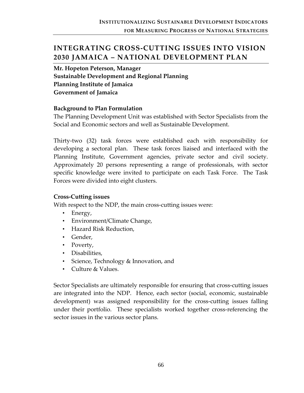## **INTEGRATING CROSS‐CUTTING ISSUES INTO VISION 2030 JAMAICA – NATIONAL DEVELOPMENT PLAN**

**Mr. Hopeton Peterson, Manager Sustainable Development and Regional Planning Planning Institute of Jamaica Government of Jamaica**

#### **Background to Plan Formulation**

The Planning Development Unit was established with Sector Specialists from the Social and Economic sectors and well as Sustainable Development.

Thirty‐two (32) task forces were established each with responsibility for developing a sectoral plan. These task forces liaised and interfaced with the Planning Institute, Government agencies, private sector and civil society. Approximately 20 persons representing a range of professionals, with sector specific knowledge were invited to participate on each Task Force. The Task Forces were divided into eight clusters.

### **Cross‐Cutting issues**

With respect to the NDP, the main cross-cutting issues were:

- Energy,
- Environment/Climate Change,
- Hazard Risk Reduction,
- Gender,
- Poverty,
- Disabilities,
- Science, Technology & Innovation, and
- Culture & Values.

Sector Specialists are ultimately responsible for ensuring that cross‐cutting issues are integrated into the NDP. Hence, each sector (social, economic, sustainable development) was assigned responsibility for the cross-cutting issues falling under their portfolio. These specialists worked together cross-referencing the sector issues in the various sector plans.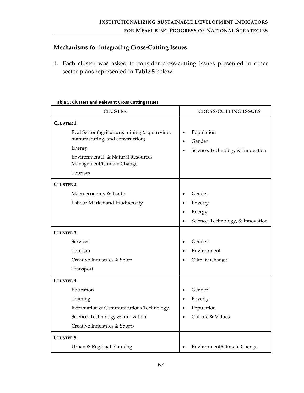## **Mechanisms for integrating Cross‐Cutting Issues**

1. Each cluster was asked to consider cross‐cutting issues presented in other sector plans represented in **Table 5** below.

#### **Table 5: Clusters and Relevant Cross Cutting Issues**

| <b>CLUSTER</b>                                                                              | <b>CROSS-CUTTING ISSUES</b>                                           |
|---------------------------------------------------------------------------------------------|-----------------------------------------------------------------------|
| <b>CLUSTER 1</b>                                                                            |                                                                       |
| Real Sector (agriculture, mining & quarrying,<br>manufacturing, and construction)<br>Energy | Population<br>Gender<br>$\bullet$<br>Science, Technology & Innovation |
| Environmental & Natural Resources<br>Management/Climate Change                              |                                                                       |
| Tourism                                                                                     |                                                                       |
| <b>CLUSTER 2</b>                                                                            |                                                                       |
| Macroeconomy & Trade                                                                        | Gender                                                                |
| Labour Market and Productivity                                                              | Poverty                                                               |
|                                                                                             | Energy                                                                |
|                                                                                             | Science, Technology, & Innovation                                     |
| <b>CLUSTER 3</b>                                                                            |                                                                       |
| <b>Services</b>                                                                             | Gender                                                                |
| Tourism                                                                                     | Environment                                                           |
| Creative Industries & Sport                                                                 | Climate Change                                                        |
| Transport                                                                                   |                                                                       |
| <b>CLUSTER 4</b>                                                                            |                                                                       |
| Education                                                                                   | Gender                                                                |
| Training                                                                                    | Poverty<br>$\bullet$                                                  |
| Information & Communications Technology                                                     | Population                                                            |
| Science, Technology & Innovation                                                            | Culture & Values                                                      |
| Creative Industries & Sports                                                                |                                                                       |
| <b>CLUSTER 5</b>                                                                            |                                                                       |
| Urban & Regional Planning                                                                   | Environment/Climate Change                                            |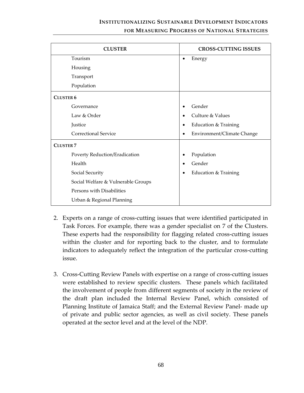## **INSTITUTIONALIZING SUSTAINABLE DEVELOPMENT INDICATORS FOR MEASURING PROGRESS OF NATIONAL STRATEGIES**

| <b>CLUSTER</b>                     | <b>CROSS-CUTTING ISSUES</b>                  |
|------------------------------------|----------------------------------------------|
| Tourism                            | Energy<br>$\bullet$                          |
| Housing                            |                                              |
| Transport                          |                                              |
| Population                         |                                              |
| <b>CLUSTER 6</b>                   |                                              |
| Governance                         | Gender                                       |
| Law & Order                        | Culture & Values                             |
| Justice                            | Education & Training<br>$\bullet$            |
| <b>Correctional Service</b>        | Environment/Climate Change                   |
| <b>CLUSTER 7</b>                   |                                              |
| Poverty Reduction/Eradication      | Population                                   |
| Health                             | Gender                                       |
| Social Security                    | <b>Education &amp; Training</b><br>$\bullet$ |
| Social Welfare & Vulnerable Groups |                                              |
| Persons with Disabilities          |                                              |
| Urban & Regional Planning          |                                              |

- 2. Experts on a range of cross‐cutting issues that were identified participated in Task Forces. For example, there was a gender specialist on 7 of the Clusters. These experts had the responsibility for flagging related cross‐cutting issues within the cluster and for reporting back to the cluster, and to formulate indicators to adequately reflect the integration of the particular cross‐cutting issue.
- 3. Cross‐Cutting Review Panels with expertise on a range of cross‐cutting issues were established to review specific clusters. These panels which facilitated the involvement of people from different segments of society in the review of the draft plan included the Internal Review Panel, which consisted of Planning Institute of Jamaica Staff; and the External Review Panel‐ made up of private and public sector agencies, as well as civil society. These panels operated at the sector level and at the level of the NDP.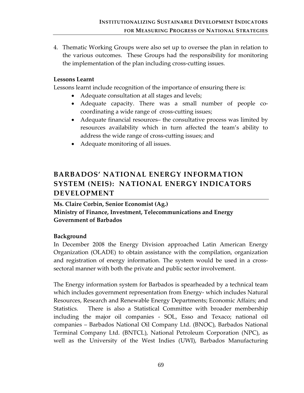4. Thematic Working Groups were also set up to oversee the plan in relation to the various outcomes. These Groups had the responsibility for monitoring the implementation of the plan including cross‐cutting issues.

### **Lessons Learnt**

Lessons learnt include recognition of the importance of ensuring there is:

- Adequate consultation at all stages and levels;
- Adequate capacity. There was a small number of people cocoordinating a wide range of cross-cutting issues;
- Adequate financial resources– the consultative process was limited by resources availability which in turn affected the team's ability to address the wide range of cross‐cutting issues; and
- Adequate monitoring of all issues.

## **BARBADOS' NATIONAL ENERGY INFORMATION SYSTEM (NEIS): NATIONAL ENERGY INDICATORS DEVELOPMENT**

**Ms. Claire Corbin, Senior Economist (Ag.) Ministry of Finance, Investment, Telecommunications and Energy Government of Barbados** 

## **Background**

In December 2008 the Energy Division approached Latin American Energy Organization (OLADE) to obtain assistance with the compilation, organization and registration of energy information. The system would be used in a crosssectoral manner with both the private and public sector involvement.

The Energy information system for Barbados is spearheaded by a technical team which includes government representation from Energy- which includes Natural Resources, Research and Renewable Energy Departments; Economic Affairs; and Statistics. There is also a Statistical Committee with broader membership including the major oil companies ‐ SOL, Esso and Texaco; national oil companies – Barbados National Oil Company Ltd. (BNOC), Barbados National Terminal Company Ltd. (BNTCL), National Petroleum Corporation (NPC), as well as the University of the West Indies (UWI), Barbados Manufacturing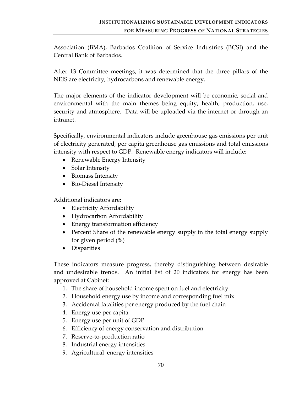Association (BMA), Barbados Coalition of Service Industries (BCSI) and the Central Bank of Barbados.

After 13 Committee meetings, it was determined that the three pillars of the NEIS are electricity, hydrocarbons and renewable energy.

The major elements of the indicator development will be economic, social and environmental with the main themes being equity, health, production, use, security and atmosphere. Data will be uploaded via the internet or through an intranet.

Specifically, environmental indicators include greenhouse gas emissions per unit of electricity generated, per capita greenhouse gas emissions and total emissions intensity with respect to GDP. Renewable energy indicators will include:

- Renewable Energy Intensity
- Solar Intensity
- Biomass Intensity
- Bio-Diesel Intensity

Additional indicators are:

- Electricity Affordability
- Hydrocarbon Affordability
- Energy transformation efficiency
- Percent Share of the renewable energy supply in the total energy supply for given period (%)
- Disparities

These indicators measure progress, thereby distinguishing between desirable and undesirable trends. An initial list of 20 indicators for energy has been approved at Cabinet:

- 1. The share of household income spent on fuel and electricity
- 2. Household energy use by income and corresponding fuel mix
- 3. Accidental fatalities per energy produced by the fuel chain
- 4. Energy use per capita
- 5. Energy use per unit of GDP
- 6. Efficiency of energy conservation and distribution
- 7. Reserve‐to‐production ratio
- 8. Industrial energy intensities
- 9. Agricultural energy intensities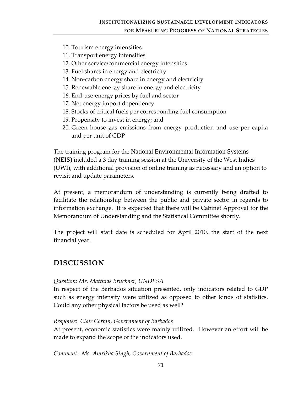- 10. Tourism energy intensities
- 11. Transport energy intensities
- 12. Other service/commercial energy intensities
- 13. Fuel shares in energy and electricity
- 14. Non-carbon energy share in energy and electricity
- 15. Renewable energy share in energy and electricity
- 16. End‐use‐energy prices by fuel and sector
- 17. Net energy import dependency
- 18. Stocks of critical fuels per corresponding fuel consumption
- 19. Propensity to invest in energy; and
- 20. Green house gas emissions from energy production and use per capita and per unit of GDP

The training program for the National Environmental Information Systems (NEIS) included a 3 day training session at the University of the West Indies (UWI), with additional provision of online training as necessary and an option to revisit and update parameters.

At present, a memorandum of understanding is currently being drafted to facilitate the relationship between the public and private sector in regards to information exchange. It is expected that there will be Cabinet Approval for the Memorandum of Understanding and the Statistical Committee shortly.

The project will start date is scheduled for April 2010, the start of the next financial year.

## **DISCUSSION**

#### *Question: Mr. Matthias Bruckner, UNDESA*

In respect of the Barbados situation presented, only indicators related to GDP such as energy intensity were utilized as opposed to other kinds of statistics. Could any other physical factors be used as well?

#### *Response: Clair Corbin, Government of Barbados*

At present, economic statistics were mainly utilized. However an effort will be made to expand the scope of the indicators used.

*Comment: Ms. Amrikha Singh, Government of Barbados*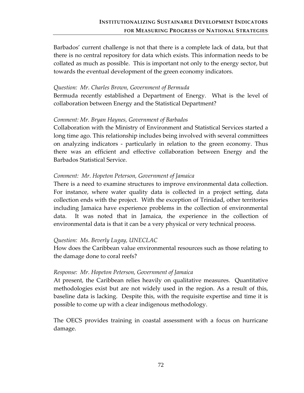Barbados' current challenge is not that there is a complete lack of data, but that there is no central repository for data which exists. This information needs to be collated as much as possible. This is important not only to the energy sector, but towards the eventual development of the green economy indicators.

#### *Question: Mr. Charles Brown, Government of Bermuda*

Bermuda recently established a Department of Energy. What is the level of collaboration between Energy and the Statistical Department?

#### *Comment: Mr. Bryan Haynes, Government of Barbados*

Collaboration with the Ministry of Environment and Statistical Services started a long time ago. This relationship includes being involved with several committees on analyzing indicators ‐ particularly in relation to the green economy. Thus there was an efficient and effective collaboration between Energy and the Barbados Statistical Service.

#### *Comment: Mr. Hopeton Peterson, Government of Jamaica*

There is a need to examine structures to improve environmental data collection. For instance, where water quality data is collected in a project setting, data collection ends with the project. With the exception of Trinidad, other territories including Jamaica have experience problems in the collection of environmental data. It was noted that in Jamaica, the experience in the collection of environmental data is that it can be a very physical or very technical process.

#### *Question: Ms. Beverly Lugay, UNECLAC*

How does the Caribbean value environmental resources such as those relating to the damage done to coral reefs?

#### *Response: Mr. Hopeton Peterson, Government of Jamaica*

At present, the Caribbean relies heavily on qualitative measures. Quantitative methodologies exist but are not widely used in the region. As a result of this, baseline data is lacking. Despite this, with the requisite expertise and time it is possible to come up with a clear indigenous methodology.

The OECS provides training in coastal assessment with a focus on hurricane damage.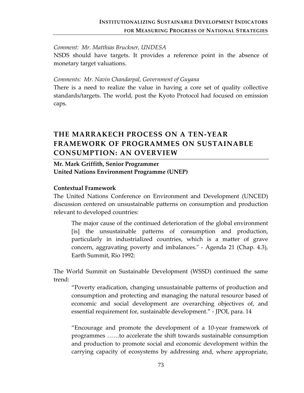#### *Comment: Mr. Matthias Bruckner, UNDESA*

NSDS should have targets. It provides a reference point in the absence of monetary target valuations.

#### *Comments: Mr. Navin Chandarpal, Government of Guyana*

There is a need to realize the value in having a core set of quality collective standards/targets. The world, post the Kyoto Protocol had focused on emission caps.

## **THE MARRAKECH PROCESS ON A TEN‐YEAR FRAMEWORK OF PROGRAMMES ON SUSTAINABLE CONSUMPTION: AN OVERVIEW**

## **Mr. Mark Griffith, Senior Programmer United Nations Environment Programme (UNEP)**

#### **Contextual Framework**

The United Nations Conference on Environment and Development (UNCED) discussion centered on unsustainable patterns on consumption and production relevant to developed countries:

The major cause of the continued deterioration of the global environment [is] the unsustainable patterns of consumption and production, particularly in industrialized countries, which is a matter of grave concern, aggravating poverty and imbalances.<sup>"</sup> - Agenda 21 (Chap. 4.3), Earth Summit, Rio 1992:

The World Summit on Sustainable Development (WSSD) continued the same trend:

"Poverty eradication, changing unsustainable patterns of production and consumption and protecting and managing the natural resource based of economic and social development are overarching objectives of, and essential requirement for, sustainable development." ‐ JPOI, para. 14

"Encourage and promote the development of a 10‐year framework of programmes ……to accelerate the shift towards sustainable consumption and production to promote social and economic development within the carrying capacity of ecosystems by addressing and, where appropriate,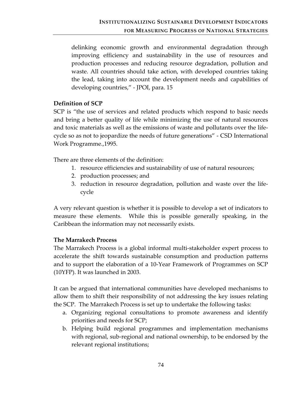delinking economic growth and environmental degradation through improving efficiency and sustainability in the use of resources and production processes and reducing resource degradation, pollution and waste. All countries should take action, with developed countries taking the lead, taking into account the development needs and capabilities of developing countries," ‐ JPOI, para. 15

### **Definition of SCP**

SCP is "the use of services and related products which respond to basic needs and bring a better quality of life while minimizing the use of natural resources and toxic materials as well as the emissions of waste and pollutants over the life‐ cycle so as not to jeopardize the needs of future generations" ‐ CSD International Work Programme.,1995.

There are three elements of the definition:

- 1. resource efficiencies and sustainability of use of natural resources;
- 2. production processes; and
- 3. reduction in resource degradation, pollution and waste over the life‐ cycle

A very relevant question is whether it is possible to develop a set of indicators to measure these elements. While this is possible generally speaking, in the Caribbean the information may not necessarily exists.

## **The Marrakech Process**

The Marrakech Process is a global informal multi‐stakeholder expert process to accelerate the shift towards sustainable consumption and production patterns and to support the elaboration of a 10‐Year Framework of Programmes on SCP (10YFP). It was launched in 2003.

It can be argued that international communities have developed mechanisms to allow them to shift their responsibility of not addressing the key issues relating the SCP. The Marrakech Process is set up to undertake the following tasks:

- a. Organizing regional consultations to promote awareness and identify priorities and needs for SCP;
- b. Helping build regional programmes and implementation mechanisms with regional, sub‐regional and national ownership, to be endorsed by the relevant regional institutions;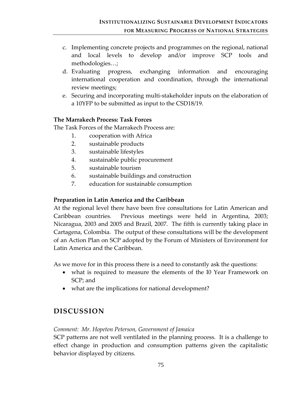- c. Implementing concrete projects and programmes on the regional, national and local levels to develop and/or improve SCP tools and methodologies…;
- d. Evaluating progress, exchanging information and encouraging international cooperation and coordination, through the international review meetings;
- e. Securing and incorporating multi‐stakeholder inputs on the elaboration of a 10YFP to be submitted as input to the CSD18/19.

## **The Marrakech Process: Task Forces**

The Task Forces of the Marrakech Process are:

- 1. cooperation with Africa
- 2. sustainable products
- 3. sustainable lifestyles
- 4. sustainable public procurement
- 5. sustainable tourism
- 6. sustainable buildings and construction
- 7. education for sustainable consumption

## **Preparation in Latin America and the Caribbean**

At the regional level there have been five consultations for Latin American and Caribbean countries. Previous meetings were held in Argentina, 2003; Nicaragua, 2003 and 2005 and Brazil, 2007. The fifth is currently taking place in Cartagena, Colombia. The output of these consultations will be the development of an Action Plan on SCP adopted by the Forum of Ministers of Environment for Latin America and the Caribbean.

As we move for in this process there is a need to constantly ask the questions:

- what is required to measure the elements of the I0 Year Framework on SCP; and
- what are the implications for national development?

## **DISCUSSION**

## *Comment: Mr. Hopeton Peterson, Government of Jamaica*

SCP patterns are not well ventilated in the planning process. It is a challenge to effect change in production and consumption patterns given the capitalistic behavior displayed by citizens.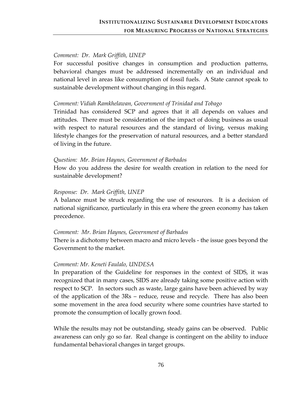### *Comment: Dr. Mark Griffith, UNEP*

For successful positive changes in consumption and production patterns, behavioral changes must be addressed incrementally on an individual and national level in areas like consumption of fossil fuels. A State cannot speak to sustainable development without changing in this regard.

### *Comment: Vidiah Ramkhelawan, Government of Trinidad and Tobago*

Trinidad has considered SCP and agrees that it all depends on values and attitudes. There must be consideration of the impact of doing business as usual with respect to natural resources and the standard of living, versus making lifestyle changes for the preservation of natural resources, and a better standard of living in the future.

#### *Question: Mr. Brian Haynes, Government of Barbados*

How do you address the desire for wealth creation in relation to the need for sustainable development?

### *Response: Dr. Mark Griffith, UNEP*

A balance must be struck regarding the use of resources. It is a decision of national significance, particularly in this era where the green economy has taken precedence.

#### *Comment: Mr. Brian Haynes, Government of Barbados*

There is a dichotomy between macro and micro levels ‐ the issue goes beyond the Government to the market.

#### *Comment: Mr. Keneti Faulalo, UNDESA*

In preparation of the Guideline for responses in the context of SIDS, it was recognized that in many cases, SIDS are already taking some positive action with respect to SCP. In sectors such as waste, large gains have been achieved by way of the application of the 3Rs – reduce, reuse and recycle. There has also been some movement in the area food security where some countries have started to promote the consumption of locally grown food.

While the results may not be outstanding, steady gains can be observed. Public awareness can only go so far. Real change is contingent on the ability to induce fundamental behavioral changes in target groups.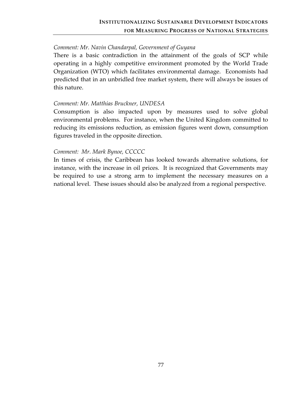### *Comment: Mr. Navin Chandarpal, Government of Guyana*

There is a basic contradiction in the attainment of the goals of SCP while operating in a highly competitive environment promoted by the World Trade Organization (WTO) which facilitates environmental damage. Economists had predicted that in an unbridled free market system, there will always be issues of this nature.

#### *Comment: Mr. Matthias Bruckner, UNDESA*

Consumption is also impacted upon by measures used to solve global environmental problems. For instance, when the United Kingdom committed to reducing its emissions reduction, as emission figures went down, consumption figures traveled in the opposite direction.

#### *Comment: Mr. Mark Bynoe, CCCCC*

In times of crisis, the Caribbean has looked towards alternative solutions, for instance, with the increase in oil prices. It is recognized that Governments may be required to use a strong arm to implement the necessary measures on a national level. These issues should also be analyzed from a regional perspective.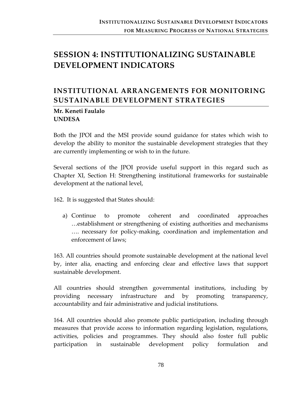# **SESSION 4: INSTITUTIONALIZING SUSTAINABLE DEVELOPMENT INDICATORS**

## **INSTITUTIONAL ARRANGEMENTS FOR MONITORING SUSTAINABLE DEVELOPMENT STRATEGIES**

## **Mr. Keneti Faulalo UNDESA**

Both the JPOI and the MSI provide sound guidance for states which wish to develop the ability to monitor the sustainable development strategies that they are currently implementing or wish to in the future.

Several sections of the JPOI provide useful support in this regard such as Chapter XI, Section H: Strengthening institutional frameworks for sustainable development at the national level,

162. It is suggested that States should:

a) Continue to promote coherent and coordinated approaches …establishment or strengthening of existing authorities and mechanisms …. necessary for policy‐making, coordination and implementation and enforcement of laws;

163. All countries should promote sustainable development at the national level by, inter alia, enacting and enforcing clear and effective laws that support sustainable development.

All countries should strengthen governmental institutions, including by providing necessary infrastructure and by promoting transparency, accountability and fair administrative and judicial institutions.

164. All countries should also promote public participation, including through measures that provide access to information regarding legislation, regulations, activities, policies and programmes. They should also foster full public participation in sustainable development policy formulation and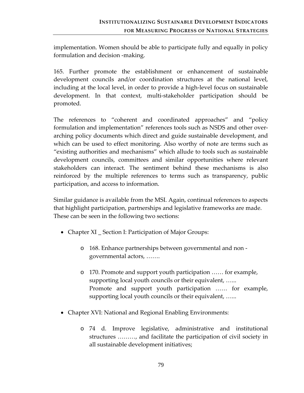implementation. Women should be able to participate fully and equally in policy formulation and decision ‐making.

165. Further promote the establishment or enhancement of sustainable development councils and/or coordination structures at the national level, including at the local level, in order to provide a high‐level focus on sustainable development. In that context, multi‐stakeholder participation should be promoted.

The references to "coherent and coordinated approaches" and "policy formulation and implementation" references tools such as NSDS and other over‐ arching policy documents which direct and guide sustainable development, and which can be used to effect monitoring. Also worthy of note are terms such as "existing authorities and mechanisms" which allude to tools such as sustainable development councils, committees and similar opportunities where relevant stakeholders can interact. The sentiment behind these mechanisms is also reinforced by the multiple references to terms such as transparency, public participation, and access to information.

Similar guidance is available from the MSI. Again, continual references to aspects that highlight participation, partnerships and legislative frameworks are made. These can be seen in the following two sections:

- Chapter XI \_ Section I: Participation of Major Groups:
	- o 168. Enhance partnerships between governmental and non ‐ governmental actors, …….
	- o 170. Promote and support youth participation …… for example, supporting local youth councils or their equivalent, …... Promote and support youth participation …… for example, supporting local youth councils or their equivalent, …...
- Chapter XVI: National and Regional Enabling Environments:
	- o 74 d. Improve legislative, administrative and institutional structures ………, and facilitate the participation of civil society in all sustainable development initiatives;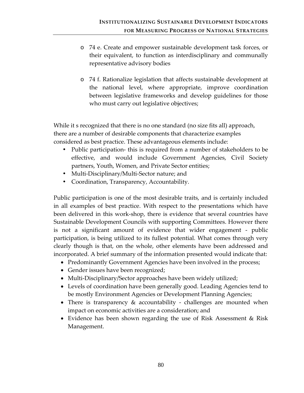- o 74 e. Create and empower sustainable development task forces, or their equivalent, to function as interdisciplinary and communally representative advisory bodies
- o 74 f. Rationalize legislation that affects sustainable development at the national level, where appropriate, improve coordination between legislative frameworks and develop guidelines for those who must carry out legislative objectives;

While it s recognized that there is no one standard (no size fits all) approach, there are a number of desirable components that characterize examples considered as best practice. These advantageous elements include:

- Public participation-this is required from a number of stakeholders to be effective, and would include Government Agencies, Civil Society partners, Youth, Women, and Private Sector entities;
- Multi-Disciplinary/Multi-Sector nature; and
- Coordination, Transparency, Accountability.

Public participation is one of the most desirable traits, and is certainly included in all examples of best practice. With respect to the presentations which have been delivered in this work‐shop, there is evidence that several countries have Sustainable Development Councils with supporting Committees. However there is not a significant amount of evidence that wider engagement ‐ public participation, is being utilized to its fullest potential. What comes through very clearly though is that, on the whole, other elements have been addressed and incorporated. A brief summary of the information presented would indicate that:

- Predominantly Government Agencies have been involved in the process;
- Gender issues have been recognized;
- Multi-Disciplinary/Sector approaches have been widely utilized;
- Levels of coordination have been generally good. Leading Agencies tend to be mostly Environment Agencies or Development Planning Agencies;
- There is transparency & accountability challenges are mounted when impact on economic activities are a consideration; and
- Evidence has been shown regarding the use of Risk Assessment & Risk Management.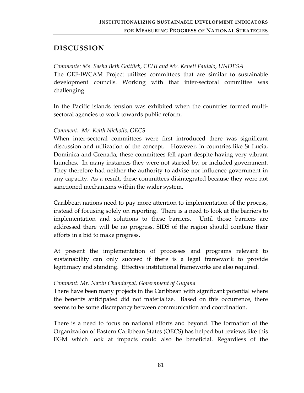## **DISCUSSION**

*Comments: Ms. Sasha Beth Gottileb, CEHI and Mr. Keneti Faulalo, UNDESA* The GEF‐IWCAM Project utilizes committees that are similar to sustainable development councils. Working with that inter-sectoral committee was challenging.

In the Pacific islands tension was exhibited when the countries formed multi‐ sectoral agencies to work towards public reform.

### *Comment: Mr. Keith Nicholls, OECS*

When inter-sectoral committees were first introduced there was significant discussion and utilization of the concept. However, in countries like St Lucia, Dominica and Grenada, these committees fell apart despite having very vibrant launches. In many instances they were not started by, or included government. They therefore had neither the authority to advise nor influence government in any capacity. As a result, these committees disintegrated because they were not sanctioned mechanisms within the wider system.

Caribbean nations need to pay more attention to implementation of the process, instead of focusing solely on reporting. There is a need to look at the barriers to implementation and solutions to these barriers. Until those barriers are addressed there will be no progress. SIDS of the region should combine their efforts in a bid to make progress.

At present the implementation of processes and programs relevant to sustainability can only succeed if there is a legal framework to provide legitimacy and standing. Effective institutional frameworks are also required.

#### *Comment: Mr. Navin Chandarpal, Government of Guyana*

There have been many projects in the Caribbean with significant potential where the benefits anticipated did not materialize. Based on this occurrence, there seems to be some discrepancy between communication and coordination.

There is a need to focus on national efforts and beyond. The formation of the Organization of Eastern Caribbean States (OECS) has helped but reviews like this EGM which look at impacts could also be beneficial. Regardless of the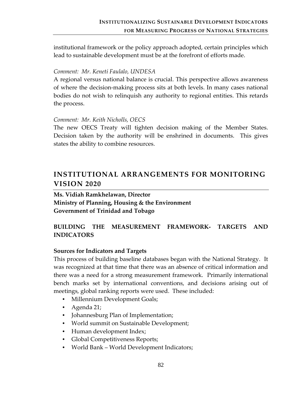institutional framework or the policy approach adopted, certain principles which lead to sustainable development must be at the forefront of efforts made.

### *Comment: Mr. Keneti Faulalo, UNDESA*

A regional versus national balance is crucial. This perspective allows awareness of where the decision‐making process sits at both levels. In many cases national bodies do not wish to relinquish any authority to regional entities. This retards the process.

### *Comment: Mr. Keith Nicholls, OECS*

The new OECS Treaty will tighten decision making of the Member States. Decision taken by the authority will be enshrined in documents. This gives states the ability to combine resources.

## **INSTITUTIONAL ARRANGEMENTS FOR MONITORING VISION 2020**

**Ms. Vidiah Ramkhelawan, Director Ministry of Planning, Housing & the Environment Government of Trinidad and Tobago**

## **BUILDING THE MEASUREMENT FRAMEWORK‐ TARGETS AND INDICATORS**

## **Sources for Indicators and Targets**

This process of building baseline databases began with the National Strategy. It was recognized at that time that there was an absence of critical information and there was a need for a strong measurement framework. Primarily international bench marks set by international conventions, and decisions arising out of meetings, global ranking reports were used. These included:

- Millennium Development Goals;
- Agenda 21;
- Johannesburg Plan of Implementation;
- World summit on Sustainable Development;
- Human development Index;
- Global Competitiveness Reports;
- World Bank World Development Indicators;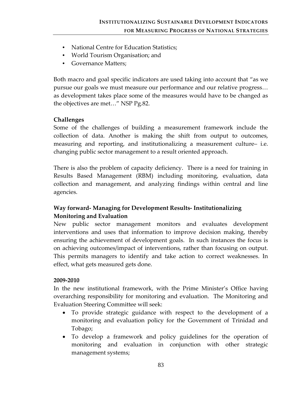- National Centre for Education Statistics;
- World Tourism Organisation; and
- Governance Matters;

Both macro and goal specific indicators are used taking into account that "as we pursue our goals we must measure our performance and our relative progress… as development takes place some of the measures would have to be changed as the objectives are met…" NSP Pg.82.

## **Challenges**

Some of the challenges of building a measurement framework include the collection of data. Another is making the shift from output to outcomes, measuring and reporting, and institutionalizing a measurement culture– i.e. changing public sector management to a result oriented approach.

There is also the problem of capacity deficiency. There is a need for training in Results Based Management (RBM) including monitoring, evaluation, data collection and management, and analyzing findings within central and line agencies.

## **Way forward‐ Managing for Development Results‐ Institutionalizing Monitoring and Evaluation**

New public sector management monitors and evaluates development interventions and uses that information to improve decision making, thereby ensuring the achievement of development goals. In such instances the focus is on achieving outcomes/impact of interventions, rather than focusing on output. This permits managers to identify and take action to correct weaknesses. In effect, what gets measured gets done.

#### **2009‐2010**

In the new institutional framework, with the Prime Minister's Office having overarching responsibility for monitoring and evaluation. The Monitoring and Evaluation Steering Committee will seek:

- To provide strategic guidance with respect to the development of a monitoring and evaluation policy for the Government of Trinidad and Tobago;
- To develop a framework and policy guidelines for the operation of monitoring and evaluation in conjunction with other strategic management systems;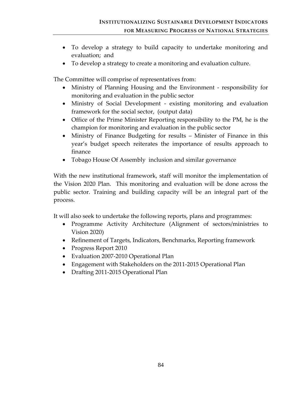- To develop a strategy to build capacity to undertake monitoring and evaluation; and
- To develop a strategy to create a monitoring and evaluation culture.

The Committee will comprise of representatives from:

- Ministry of Planning Housing and the Environment responsibility for monitoring and evaluation in the public sector
- Ministry of Social Development existing monitoring and evaluation framework for the social sector, (output data)
- Office of the Prime Minister Reporting responsibility to the PM, he is the champion for monitoring and evaluation in the public sector
- Ministry of Finance Budgeting for results Minister of Finance in this year's budget speech reiterates the importance of results approach to finance
- Tobago House Of Assembly inclusion and similar governance

With the new institutional framework, staff will monitor the implementation of the Vision 2020 Plan. This monitoring and evaluation will be done across the public sector. Training and building capacity will be an integral part of the process.

It will also seek to undertake the following reports, plans and programmes:

- Programme Activity Architecture (Alignment of sectors/ministries to Vision 2020)
- Refinement of Targets, Indicators, Benchmarks, Reporting framework
- Progress Report 2010
- Evaluation 2007‐2010 Operational Plan
- Engagement with Stakeholders on the 2011-2015 Operational Plan
- Drafting 2011-2015 Operational Plan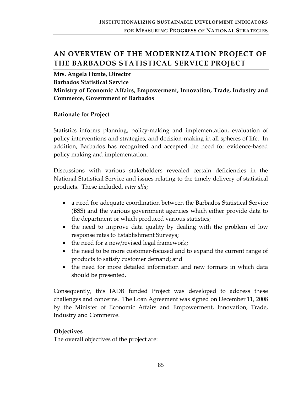## **AN OVERVIEW OF THE MODERNIZATION PROJECT OF THE BARBADOS STATISTICAL SERVICE PROJECT**

**Mrs. Angela Hunte, Director Barbados Statistical Service Ministry of Economic Affairs, Empowerment, Innovation, Trade, Industry and Commerce, Government of Barbados**

### **Rationale for Project**

Statistics informs planning, policy‐making and implementation, evaluation of policy interventions and strategies, and decision‐making in all spheres of life. In addition, Barbados has recognized and accepted the need for evidence‐based policy making and implementation.

Discussions with various stakeholders revealed certain deficiencies in the National Statistical Service and issues relating to the timely delivery of statistical products. These included, *inter alia*;

- a need for adequate coordination between the Barbados Statistical Service (BSS) and the various government agencies which either provide data to the department or which produced various statistics;
- the need to improve data quality by dealing with the problem of low response rates to Establishment Surveys;
- the need for a new/revised legal framework;
- the need to be more customer-focused and to expand the current range of products to satisfy customer demand; and
- the need for more detailed information and new formats in which data should be presented.

Consequently, this IADB funded Project was developed to address these challenges and concerns. The Loan Agreement was signed on December 11, 2008 by the Minister of Economic Affairs and Empowerment, Innovation, Trade, Industry and Commerce.

## **Objectives**

The overall objectives of the project are: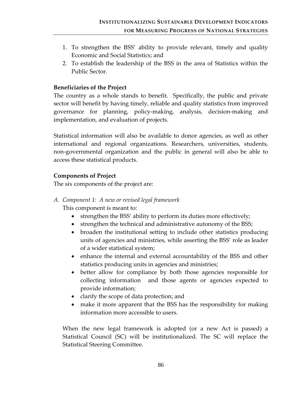- 1. To strengthen the BSS' ability to provide relevant, timely and quality Economic and Social Statistics; and
- 2. To establish the leadership of the BSS in the area of Statistics within the Public Sector.

## **Beneficiaries of the Project**

The country as a whole stands to benefit. Specifically, the public and private sector will benefit by having timely, reliable and quality statistics from improved governance for planning, policy‐making, analysis, decision‐making and implementation, and evaluation of projects.

Statistical information will also be available to donor agencies, as well as other international and regional organizations. Researchers, universities, students, non‐governmental organization and the public in general will also be able to access these statistical products.

## **Components of Project**

The six components of the project are:

## *A. Component 1: A new or revised legal framework*

This component is meant to:

- strengthen the BSS' ability to perform its duties more effectively;
- strengthen the technical and administrative autonomy of the BSS;
- broaden the institutional setting to include other statistics producing units of agencies and ministries, while asserting the BSS' role as leader of a wider statistical system;
- enhance the internal and external accountability of the BSS and other statistics producing units in agencies and ministries;
- better allow for compliance by both those agencies responsible for collecting information and those agents or agencies expected to provide information;
- clarify the scope of data protection; and
- make it more apparent that the BSS has the responsibility for making information more accessible to users.

When the new legal framework is adopted (or a new Act is passed) a Statistical Council (SC) will be institutionalized. The SC will replace the Statistical Steering Committee.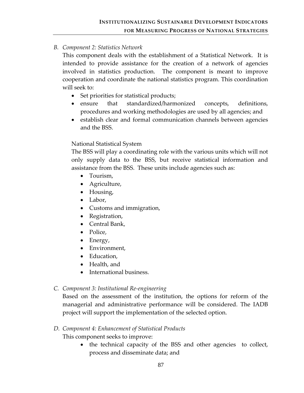## *B. Component 2: Statistics Network*

This component deals with the establishment of a Statistical Network. It is intended to provide assistance for the creation of a network of agencies involved in statistics production. The component is meant to improve cooperation and coordinate the national statistics program. This coordination will seek to:

- Set priorities for statistical products;
- ensure that standardized/harmonized concepts, definitions, procedures and working methodologies are used by all agencies; and
- establish clear and formal communication channels between agencies and the BSS.

## National Statistical System

The BSS will play a coordinating role with the various units which will not only supply data to the BSS, but receive statistical information and assistance from the BSS. These units include agencies such as:

- Tourism,
- Agriculture,
- Housing,
- Labor,
- Customs and immigration,
- Registration,
- Central Bank,
- Police,
- Energy,
- Environment,
- Education,
- Health, and
- International business.

## *C. Component 3: Institutional Re‐engineering*

Based on the assessment of the institution, the options for reform of the managerial and administrative performance will be considered. The IADB project will support the implementation of the selected option.

## *D. Component 4: Enhancement of Statistical Products*

This component seeks to improve:

the technical capacity of the BSS and other agencies to collect, process and disseminate data; and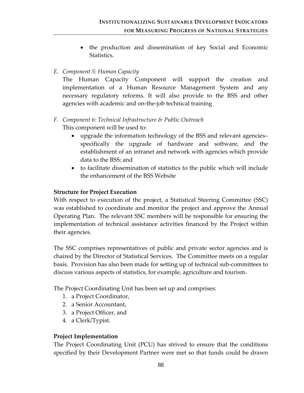• the production and dissemination of key Social and Economic Statistics.

## *E. Component 5: Human Capacity*

The Human Capacity Component will support the creation and implementation of a Human Resource Management System and any necessary regulatory reforms. It will also provide to the BSS and other agencies with academic and on‐the‐job technical training

## *F. Component 6: Technical Infrastructure & Public Outreach* This component will be used to:

- upgrade the information technology of the BSS and relevant agencies– specifically the upgrade of hardware and software, and the establishment of an intranet and network with agencies which provide data to the BSS; and
- to facilitate dissemination of statistics to the public which will include the enhancement of the BSS Website

## **Structure for Project Execution**

With respect to execution of the project, a Statistical Steering Committee (SSC) was established to coordinate and monitor the project and approve the Annual Operating Plan. The relevant SSC members will be responsible for ensuring the implementation of technical assistance activities financed by the Project within their agencies.

The SSC comprises representatives of public and private sector agencies and is chaired by the Director of Statistical Services. The Committee meets on a regular basis. Provision has also been made for setting up of technical sub‐committees to discuss various aspects of statistics, for example, agriculture and tourism.

The Project Coordinating Unit has been set up and comprises:

- 1. a Project Coordinator,
- 2. a Senior Accountant,
- 3. a Project Officer, and
- 4. a Clerk/Typist.

## **Project Implementation**

The Project Coordinating Unit (PCU) has strived to ensure that the conditions specified by their Development Partner were met so that funds could be drawn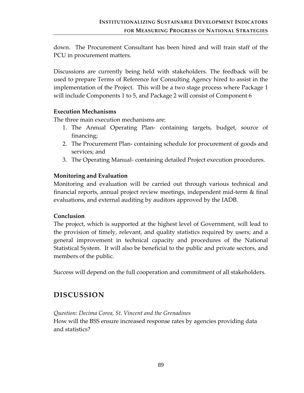down. The Procurement Consultant has been hired and will train staff of the PCU in procurement matters.

Discussions are currently being held with stakeholders. The feedback will be used to prepare Terms of Reference for Consulting Agency hired to assist in the implementation of the Project. This will be a two stage process where Package 1 will include Components 1 to 5, and Package 2 will consist of Component 6

### **Execution Mechanisms**

The three main execution mechanisms are:

- 1. The Annual Operating Plan‐ containing targets, budget, source of financing;
- 2. The Procurement Plan‐ containing schedule for procurement of goods and services; and
- 3. The Operating Manual‐ containing detailed Project execution procedures.

## **Monitoring and Evaluation**

Monitoring and evaluation will be carried out through various technical and financial reports, annual project review meetings, independent mid‐term & final evaluations, and external auditing by auditors approved by the IADB.

## **Conclusion**

The project, which is supported at the highest level of Government, will lead to the provision of timely, relevant, and quality statistics required by users; and a general improvement in technical capacity and procedures of the National Statistical System. It will also be beneficial to the public and private sectors, and members of the public.

Success will depend on the full cooperation and commitment of all stakeholders.

## **DISCUSSION**

*Question: Decima Corea, St. Vincent and the Grenadines* How will the BSS ensure increased response rates by agencies providing data and statistics?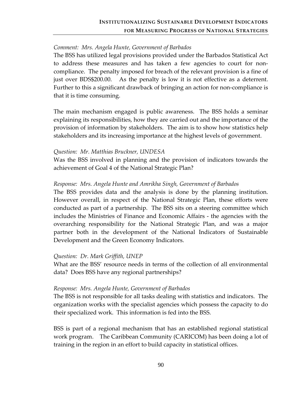## *Comment: Mrs. Angela Hunte, Government of Barbados*

The BSS has utilized legal provisions provided under the Barbados Statistical Act to address these measures and has taken a few agencies to court for non‐ compliance. The penalty imposed for breach of the relevant provision is a fine of just over BDS\$200.00. As the penalty is low it is not effective as a deterrent. Further to this a significant drawback of bringing an action for non‐compliance is that it is time consuming.

The main mechanism engaged is public awareness. The BSS holds a seminar explaining its responsibilities, how they are carried out and the importance of the provision of information by stakeholders. The aim is to show how statistics help stakeholders and its increasing importance at the highest levels of government.

## *Question: Mr. Matthias Bruckner, UNDESA*

Was the BSS involved in planning and the provision of indicators towards the achievement of Goal 4 of the National Strategic Plan?

### *Response: Mrs. Angela Hunte and Amrikha Singh, Government of Barbados*

The BSS provides data and the analysis is done by the planning institution. However overall, in respect of the National Strategic Plan, these efforts were conducted as part of a partnership. The BSS sits on a steering committee which includes the Ministries of Finance and Economic Affairs ‐ the agencies with the overarching responsibility for the National Strategic Plan, and was a major partner both in the development of the National Indicators of Sustainable Development and the Green Economy Indicators.

#### *Question: Dr. Mark Griffith, UNEP*

What are the BSS' resource needs in terms of the collection of all environmental data? Does BSS have any regional partnerships?

## *Response: Mrs. Angela Hunte, Government of Barbados*

The BSS is not responsible for all tasks dealing with statistics and indicators. The organization works with the specialist agencies which possess the capacity to do their specialized work. This information is fed into the BSS.

BSS is part of a regional mechanism that has an established regional statistical work program. The Caribbean Community (CARICOM) has been doing a lot of training in the region in an effort to build capacity in statistical offices.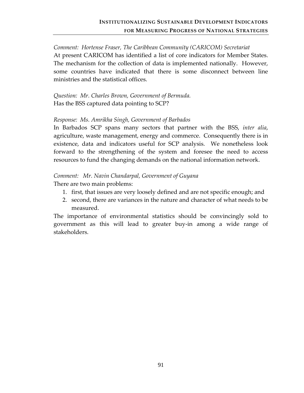## *Comment: Hortense Fraser, The Caribbean Community (CARICOM) Secretariat* At present CARICOM has identified a list of core indicators for Member States. The mechanism for the collection of data is implemented nationally. However, some countries have indicated that there is some disconnect between line ministries and the statistical offices.

*Question: Mr. Charles Brown, Government of Bermuda.* Has the BSS captured data pointing to SCP?

#### *Response: Ms. Amrikha Singh, Government of Barbados*

In Barbados SCP spans many sectors that partner with the BSS, *inter alia*, agriculture, waste management, energy and commerce. Consequently there is in existence, data and indicators useful for SCP analysis. We nonetheless look forward to the strengthening of the system and foresee the need to access resources to fund the changing demands on the national information network.

#### *Comment: Mr. Navin Chandarpal, Government of Guyana*

There are two main problems:

- 1. first, that issues are very loosely defined and are not specific enough; and
- 2. second, there are variances in the nature and character of what needs to be measured.

The importance of environmental statistics should be convincingly sold to government as this will lead to greater buy‐in among a wide range of stakeholders.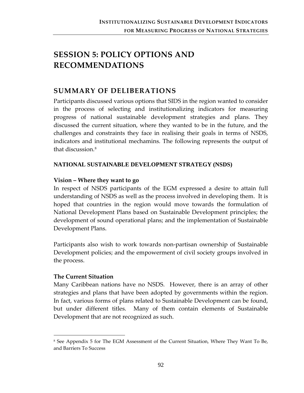# **SESSION 5: POLICY OPTIONS AND RECOMMENDATIONS**

## **SUMMARY OF DELIBERATIONS**

Participants discussed various options that SIDS in the region wanted to consider in the process of selecting and institutionalizing indicators for measuring progress of national sustainable development strategies and plans. They discussed the current situation, where they wanted to be in the future, and the challenges and constraints they face in realising their goals in terms of NSDS, indicators and institutional mechamins. The following represents the output of that discussion.[8](#page-98-0)

### **NATIONAL SUSTAINABLE DEVELOPMENT STRATEGY (NSDS)**

### **Vision – Where they want to go**

In respect of NSDS participants of the EGM expressed a desire to attain full understanding of NSDS as well as the process involved in developing them. It is hoped that countries in the region would move towards the formulation of National Development Plans based on Sustainable Development principles; the development of sound operational plans; and the implementation of Sustainable Development Plans.

Participants also wish to work towards non‐partisan ownership of Sustainable Development policies; and the empowerment of civil society groups involved in the process.

#### **The Current Situation**

 $\overline{a}$ 

Many Caribbean nations have no NSDS. However, there is an array of other strategies and plans that have been adopted by governments within the region. In fact, various forms of plans related to Sustainable Development can be found, but under different titles. Many of them contain elements of Sustainable Development that are not recognized as such.

<span id="page-98-0"></span><sup>8</sup> See Appendix 5 for The EGM Assessment of the Current Situation, Where They Want To Be, and Barriers To Success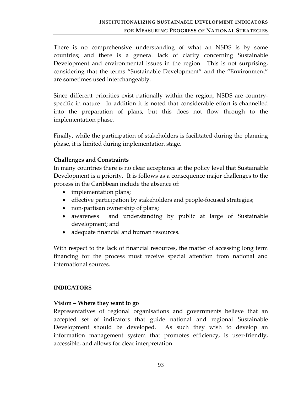There is no comprehensive understanding of what an NSDS is by some countries; and there is a general lack of clarity concerning Sustainable Development and environmental issues in the region. This is not surprising, considering that the terms "Sustainable Development" and the "Environment" are sometimes used interchangeably.

Since different priorities exist nationally within the region, NSDS are country‐ specific in nature. In addition it is noted that considerable effort is channelled into the preparation of plans, but this does not flow through to the implementation phase.

Finally, while the participation of stakeholders is facilitated during the planning phase, it is limited during implementation stage.

### **Challenges and Constraints**

In many countries there is no clear acceptance at the policy level that Sustainable Development is a priority. It is follows as a consequence major challenges to the process in the Caribbean include the absence of:

- implementation plans;
- effective participation by stakeholders and people-focused strategies;
- non-partisan ownership of plans;
- awareness and understanding by public at large of Sustainable development; and
- adequate financial and human resources.

With respect to the lack of financial resources, the matter of accessing long term financing for the process must receive special attention from national and international sources.

## **INDICATORS**

## **Vision – Where they want to go**

Representatives of regional organisations and governments believe that an accepted set of indicators that guide national and regional Sustainable Development should be developed. As such they wish to develop an information management system that promotes efficiency, is user-friendly, accessible, and allows for clear interpretation.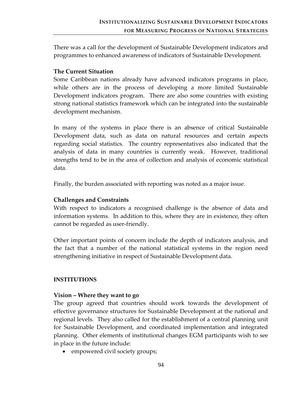There was a call for the development of Sustainable Development indicators and programmes to enhanced awareness of indicators of Sustainable Development.

### **The Current Situation**

Some Caribbean nations already have advanced indicators programs in place, while others are in the process of developing a more limited Sustainable Development indicators program. There are also some countries with existing strong national statistics framework which can be integrated into the sustainable development mechanism.

In many of the systems in place there is an absence of critical Sustainable Development data, such as data on natural resources and certain aspects regarding social statistics. The country representatives also indicated that the analysis of data in many countries is currently weak. However, traditional strengths tend to be in the area of collection and analysis of economic statistical data.

Finally, the burden associated with reporting was noted as a major issue.

#### **Challenges and Constraints**

With respect to indicators a recognised challenge is the absence of data and information systems. In addition to this, where they are in existence, they often cannot be regarded as user‐friendly.

Other important points of concern include the depth of indicators analysis, and the fact that a number of the national statistical systems in the region need strengthening initiative in respect of Sustainable Development data.

#### **INSTITUTIONS**

#### **Vision – Where they want to go**

The group agreed that countries should work towards the development of effective governance structures for Sustainable Development at the national and regional levels. They also called for the establishment of a central planning unit for Sustainable Development, and coordinated implementation and integrated planning. Other elements of institutional changes EGM participants wish to see in place in the future include:

• empowered civil society groups;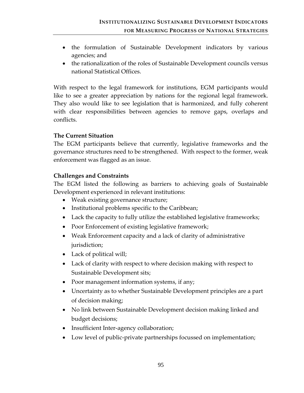- the formulation of Sustainable Development indicators by various agencies; and
- the rationalization of the roles of Sustainable Development councils versus national Statistical Offices.

With respect to the legal framework for institutions, EGM participants would like to see a greater appreciation by nations for the regional legal framework. They also would like to see legislation that is harmonized, and fully coherent with clear responsibilities between agencies to remove gaps, overlaps and conflicts.

## **The Current Situation**

The EGM participants believe that currently, legislative frameworks and the governance structures need to be strengthened. With respect to the former, weak enforcement was flagged as an issue.

### **Challenges and Constraints**

The EGM listed the following as barriers to achieving goals of Sustainable Development experienced in relevant institutions:

- Weak existing governance structure;
- Institutional problems specific to the Caribbean;
- Lack the capacity to fully utilize the established legislative frameworks;
- Poor Enforcement of existing legislative framework;
- Weak Enforcement capacity and a lack of clarity of administrative jurisdiction;
- Lack of political will;
- Lack of clarity with respect to where decision making with respect to Sustainable Development sits;
- Poor management information systems, if any;
- Uncertainty as to whether Sustainable Development principles are a part of decision making;
- No link between Sustainable Development decision making linked and budget decisions;
- Insufficient Inter-agency collaboration;
- Low level of public-private partnerships focussed on implementation;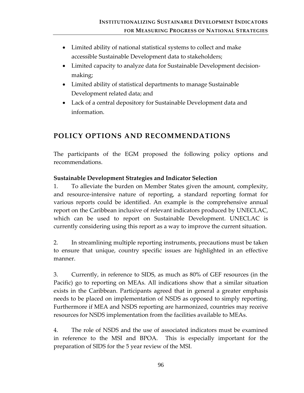- Limited ability of national statistical systems to collect and make accessible Sustainable Development data to stakeholders;
- Limited capacity to analyze data for Sustainable Development decision‐ making;
- Limited ability of statistical departments to manage Sustainable Development related data; and
- Lack of a central depository for Sustainable Development data and information.

## **POLICY OPTIONS AND RECOMMENDATIONS**

The participants of the EGM proposed the following policy options and recommendations.

## **Sustainable Development Strategies and Indicator Selection**

1. To alleviate the burden on Member States given the amount, complexity, and resource‐intensive nature of reporting, a standard reporting format for various reports could be identified. An example is the comprehensive annual report on the Caribbean inclusive of relevant indicators produced by UNECLAC, which can be used to report on Sustainable Development. UNECLAC is currently considering using this report as a way to improve the current situation.

2. In streamlining multiple reporting instruments, precautions must be taken to ensure that unique, country specific issues are highlighted in an effective manner.

3. Currently, in reference to SIDS, as much as 80% of GEF resources (in the Pacific) go to reporting on MEAs. All indications show that a similar situation exists in the Caribbean. Participants agreed that in general a greater emphasis needs to be placed on implementation of NSDS as opposed to simply reporting. Furthermore if MEA and NSDS reporting are harmonized, countries may receive resources for NSDS implementation from the facilities available to MEAs.

4. The role of NSDS and the use of associated indicators must be examined in reference to the MSI and BPOA. This is especially important for the preparation of SIDS for the 5 year review of the MSI.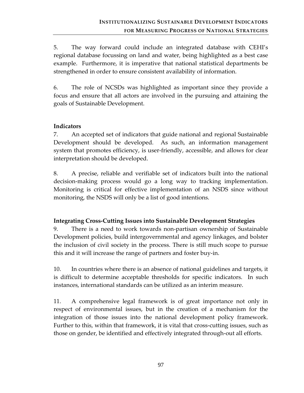5. The way forward could include an integrated database with CEHI's regional database focussing on land and water, being highlighted as a best case example. Furthermore, it is imperative that national statistical departments be strengthened in order to ensure consistent availability of information.

6. The role of NCSDs was highlighted as important since they provide a focus and ensure that all actors are involved in the pursuing and attaining the goals of Sustainable Development.

## **Indicators**

7. An accepted set of indicators that guide national and regional Sustainable Development should be developed. As such, an information management system that promotes efficiency, is user-friendly, accessible, and allows for clear interpretation should be developed.

8. A precise, reliable and verifiable set of indicators built into the national decision‐making process would go a long way to tracking implementation. Monitoring is critical for effective implementation of an NSDS since without monitoring, the NSDS will only be a list of good intentions.

## **Integrating Cross‐Cutting Issues into Sustainable Development Strategies**

9. There is a need to work towards non‐partisan ownership of Sustainable Development policies, build intergovernmental and agency linkages, and bolster the inclusion of civil society in the process. There is still much scope to pursue this and it will increase the range of partners and foster buy‐in.

10. In countries where there is an absence of national guidelines and targets, it is difficult to determine acceptable thresholds for specific indicators. In such instances, international standards can be utilized as an interim measure.

11. A comprehensive legal framework is of great importance not only in respect of environmental issues, but in the creation of a mechanism for the integration of those issues into the national development policy framework. Further to this, within that framework, it is vital that cross-cutting issues, such as those on gender, be identified and effectively integrated through‐out all efforts.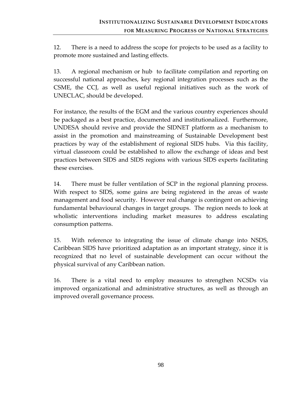12. There is a need to address the scope for projects to be used as a facility to promote more sustained and lasting effects.

13. A regional mechanism or hub to facilitate compilation and reporting on successful national approaches, key regional integration processes such as the CSME, the CCJ, as well as useful regional initiatives such as the work of UNECLAC, should be developed.

For instance, the results of the EGM and the various country experiences should be packaged as a best practice, documented and institutionalized. Furthermore, UNDESA should revive and provide the SIDNET platform as a mechanism to assist in the promotion and mainstreaming of Sustainable Development best practices by way of the establishment of regional SIDS hubs. Via this facility, virtual classroom could be established to allow the exchange of ideas and best practices between SIDS and SIDS regions with various SIDS experts facilitating these exercises.

14. There must be fuller ventilation of SCP in the regional planning process. With respect to SIDS, some gains are being registered in the areas of waste management and food security. However real change is contingent on achieving fundamental behavioural changes in target groups. The region needs to look at wholistic interventions including market measures to address escalating consumption patterns.

15. With reference to integrating the issue of climate change into NSDS, Caribbean SIDS have prioritized adaptation as an important strategy, since it is recognized that no level of sustainable development can occur without the physical survival of any Caribbean nation.

16. There is a vital need to employ measures to strengthen NCSDs via improved organizational and administrative structures, as well as through an improved overall governance process.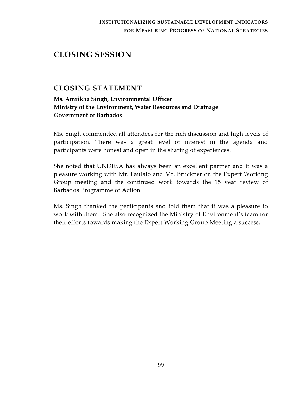## **CLOSING SESSION**

## **CLOSING STATEMENT**

**Ms. Amrikha Singh, Environmental Officer Ministry of the Environment, Water Resources and Drainage Government of Barbados**

Ms. Singh commended all attendees for the rich discussion and high levels of participation. There was a great level of interest in the agenda and participants were honest and open in the sharing of experiences.

She noted that UNDESA has always been an excellent partner and it was a pleasure working with Mr. Faulalo and Mr. Bruckner on the Expert Working Group meeting and the continued work towards the 15 year review of Barbados Programme of Action.

Ms. Singh thanked the participants and told them that it was a pleasure to work with them. She also recognized the Ministry of Environment's team for their efforts towards making the Expert Working Group Meeting a success.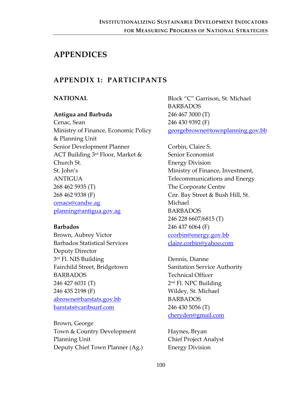## **APPENDICES**

## **APPENDIX 1: PARTICIPANTS**

### **NATIONAL**

## **Antigua and Barbuda**

Cenac, Sean Ministry of Finance, Economic Policy & Planning Unit Senior Development Planner ACT Building 3rd Floor, Market & Church St. St. John's ANTIGUA 268 462 5935 (T) 268 462 9338 (F) [cenacs@candw.ag](mailto:cenacs@candw.ag) [planning@antigua.gov.ag](mailto:planning@antigua.gov.ag)

#### **Barbados**

Brown, Aubrey Victor Barbados Statistical Services Deputy Director 3<sup>rd</sup> Fl. NIS Building Fairchild Street, Bridgetown BARBADOS 246 427 6031 (T) 246 435 2198 (F) [abrowne@barstats.gov.bb](mailto:abrowne@barstats.gov.bb) [barstats@caribsurf.com](mailto:barstats@caribsurf.com)

Brown, George Town & Country Development Planning Unit Deputy Chief Town Planner (Ag.) Block "C" Garrison, St. Michael BARBADOS 246 467 3000 (T) 246 430 9392 (F) [georgebrowne@townplanning.gov.bb](mailto:georgebrowne@townplanning.gov.bb)

Corbin, Claire S. Senior Economist Energy Division Ministry of Finance, Investment, Telecommunications and Energy The Corporate Centre Cnr. Bay Street & Bush Hill, St. Michael BARBADOS 246 228 6607/6815 (T) 246 437 6064 (F) [ccorbin@energy.gov.bb](mailto:ccorbin@energy.gov.bb) [claire.corbin@yahoo.com](mailto:claire.corbin@yahoo.com)

Dennis, Dianne Sanitation Service Authority Technical Officer 2nd Fl. NPC Building Wildey, St. Michael BARBADOS 246 430 5056 (T) [cheryden@gmail.com](mailto:cheryden@gmail.com)

Haynes, Bryan Chief Project Analyst Energy Division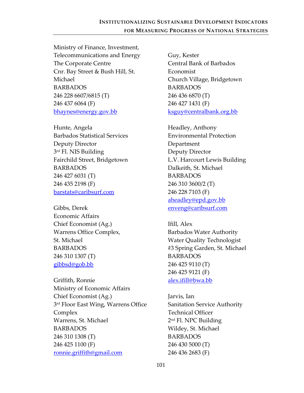Ministry of Finance, Investment, Telecommunications and Energy The Corporate Centre Cnr. Bay Street & Bush Hill, St. Michael BARBADOS 246 228 6607/6815 (T) 246 437 6064 (F) [bhaynes@energy.gov.bb](mailto:bhaynes@energy.gov.bb)

Hunte, Angela Barbados Statistical Services Deputy Director 3<sup>rd</sup> Fl. NIS Building Fairchild Street, Bridgetown BARBADOS 246 427 6031 (T) 246 435 2198 (F) [barstats@caribsurf.com](mailto:barstats@caribsurf.com)

Gibbs, Derek Economic Affairs Chief Economist (Ag.) Warrens Office Complex, St. Michael BARBADOS 246 310 1307 (T) [gibbsd@gob.bb](mailto:gibbsd@gob.bb)

Griffith, Ronnie Ministry of Economic Affairs Chief Economist (Ag.) 3<sup>rd</sup> Floor East Wing, Warrens Office Complex Warrens, St. Michael BARBADOS 246 310 1308 (T) 246 425 1100 (F) [ronnie.griffith@gmail.com](mailto:ronnie.griffith@gmail.com)

Guy, Kester Central Bank of Barbados Economist Church Village, Bridgetown BARBADOS 246 436 6870 (T) 246 427 1431 (F) [ksguy@centralbank.org.bb](mailto:ksguy@centralbank.org.bb)

Headley, Anthony Environmental Protection Department Deputy Director L.V. Harcourt Lewis Building Dalkeith, St. Michael BARBADOS 246 310 3600/2 (T) 246 228 7103 (F) [aheadley@epd.gov.bb](mailto:aheadley@epd.gov.bb) [enveng@caribsurf.com](mailto:enveng@caribsurf.com)

Ifill, Alex Barbados Water Authority Water Quality Technologist #3 Spring Garden, St. Michael BARBADOS 246 425 9110 (T) 246 425 9121 (F) [alex.ifill@bwa.bb](mailto:alex.ifill@bwa.bb)

Jarvis, Ian Sanitation Service Authority Technical Officer 2nd Fl. NPC Building Wildey, St. Michael BARBADOS 246 430 5000 (T) 246 436 2683 (F)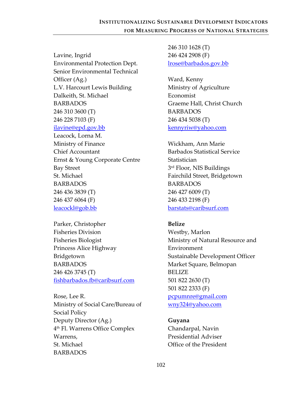Lavine, Ingrid Environmental Protection Dept. Senior Environmental Technical Officer (Ag.) L.V. Harcourt Lewis Building Dalkeith, St. Michael BARBADOS 246 310 3600 (T) 246 228 7103 (F) [ilavine@epd.gov.bb](mailto:ilavine@epd.gov.bb) Leacock, Lorna M. Ministry of Finance Chief Accountant Ernst & Young Corporate Centre Bay Street St. Michael BARBADOS 246 436 3839 (T) 246 437 6064 (F) [leacockl@gob.bb](mailto:leacockl@gob.bb)

Parker, Christopher Fisheries Division Fisheries Biologist Princess Alice Highway Bridgetown BARBADOS 246 426 3745 (T) [fishbarbados.fb@caribsurf.com](mailto:fishbarbados.fb@caribsurf.com)

Rose, Lee R. Ministry of Social Care/Bureau of Social Policy Deputy Director (Ag.) 4th Fl. Warrens Office Complex Warrens, St. Michael BARBADOS

246 310 1628 (T) 246 424 2908 (F) [lrose@barbados.gov.bb](mailto:lrose@barbados.gov.bb)

Ward, Kenny Ministry of Agriculture Economist Graeme Hall, Christ Church BARBADOS 246 434 5038 (T) [kennyriw@yahoo.com](mailto:kennyriw@yahoo.com)

Wickham, Ann Marie Barbados Statistical Service Statistician 3<sup>rd</sup> Floor, NIS Buildings Fairchild Street, Bridgetown BARBADOS 246 427 6009 (T) 246 433 2198 (F) [barstats@caribsurf.com](mailto:barstats@caribsurf.com)

**Belize**

Westby, Marlon Ministry of Natural Resource and Environment Sustainable Development Officer Market Square, Belmopan BELIZE 501 822 2630 (T) 501 822 2333 (F) [pcpumnre@gmail.com](mailto:pcpumnre@gmail.com) [wny324@yahoo.com](mailto:wny324@yahoo.com)

### **Guyana**

Chandarpal, Navin Presidential Adviser Office of the President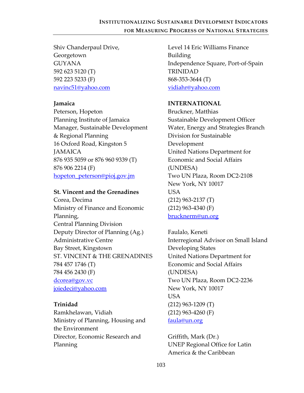Shiv Chanderpaul Drive, Georgetown GUYANA 592 623 5120 (T) 592 223 5233 (F) [navinc51@yahoo.com](mailto:navinc51@yahoo.com)

#### **Jamaica**

Peterson, Hopeton Planning Institute of Jamaica Manager, Sustainable Development & Regional Planning 16 Oxford Road, Kingston 5 **JAMAICA** 876 935 5059 or 876 960 9339 (T) 876 906 2214 (F) [hopeton\\_peterson@pioj.gov.jm](mailto:hopeton_peterson@pioj.gov.jm)

### **St. Vincent and the Grenadines**

Corea, Decima Ministry of Finance and Economic Planning, Central Planning Division Deputy Director of Planning (Ag.) Administrative Centre Bay Street, Kingstown ST. VINCENT & THE GRENADINES 784 457 1746 (T) 784 456 2430 (F) [dcorea@gov.vc](mailto:dcorea@gov.vc) [joiedeci@yahoo.com](mailto:joiedeci@yahoo.com)

### **Trinidad**

Ramkhelawan, Vidiah Ministry of Planning, Housing and the Environment Director, Economic Research and Planning

Level 14 Eric Williams Finance Building Independence Square, Port‐of‐Spain TRINIDAD 868‐353‐3644 (T) [vidiahr@yahoo.com](mailto:vidiahr@yahoo.com)

### **INTERNATIONAL**

Bruckner, Matthias Sustainable Development Officer Water, Energy and Strategies Branch Division for Sustainable Development United Nations Department for Economic and Social Affairs (UNDESA) Two UN Plaza, Room DC2‐2108 New York, NY 10017 **USA** (212) 963‐2137 (T) (212) 963‐4340 (F) [brucknerm@un.org](mailto:brucknerm@un.org)

Faulalo, Keneti Interregional Advisor on Small Island Developing States United Nations Department for Economic and Social Affairs (UNDESA) Two UN Plaza, Room DC2‐2236 New York, NY 10017 USA (212) 963‐1209 (T) (212) 963‐4260 (F) [faula@un.org](mailto:faula@un.org)

Griffith, Mark (Dr.) UNEP Regional Office for Latin America & the Caribbean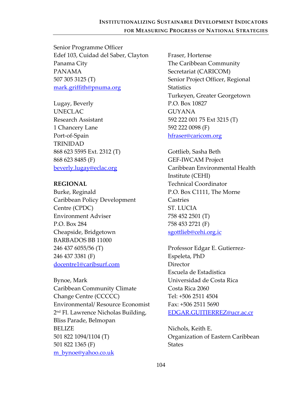Senior Programme Officer Edef 103, Cuidad del Saber, Clayton Panama City PANAMA 507 305 3125 (T) [mark.griffith@pnuma.org](mailto:mark.griffith@pnuma.org)

Lugay, Beverly UNECLAC Research Assistant 1 Chancery Lane Port‐of‐Spain TRINIDAD 868 623 5595 Ext. 2312 (T) 868 623 8485 (F) [beverly.lugay@eclac.org](mailto:beverly.lugay@eclac.org)

#### **REGIONAL**

Burke, Reginald Caribbean Policy Development Centre (CPDC) Environment Adviser P.O. Box 284 Cheapside, Bridgetown BARBADOS BB 11000 246 437 6055/56 (T) 246 437 3381 (F) [docentre1@caribsurf.com](mailto:docentre1@caribsurf.com)

Bynoe, Mark Caribbean Community Climate Change Centre (CCCCC) Environmental/ Resource Economist 2<sup>nd</sup> Fl. Lawrence Nicholas Building, Bliss Parade, Belmopan BELIZE 501 822 1094/1104 (T) 501 822 1365 (F) [m\\_bynoe@yahoo.co.uk](mailto:m_bynoe@yahoo.co.uk)

Fraser, Hortense The Caribbean Community Secretariat (CARICOM) Senior Project Officer, Regional **Statistics** Turkeyen, Greater Georgetown P.O. Box 10827 GUYANA 592 222 001 75 Ext 3215 (T) 592 222 0098 (F) [hfraser@caricom.org](mailto:hfraser@caricom.org)

Gottlieb, Sasha Beth GEF‐IWCAM Project Caribbean Environmental Health Institute (CEHI) Technical Coordinator P.O. Box C1111, The Morne Castries ST. LUCIA 758 452 2501 (T) 758 453 2721 (F) [sgottlieb@cehi.org.ic](mailto:sgottlieb@cehi.org.ic)

Professor Edgar E. Gutierrez‐ Espeleta, PhD Director Escuela de Estadistica Universidad de Costa Rica Costa Rica 2060 Tel: +506 2511 4504 Fax: +506 2511 5690 [EDGAR.GUITIERREZ@ucr.ac.cr](mailto:EDGAR.GUITIERREZ@ucr.ac.cr)

Nichols, Keith E. Organization of Eastern Caribbean States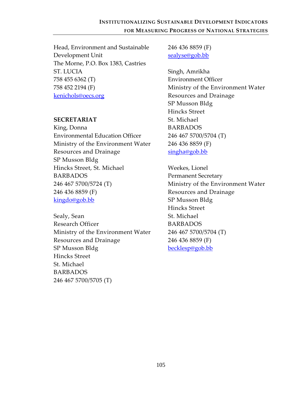Head, Environment and Sustainable Development Unit The Morne, P.O. Box 1383, Castries ST. LUCIA 758 455 6362 (T) 758 452 2194 (F) [kenichols@oecs.org](mailto:kenichols@oecs.org)

#### **SECRETARIAT**

King, Donna Environmental Education Officer Ministry of the Environment Water Resources and Drainage SP Musson Bldg Hincks Street, St. Michael BARBADOS 246 467 5700/5724 (T) 246 436 8859 (F) [kingdo@gob.bb](mailto:kingdo@gob.bb)

Sealy, Sean Research Officer Ministry of the Environment Water Resources and Drainage SP Musson Bldg Hincks Street St. Michael BARBADOS 246 467 5700/5705 (T)

246 436 8859 (F) [sealyse@gob.bb](mailto:sealyse@gob.bb)

Singh, Amrikha Environment Officer Ministry of the Environment Water Resources and Drainage SP Musson Bldg Hincks Street St. Michael BARBADOS 246 467 5700/5704 (T) 246 436 8859 (F) [singha@gob.bb](mailto:singha@gob.bb)

Weekes, Lionel Permanent Secretary Ministry of the Environment Water Resources and Drainage SP Musson Bldg Hincks Street St. Michael BARBADOS 246 467 5700/5704 (T) 246 436 8859 (F) [becklesp@gob.bb](mailto:becklesp@gob.bb)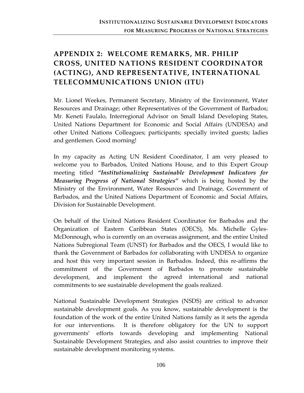# **APPENDIX 2: WELCOME REMARKS, MR. PHILIP CROSS, UNITED NATIONS RESIDENT COORDINATOR (ACTING), AND REPRESENTATIVE, INTERNATIONAL TELECOMMUNICATIONS UNION (ITU)**

Mr. Lionel Weekes, Permanent Secretary, Ministry of the Environment, Water Resources and Drainage; other Representatives of the Government of Barbados; Mr. Keneti Faulalo, Interregional Advisor on Small Island Developing States, United Nations Department for Economic and Social Affairs (UNDESA) and other United Nations Colleagues; participants; specially invited guests; ladies and gentlemen. Good morning!

In my capacity as Acting UN Resident Coordinator, I am very pleased to welcome you to Barbados, United Nations House, and to this Expert Group meeting titled *"Institutionalizing Sustainable Development Indicators for Measuring Progress of National Strategies"* which is being hosted by the Ministry of the Environment, Water Resources and Drainage, Government of Barbados, and the United Nations Department of Economic and Social Affairs, Division for Sustainable Development.

On behalf of the United Nations Resident Coordinator for Barbados and the Organization of Eastern Caribbean States (OECS), Ms. Michelle Gyles‐ McDonnough, who is currently on an overseas assignment, and the entire United Nations Subregional Team (UNST) for Barbados and the OECS, I would like to thank the Government of Barbados for collaborating with UNDESA to organize and host this very important session in Barbados. Indeed, this re‐affirms the commitment of the Government of Barbados to promote sustainable development, and implement the agreed international and national commitments to see sustainable development the goals realized.

National Sustainable Development Strategies (NSDS) are critical to advance sustainable development goals. As you know, sustainable development is the foundation of the work of the entire United Nations family as it sets the agenda for our interventions. It is therefore obligatory for the UN to support governments' efforts towards developing and implementing National Sustainable Development Strategies, and also assist countries to improve their sustainable development monitoring systems.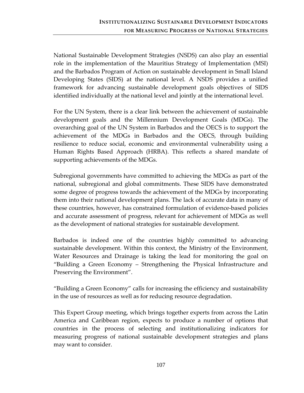National Sustainable Development Strategies (NSDS) can also play an essential role in the implementation of the Mauritius Strategy of Implementation (MSI) and the Barbados Program of Action on sustainable development in Small Island Developing States (SIDS) at the national level. A NSDS provides a unified framework for advancing sustainable development goals objectives of SIDS identified individually at the national level and jointly at the international level.

For the UN System, there is a clear link between the achievement of sustainable development goals and the Millennium Development Goals (MDGs). The overarching goal of the UN System in Barbados and the OECS is to support the achievement of the MDGs in Barbados and the OECS, through building resilience to reduce social, economic and environmental vulnerability using a Human Rights Based Approach (HRBA). This reflects a shared mandate of supporting achievements of the MDGs.

Subregional governments have committed to achieving the MDGs as part of the national, subregional and global commitments. These SIDS have demonstrated some degree of progress towards the achievement of the MDGs by incorporating them into their national development plans. The lack of accurate data in many of these countries, however, has constrained formulation of evidence‐based policies and accurate assessment of progress, relevant for achievement of MDGs as well as the development of national strategies for sustainable development.

Barbados is indeed one of the countries highly committed to advancing sustainable development. Within this context, the Ministry of the Environment, Water Resources and Drainage is taking the lead for monitoring the goal on "Building a Green Economy – Strengthening the Physical Infrastructure and Preserving the Environment".

"Building a Green Economy" calls for increasing the efficiency and sustainability in the use of resources as well as for reducing resource degradation.

This Expert Group meeting, which brings together experts from across the Latin America and Caribbean region, expects to produce a number of options that countries in the process of selecting and institutionalizing indicators for measuring progress of national sustainable development strategies and plans may want to consider.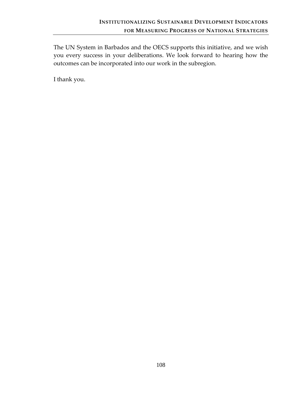The UN System in Barbados and the OECS supports this initiative, and we wish you every success in your deliberations. We look forward to hearing how the outcomes can be incorporated into our work in the subregion.

I thank you.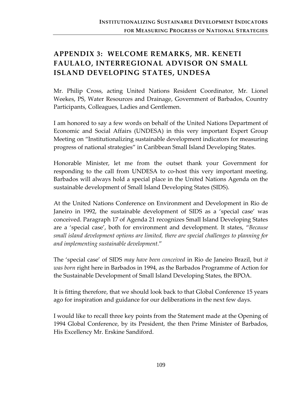# **APPENDIX 3: WELCOME REMARKS, MR. KENETI FAULALO, INTERREGIONAL ADVISOR ON SMALL ISLAND DEVELOPING STATES, UNDESA**

Mr. Philip Cross, acting United Nations Resident Coordinator, Mr. Lionel Weekes, PS, Water Resources and Drainage, Government of Barbados, Country Participants, Colleagues, Ladies and Gentlemen.

I am honored to say a few words on behalf of the United Nations Department of Economic and Social Affairs (UNDESA) in this very important Expert Group Meeting on "Institutionalizing sustainable development indicators for measuring progress of national strategies" in Caribbean Small Island Developing States.

Honorable Minister, let me from the outset thank your Government for responding to the call from UNDESA to co-host this very important meeting. Barbados will always hold a special place in the United Nations Agenda on the sustainable development of Small Island Developing States (SIDS).

At the United Nations Conference on Environment and Development in Rio de Janeiro in 1992, the sustainable development of SIDS as a 'special case' was conceived. Paragraph 17 of Agenda 21 recognizes Small Island Developing States are a 'special case', both for environment and development. It states, "*Because small island development options are limited, there are special challenges to planning for and implementing sustainable development.*"

The 'special case' of SIDS *may have been conceived* in Rio de Janeiro Brazil, but *it was born* right here in Barbados in 1994, as the Barbados Programme of Action for the Sustainable Development of Small Island Developing States, the BPOA.

It is fitting therefore, that we should look back to that Global Conference 15 years ago for inspiration and guidance for our deliberations in the next few days.

I would like to recall three key points from the Statement made at the Opening of 1994 Global Conference, by its President, the then Prime Minister of Barbados, His Excellency Mr. Erskine Sandiford.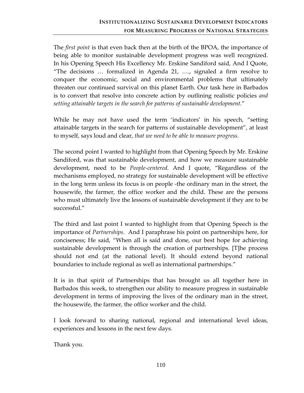The *first point* is that even back then at the birth of the BPOA, the importance of being able to monitor sustainable development progress was well recognized. In his Opening Speech His Excellency Mr. Erskine Sandiford said, And I Quote, "The decisions … formalized in Agenda 21, …., signaled a firm resolve to conquer the economic, social and environmental problems that ultimately threaten our continued survival on this planet Earth. Our task here in Barbados is to convert that resolve into concrete action by outlining realistic policies *and setting attainable targets in the search for patterns of sustainable development*."

While he may not have used the term 'indicators' in his speech, "setting attainable targets in the search for patterns of sustainable development", at least to myself, says loud and clear, *that we need to be able to measure progress*.

The second point I wanted to highlight from that Opening Speech by Mr. Erskine Sandiford, was that sustainable development, and how we measure sustainable development, need to be *People‐centered.* And I quote, "Regardless of the mechanisms employed, no strategy for sustainable development will be effective in the long term unless its focus is on people ‐the ordinary man in the street, the housewife, the farmer, the office worker and the child. These are the persons who must ultimately live the lessons of sustainable development if they are to be successful."

The third and last point I wanted to highlight from that Opening Speech is the importance of *Partnerships*. And I paraphrase his point on partnerships here, for conciseness; He said, "When all is said and done, our best hope for achieving sustainable development is through the creation of partnerships. [T]he process should not end (at the national level). It should extend beyond national boundaries to include regional as well as international partnerships."

It is in that spirit of Partnerships that has brought us all together here in Barbados this week, to strengthen our ability to measure progress in sustainable development in terms of improving the lives of the ordinary man in the street, the housewife, the farmer, the office worker and the child.

I look forward to sharing national, regional and international level ideas, experiences and lessons in the next few days.

Thank you.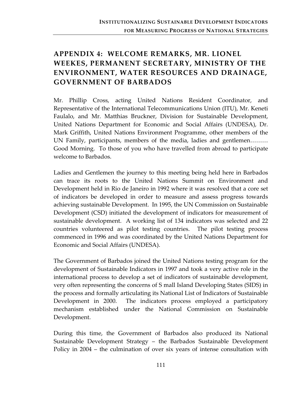## **APPENDIX 4: WELCOME REMARKS, MR. LIONEL WEEKES, PERMANENT SECRETARY, MINISTRY OF THE ENVIRONMENT, WATER RESOURCES AND DRAINAGE, GOVERNMENT OF BARBADOS**

Mr. Phillip Cross, acting United Nations Resident Coordinator, and Representative of the International Telecommunications Union (ITU), Mr. Keneti Faulalo, and Mr. Matthias Bruckner, Division for Sustainable Development, United Nations Department for Economic and Social Affairs (UNDESA), Dr. Mark Griffith, United Nations Environment Programme, other members of the UN Family, participants, members of the media, ladies and gentlemen……… Good Morning. To those of you who have travelled from abroad to participate welcome to Barbados.

Ladies and Gentlemen the journey to this meeting being held here in Barbados can trace its roots to the United Nations Summit on Environment and Development held in Rio de Janeiro in 1992 where it was resolved that a core set of indicators be developed in order to measure and assess progress towards achieving sustainable Development. In 1995, the UN Commission on Sustainable Development (CSD) initiated the development of indicators for measurement of sustainable development. A working list of 134 indicators was selected and 22 countries volunteered as pilot testing countries. The pilot testing process commenced in 1996 and was coordinated by the United Nations Department for Economic and Social Affairs (UNDESA).

The Government of Barbados joined the United Nations testing program for the development of Sustainable Indicators in 1997 and took a very active role in the international process to develop a set of indicators of sustainable development, very often representing the concerns of S mall Island Developing States (SIDS) in the process and formally articulating its National List of Indicators of Sustainable Development in 2000. The indicators process employed a participatory mechanism established under the National Commission on Sustainable Development.

During this time, the Government of Barbados also produced its National Sustainable Development Strategy – the Barbados Sustainable Development Policy in 2004 – the culmination of over six years of intense consultation with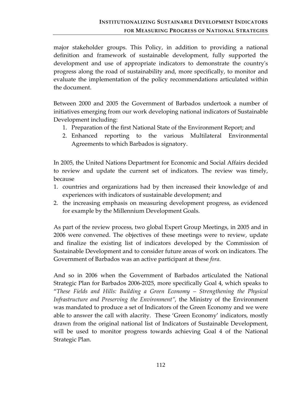major stakeholder groups. This Policy, in addition to providing a national definition and framework of sustainable development, fully supported the development and use of appropriate indicators to demonstrate the countryʹs progress along the road of sustainability and, more specifically, to monitor and evaluate the implementation of the policy recommendations articulated within the document.

Between 2000 and 2005 the Government of Barbados undertook a number of initiatives emerging from our work developing national indicators of Sustainable Development including:

- 1. Preparation of the first National State of the Environment Report; and
- 2. Enhanced reporting to the various Multilateral Environmental Agreements to which Barbados is signatory.

In 2005, the United Nations Department for Economic and Social Affairs decided to review and update the current set of indicators. The review was timely, because

- 1. countries and organizations had by then increased their knowledge of and experiences with indicators of sustainable development; and
- 2. the increasing emphasis on measuring development progress, as evidenced for example by the Millennium Development Goals.

As part of the review process, two global Expert Group Meetings, in 2005 and in 2006 were convened. The objectives of these meetings were to review, update and finalize the existing list of indicators developed by the Commission of Sustainable Development and to consider future areas of work on indicators. The Government of Barbados was an active participant at these *fora.*

And so in 2006 when the Government of Barbados articulated the National Strategic Plan for Barbados 2006‐2025, more specifically Goal 4, which speaks to "*These Fields and Hills: Building a Green Economy – Strengthening the Physical Infrastructure and Preserving the Environment",* the Ministry of the Environment was mandated to produce a set of Indicators of the Green Economy and we were able to answer the call with alacrity. These 'Green Economy' indicators, mostly drawn from the original national list of Indicators of Sustainable Development, will be used to monitor progress towards achieving Goal 4 of the National Strategic Plan.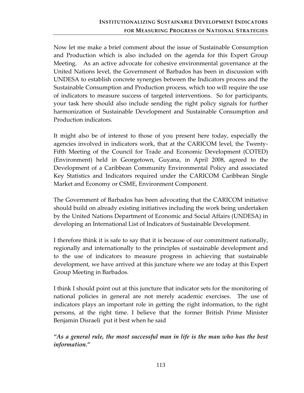Now let me make a brief comment about the issue of Sustainable Consumption and Production which is also included on the agenda for this Expert Group Meeting. As an active advocate for cohesive environmental governance at the United Nations level, the Government of Barbados has been in discussion with UNDESA to establish concrete synergies between the Indicators process and the Sustainable Consumption and Production process, which too will require the use of indicators to measure success of targeted interventions. So for participants, your task here should also include sending the right policy signals for further harmonization of Sustainable Development and Sustainable Consumption and Production indicators.

It might also be of interest to those of you present here today, especially the agencies involved in indicators work, that at the CARICOM level, the Twenty‐ Fifth Meeting of the Council for Trade and Economic Development (COTED) (Environment) held in Georgetown, Guyana, in April 2008, agreed to the Development of a Caribbean Community Environmental Policy and associated Key Statistics and Indicators required under the CARICOM Caribbean Single Market and Economy or CSME, Environment Component.

The Government of Barbados has been advocating that the CARICOM initiative should build on already existing initiatives including the work being undertaken by the United Nations Department of Economic and Social Affairs (UNDESA) in developing an International List of Indicators of Sustainable Development.

I therefore think it is safe to say that it is because of our commitment nationally, regionally and internationally to the principles of sustainable development and to the use of indicators to measure progress in achieving that sustainable development, we have arrived at this juncture where we are today at this Expert Group Meeting in Barbados.

I think I should point out at this juncture that indicator sets for the monitoring of national policies in general are not merely academic exercises. The use of indicators plays an important role in getting the right information, to the right persons, at the right time. I believe that the former British Prime Minister Benjamin Disraeli put it best when he said

*"As a general rule, the most successful man in life is the man who has the best information."*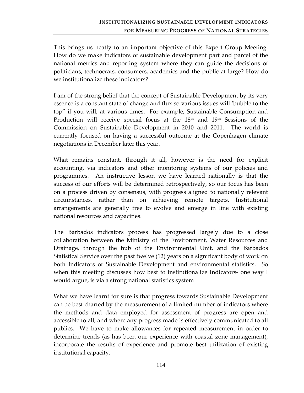This brings us neatly to an important objective of this Expert Group Meeting. How do we make indicators of sustainable development part and parcel of the national metrics and reporting system where they can guide the decisions of politicians, technocrats, consumers, academics and the public at large? How do we institutionalize these indicators?

I am of the strong belief that the concept of Sustainable Development by its very essence is a constant state of change and flux so various issues will 'bubble to the top" if you will, at various times. For example, Sustainable Consumption and Production will receive special focus at the 18<sup>th</sup> and 19<sup>th</sup> Sessions of the Commission on Sustainable Development in 2010 and 2011. The world is currently focused on having a successful outcome at the Copenhagen climate negotiations in December later this year.

What remains constant, through it all, however is the need for explicit accounting, via indicators and other monitoring systems of our policies and programmes. An instructive lesson we have learned nationally is that the success of our efforts will be determined retrospectively, so our focus has been on a process driven by consensus, with progress aligned to nationally relevant circumstances, rather than on achieving remote targets. Institutional arrangements are generally free to evolve and emerge in line with existing national resources and capacities.

The Barbados indicators process has progressed largely due to a close collaboration between the Ministry of the Environment, Water Resources and Drainage, through the hub of the Environmental Unit, and the Barbados Statistical Service over the past twelve (12) years on a significant body of work on both Indicators of Sustainable Development and environmental statistics. So when this meeting discusses how best to institutionalize Indicators- one way I would argue, is via a strong national statistics system

What we have learnt for sure is that progress towards Sustainable Development can be best charted by the measurement of a limited number of indicators where the methods and data employed for assessment of progress are open and accessible to all, and where any progress made is effectively communicated to all publics. We have to make allowances for repeated measurement in order to determine trends (as has been our experience with coastal zone management), incorporate the results of experience and promote best utilization of existing institutional capacity.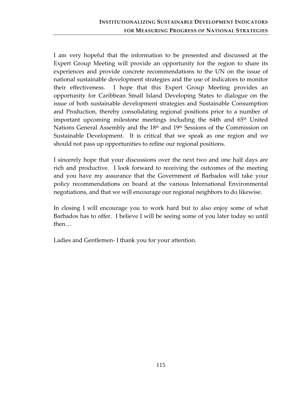I am very hopeful that the information to be presented and discussed at the Expert Group Meeting will provide an opportunity for the region to share its experiences and provide concrete recommendations to the UN on the issue of national sustainable development strategies and the use of indicators to monitor their effectiveness. I hope that this Expert Group Meeting provides an opportunity for Caribbean Small Island Developing States to dialogue on the issue of both sustainable development strategies and Sustainable Consumption and Production, thereby consolidating regional positions prior to a number of important upcoming milestone meetings including the 64th and  $65<sup>th</sup>$  United Nations General Assembly and the 18<sup>th</sup> and 19<sup>th</sup> Sessions of the Commission on Sustainable Development. It is critical that we speak as one region and we should not pass up opportunities to refine our regional positions.

I sincerely hope that your discussions over the next two and one half days are rich and productive. I look forward to receiving the outcomes of the meeting and you have my assurance that the Government of Barbados will take your policy recommendations on board at the various International Environmental negotiations, and that we will encourage our regional neighbors to do likewise.

In closing I will encourage you to work hard but to also enjoy some of what Barbados has to offer. I believe I will be seeing some of you later today so until then…

Ladies and Gentlemen‐ I thank you for your attention.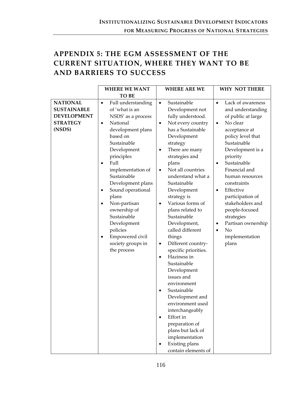## **APPENDIX 5: THE EGM ASSESSMENT OF THE CURRENT SITUATION, WHERE THEY WANT TO BE AND BARRIERS TO SUCCESS**

| <b>WHERE WE WANT</b>                                                                                                                                                                                                                                                                                                                                                                                                                                                                                                                     | <b>WHERE ARE WE</b>                                                                                                                                                                                                                                                                                                                                                                                                                                                                                                                                                                                                                                                                                                                                                                       | <b>WHY NOT THERE</b>                                                                                                                                                                                                                                                                                                                                                                                                                                          |
|------------------------------------------------------------------------------------------------------------------------------------------------------------------------------------------------------------------------------------------------------------------------------------------------------------------------------------------------------------------------------------------------------------------------------------------------------------------------------------------------------------------------------------------|-------------------------------------------------------------------------------------------------------------------------------------------------------------------------------------------------------------------------------------------------------------------------------------------------------------------------------------------------------------------------------------------------------------------------------------------------------------------------------------------------------------------------------------------------------------------------------------------------------------------------------------------------------------------------------------------------------------------------------------------------------------------------------------------|---------------------------------------------------------------------------------------------------------------------------------------------------------------------------------------------------------------------------------------------------------------------------------------------------------------------------------------------------------------------------------------------------------------------------------------------------------------|
| <b>TO BE</b>                                                                                                                                                                                                                                                                                                                                                                                                                                                                                                                             |                                                                                                                                                                                                                                                                                                                                                                                                                                                                                                                                                                                                                                                                                                                                                                                           |                                                                                                                                                                                                                                                                                                                                                                                                                                                               |
| <b>NATIONAL</b><br>Full understanding<br>$\bullet$<br><b>SUSTAINABLE</b><br>of 'what is an<br><b>DEVELOPMENT</b><br>NSDS' as a process<br><b>STRATEGY</b><br>National<br>$\bullet$<br>(NSDS)<br>development plans<br>based on<br>Sustainable<br>Development<br>principles<br>Full<br>$\bullet$<br>implementation of<br>Sustainable<br>Development plans<br>Sound operational<br>٠<br>plans<br>Non-partisan<br>$\bullet$<br>ownership of<br>Sustainable<br>Development<br>policies<br>Empowered civil<br>society groups in<br>the process | Sustainable<br>$\bullet$<br>Development not<br>fully understood.<br>Not every country<br>$\bullet$<br>has a Sustainable<br>Development<br>strategy<br>There are many<br>strategies and<br>plans<br>Not all countries<br>$\bullet$<br>understand what a<br>Sustainable<br>Development<br>strategy is<br>Various forms of<br>$\bullet$<br>plans related to<br>Sustainable<br>Development,<br>called different<br>things<br>Different country-<br>$\bullet$<br>specific priorities.<br>Haziness in<br>$\bullet$<br>Sustainable<br>Development<br>issues and<br>environment<br>Sustainable<br>$\bullet$<br>Development and<br>environment used<br>interchangeably<br>Effort in<br>$\bullet$<br>preparation of<br>plans but lack of<br>implementation<br>Existing plans<br>contain elements of | Lack of awareness<br>$\bullet$<br>and understanding<br>of public at large<br>No clear<br>$\bullet$<br>acceptance at<br>policy level that<br>Sustainable<br>Development is a<br>priority<br>Sustainable<br>$\bullet$<br>Financial and<br>human resources<br>constraints<br>Effective<br>$\bullet$<br>participation of<br>stakeholders and<br>people-focused<br>strategies<br>Partisan ownership<br>٠<br>N <sub>o</sub><br>$\bullet$<br>implementation<br>plans |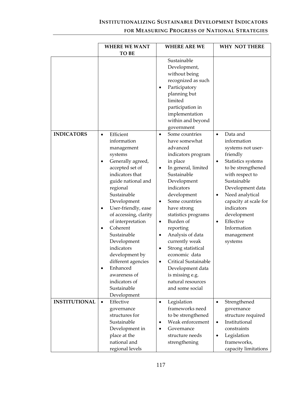## **INSTITUTIONALIZING SUSTAINABLE DEVELOPMENT INDICATORS**

### **FOR MEASURING PROGRESS OF NATIONAL STRATEGIES**

|                      | <b>WHERE WE WANT</b>                                                                                                                                                                                                                                                                                                                                                                                 | <b>WHERE ARE WE</b>                                                                                                                                                                                                                                                                                                                                                                                                                                                                                                                                                                                                                      | <b>WHY NOT THERE</b>                                                                                                                                                                                                                                                                                                                         |
|----------------------|------------------------------------------------------------------------------------------------------------------------------------------------------------------------------------------------------------------------------------------------------------------------------------------------------------------------------------------------------------------------------------------------------|------------------------------------------------------------------------------------------------------------------------------------------------------------------------------------------------------------------------------------------------------------------------------------------------------------------------------------------------------------------------------------------------------------------------------------------------------------------------------------------------------------------------------------------------------------------------------------------------------------------------------------------|----------------------------------------------------------------------------------------------------------------------------------------------------------------------------------------------------------------------------------------------------------------------------------------------------------------------------------------------|
|                      | <b>TO BE</b>                                                                                                                                                                                                                                                                                                                                                                                         |                                                                                                                                                                                                                                                                                                                                                                                                                                                                                                                                                                                                                                          |                                                                                                                                                                                                                                                                                                                                              |
| <b>INDICATORS</b>    | Efficient<br>$\bullet$<br>information<br>management<br>systems<br>Generally agreed,<br>accepted set of<br>indicators that<br>guide national and<br>regional<br>Sustainable<br>Development<br>User-friendly, ease<br>$\bullet$<br>of accessing, clarity<br>of interpretation<br>Coherent<br>$\bullet$<br>Sustainable<br>Development<br>indicators<br>development by<br>different agencies<br>Enhanced | Sustainable<br>Development,<br>without being<br>recognized as such<br>Participatory<br>$\bullet$<br>planning but<br>limited<br>participation in<br>implementation<br>within and beyond<br>government<br>Some countries<br>$\bullet$<br>have somewhat<br>advanced<br>indicators program<br>in place<br>In general, limited<br>٠<br>Sustainable<br>Development<br>indicators<br>development<br>Some countries<br>$\bullet$<br>have strong<br>statistics programs<br>Burden of<br>$\bullet$<br>reporting<br>Analysis of data<br>٠<br>currently weak<br>Strong statistical<br>٠<br>economic data<br>Critical Sustainable<br>Development data | Data and<br>$\bullet$<br>information<br>systems not user-<br>friendly<br>Statistics systems<br>$\bullet$<br>to be strengthened<br>with respect to<br>Sustainable<br>Development data<br>Need analytical<br>$\bullet$<br>capacity at scale for<br>indicators<br>development<br>Effective<br>$\bullet$<br>Information<br>management<br>systems |
|                      | awareness of<br>indicators of<br>Sustainable<br>Development                                                                                                                                                                                                                                                                                                                                          | is missing e.g.<br>natural resources<br>and some social                                                                                                                                                                                                                                                                                                                                                                                                                                                                                                                                                                                  |                                                                                                                                                                                                                                                                                                                                              |
| <b>INSTITUTIONAL</b> | Effective                                                                                                                                                                                                                                                                                                                                                                                            |                                                                                                                                                                                                                                                                                                                                                                                                                                                                                                                                                                                                                                          |                                                                                                                                                                                                                                                                                                                                              |
|                      | $\bullet$<br>governance                                                                                                                                                                                                                                                                                                                                                                              | Legislation<br>٠<br>frameworks need                                                                                                                                                                                                                                                                                                                                                                                                                                                                                                                                                                                                      | Strengthened<br>$\bullet$<br>governance                                                                                                                                                                                                                                                                                                      |
|                      | structures for                                                                                                                                                                                                                                                                                                                                                                                       | to be strengthened                                                                                                                                                                                                                                                                                                                                                                                                                                                                                                                                                                                                                       | structure required                                                                                                                                                                                                                                                                                                                           |
|                      | Sustainable                                                                                                                                                                                                                                                                                                                                                                                          | Weak enforcement<br>٠                                                                                                                                                                                                                                                                                                                                                                                                                                                                                                                                                                                                                    | Institutional<br>$\bullet$                                                                                                                                                                                                                                                                                                                   |
|                      | Development in                                                                                                                                                                                                                                                                                                                                                                                       | Governance<br>$\bullet$                                                                                                                                                                                                                                                                                                                                                                                                                                                                                                                                                                                                                  | constraints                                                                                                                                                                                                                                                                                                                                  |
|                      | place at the                                                                                                                                                                                                                                                                                                                                                                                         | structure needs                                                                                                                                                                                                                                                                                                                                                                                                                                                                                                                                                                                                                          | Legislation<br>$\bullet$                                                                                                                                                                                                                                                                                                                     |
|                      | national and                                                                                                                                                                                                                                                                                                                                                                                         | strengthening                                                                                                                                                                                                                                                                                                                                                                                                                                                                                                                                                                                                                            | frameworks,                                                                                                                                                                                                                                                                                                                                  |
|                      | regional levels                                                                                                                                                                                                                                                                                                                                                                                      |                                                                                                                                                                                                                                                                                                                                                                                                                                                                                                                                                                                                                                          | capacity limitations                                                                                                                                                                                                                                                                                                                         |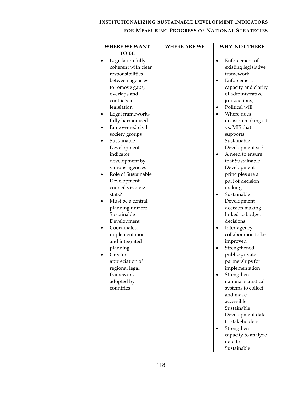## **INSTITUTIONALIZING SUSTAINABLE DEVELOPMENT INDICATORS**

### **FOR MEASURING PROGRESS OF NATIONAL STRATEGIES**

| <b>WHERE WE WANT</b>                                                                                                                                                                                                                                                                                                                                                                                                                                                                                                                                                                                                                                                                               | <b>WHERE ARE WE</b> | <b>WHY NOT THERE</b>                                                                                                                                                                                                                                                                                                                                                                                                                                                                                                                                                                                                                                                  |
|----------------------------------------------------------------------------------------------------------------------------------------------------------------------------------------------------------------------------------------------------------------------------------------------------------------------------------------------------------------------------------------------------------------------------------------------------------------------------------------------------------------------------------------------------------------------------------------------------------------------------------------------------------------------------------------------------|---------------------|-----------------------------------------------------------------------------------------------------------------------------------------------------------------------------------------------------------------------------------------------------------------------------------------------------------------------------------------------------------------------------------------------------------------------------------------------------------------------------------------------------------------------------------------------------------------------------------------------------------------------------------------------------------------------|
| <b>TO BE</b>                                                                                                                                                                                                                                                                                                                                                                                                                                                                                                                                                                                                                                                                                       |                     |                                                                                                                                                                                                                                                                                                                                                                                                                                                                                                                                                                                                                                                                       |
| Legislation fully<br>$\bullet$<br>coherent with clear<br>responsibilities<br>between agencies<br>to remove gaps,<br>overlaps and<br>conflicts in<br>legislation<br>Legal frameworks<br>fully harmonized<br>Empowered civil<br>$\bullet$<br>society groups<br>Sustainable<br>$\bullet$<br>Development<br>indicator<br>development by<br>various agencies<br>Role of Sustainable<br>$\bullet$<br>Development<br>council viz a viz<br>stats?<br>Must be a central<br>$\bullet$<br>planning unit for<br>Sustainable<br>Development<br>Coordinated<br>$\bullet$<br>implementation<br>and integrated<br>planning<br>Greater<br>appreciation of<br>regional legal<br>framework<br>adopted by<br>countries |                     | Enforcement of<br>existing legislative<br>framework.<br>Enforcement<br>capacity and clarity<br>of administrative<br>jurisdictions,<br>Political will<br>Where does<br>decision making sit<br>vs. MIS that<br>supports<br>Sustainable<br>Development sit?<br>A need to ensure<br>that Sustainable<br>Development<br>principles are a<br>part of decision<br>making.<br>Sustainable<br>Development<br>decision making<br>linked to budget<br>decisions<br>Inter-agency<br>collaboration to be<br>improved<br>Strengthened<br>public-private<br>partnerships for<br>implementation<br>Strengthen<br>national statistical<br>systems to collect<br>and make<br>accessible |
|                                                                                                                                                                                                                                                                                                                                                                                                                                                                                                                                                                                                                                                                                                    |                     | Sustainable<br>Development data<br>to stakeholders<br>Strengthen<br>capacity to analyze<br>data for<br>Sustainable                                                                                                                                                                                                                                                                                                                                                                                                                                                                                                                                                    |